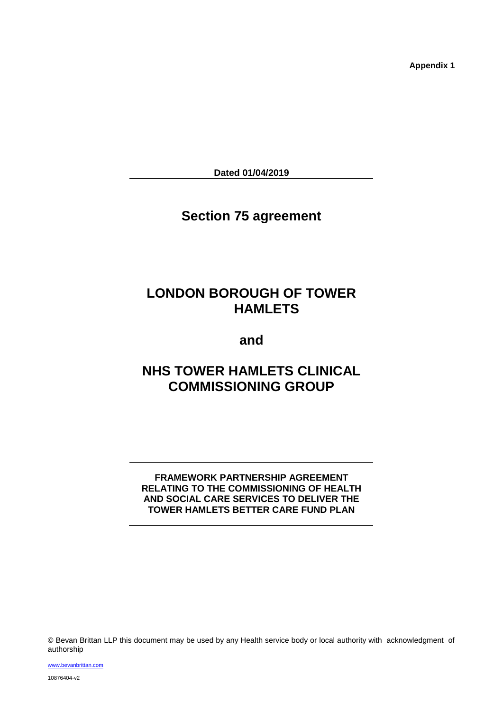**Appendix 1**

**Dated 01/04/2019**

# **Section 75 agreement**

# **LONDON BOROUGH OF TOWER HAMLETS**

**and**

# **NHS TOWER HAMLETS CLINICAL COMMISSIONING GROUP**

# **FRAMEWORK PARTNERSHIP AGREEMENT RELATING TO THE COMMISSIONING OF HEALTH AND SOCIAL CARE SERVICES TO DELIVER THE TOWER HAMLETS BETTER CARE FUND PLAN**

© Bevan Brittan LLP this document may be used by any Health service body or local authority with acknowledgment of authorship

[www.bevanbrittan.com](http://www.bevanbrittan.com/) 10876404-v2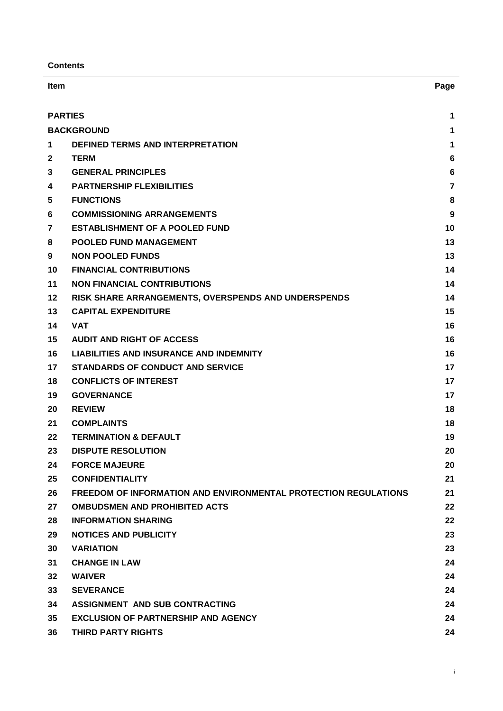**Contents**

| <b>Item</b>    |                                                                        | Page           |
|----------------|------------------------------------------------------------------------|----------------|
|                | <b>PARTIES</b>                                                         | 1              |
|                | <b>BACKGROUND</b>                                                      | 1              |
| 1              | DEFINED TERMS AND INTERPRETATION                                       | 1              |
| $\mathbf{2}$   | <b>TERM</b>                                                            | 6              |
| 3              | <b>GENERAL PRINCIPLES</b>                                              | 6              |
| 4              | <b>PARTNERSHIP FLEXIBILITIES</b>                                       | $\overline{7}$ |
| 5              | <b>FUNCTIONS</b>                                                       | 8              |
| 6              | <b>COMMISSIONING ARRANGEMENTS</b>                                      | 9              |
| $\overline{7}$ | <b>ESTABLISHMENT OF A POOLED FUND</b>                                  | 10             |
| 8              | <b>POOLED FUND MANAGEMENT</b>                                          | 13             |
| 9              | <b>NON POOLED FUNDS</b>                                                | 13             |
| 10             | <b>FINANCIAL CONTRIBUTIONS</b>                                         | 14             |
| 11             | <b>NON FINANCIAL CONTRIBUTIONS</b>                                     | 14             |
| 12             | RISK SHARE ARRANGEMENTS, OVERSPENDS AND UNDERSPENDS                    | 14             |
| 13             | <b>CAPITAL EXPENDITURE</b>                                             | 15             |
| 14             | <b>VAT</b>                                                             | 16             |
| 15             | <b>AUDIT AND RIGHT OF ACCESS</b>                                       | 16             |
| 16             | <b>LIABILITIES AND INSURANCE AND INDEMNITY</b>                         | 16             |
| 17             | <b>STANDARDS OF CONDUCT AND SERVICE</b>                                | 17             |
| 18             | <b>CONFLICTS OF INTEREST</b>                                           | 17             |
| 19             | <b>GOVERNANCE</b>                                                      | 17             |
| 20             | <b>REVIEW</b>                                                          | 18             |
| 21             | <b>COMPLAINTS</b>                                                      | 18             |
| 22             | <b>TERMINATION &amp; DEFAULT</b>                                       | 19             |
| 23             | <b>DISPUTE RESOLUTION</b>                                              | 20             |
| 24             | <b>FORCE MAJEURE</b>                                                   | 20             |
| 25             | <b>CONFIDENTIALITY</b>                                                 | 21             |
| 26             | <b>FREEDOM OF INFORMATION AND ENVIRONMENTAL PROTECTION REGULATIONS</b> | 21             |
| 27             | <b>OMBUDSMEN AND PROHIBITED ACTS</b>                                   | 22             |
| 28             | <b>INFORMATION SHARING</b>                                             | 22             |
| 29             | <b>NOTICES AND PUBLICITY</b>                                           | 23             |
| 30             | <b>VARIATION</b>                                                       | 23             |
| 31             | <b>CHANGE IN LAW</b>                                                   | 24             |
| 32             | <b>WAIVER</b>                                                          | 24             |
| 33             | <b>SEVERANCE</b>                                                       | 24             |
| 34             | ASSIGNMENT AND SUB CONTRACTING                                         | 24             |
| 35             | <b>EXCLUSION OF PARTNERSHIP AND AGENCY</b>                             | 24             |
| 36             | THIRD PARTY RIGHTS                                                     | 24             |

i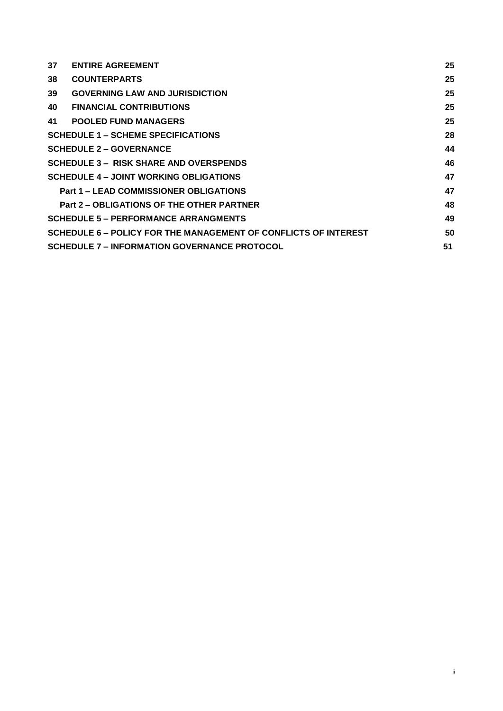| 37 | <b>ENTIRE AGREEMENT</b>                                         | 25 |
|----|-----------------------------------------------------------------|----|
| 38 | <b>COUNTERPARTS</b>                                             | 25 |
| 39 | <b>GOVERNING LAW AND JURISDICTION</b>                           | 25 |
| 40 | <b>FINANCIAL CONTRIBUTIONS</b>                                  | 25 |
| 41 | <b>POOLED FUND MANAGERS</b>                                     | 25 |
|    | <b>SCHEDULE 1 – SCHEME SPECIFICATIONS</b>                       | 28 |
|    | <b>SCHEDULE 2 – GOVERNANCE</b>                                  | 44 |
|    | <b>SCHEDULE 3 - RISK SHARE AND OVERSPENDS</b>                   | 46 |
|    | <b>SCHEDULE 4 - JOINT WORKING OBLIGATIONS</b>                   | 47 |
|    | <b>Part 1 – LEAD COMMISSIONER OBLIGATIONS</b>                   | 47 |
|    | <b>Part 2 – OBLIGATIONS OF THE OTHER PARTNER</b>                | 48 |
|    | <b>SCHEDULE 5 - PERFORMANCE ARRANGMENTS</b>                     | 49 |
|    | SCHEDULE 6 – POLICY FOR THE MANAGEMENT OF CONFLICTS OF INTEREST | 50 |
|    | <b>SCHEDULE 7 – INFORMATION GOVERNANCE PROTOCOL</b>             | 51 |

ii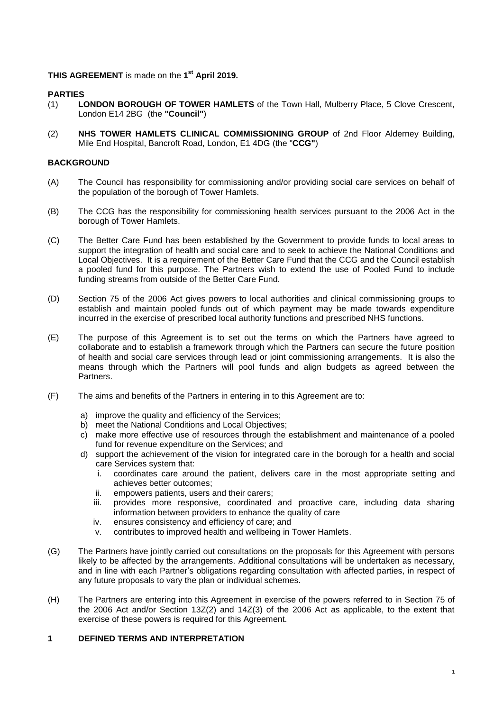# **THIS AGREEMENT** is made on the **1 st April 2019.**

# <span id="page-3-0"></span>**PARTIES**

- (1) **LONDON BOROUGH OF TOWER HAMLETS** of the Town Hall, Mulberry Place, 5 Clove Crescent, London E14 2BG (the **"Council"**)
- (2) **NHS TOWER HAMLETS CLINICAL COMMISSIONING GROUP** of 2nd Floor Alderney Building, Mile End Hospital, Bancroft Road, London, E1 4DG (the "**CCG"**)

# <span id="page-3-1"></span>**BACKGROUND**

- (A) The Council has responsibility for commissioning and/or providing social care services on behalf of the population of the borough of Tower Hamlets.
- (B) The CCG has the responsibility for commissioning health services pursuant to the 2006 Act in the borough of Tower Hamlets.
- (C) The Better Care Fund has been established by the Government to provide funds to local areas to support the integration of health and social care and to seek to achieve the National Conditions and Local Objectives. It is a requirement of the Better Care Fund that the CCG and the Council establish a pooled fund for this purpose. The Partners wish to extend the use of Pooled Fund to include funding streams from outside of the Better Care Fund.
- (D) Section 75 of the 2006 Act gives powers to local authorities and clinical commissioning groups to establish and maintain pooled funds out of which payment may be made towards expenditure incurred in the exercise of prescribed local authority functions and prescribed NHS functions.
- (E) The purpose of this Agreement is to set out the terms on which the Partners have agreed to collaborate and to establish a framework through which the Partners can secure the future position of health and social care services through lead or joint commissioning arrangements. It is also the means through which the Partners will pool funds and align budgets as agreed between the Partners.
- (F) The aims and benefits of the Partners in entering in to this Agreement are to:
	- a) improve the quality and efficiency of the Services;
	- b) meet the National Conditions and Local Objectives;
	- c) make more effective use of resources through the establishment and maintenance of a pooled fund for revenue expenditure on the Services; and
	- d) support the achievement of the vision for integrated care in the borough for a health and social care Services system that:
		- i. coordinates care around the patient, delivers care in the most appropriate setting and achieves better outcomes;
		- ii. empowers patients, users and their carers;
		- iii. provides more responsive, coordinated and proactive care, including data sharing information between providers to enhance the quality of care
		- iv. ensures consistency and efficiency of care; and
		- v. contributes to improved health and wellbeing in Tower Hamlets.
- (G) The Partners have jointly carried out consultations on the proposals for this Agreement with persons likely to be affected by the arrangements. Additional consultations will be undertaken as necessary, and in line with each Partner's obligations regarding consultation with affected parties, in respect of any future proposals to vary the plan or individual schemes.
- (H) The Partners are entering into this Agreement in exercise of the powers referred to in Section 75 of the 2006 Act and/or Section 13Z(2) and 14Z(3) of the 2006 Act as applicable, to the extent that exercise of these powers is required for this Agreement.

#### <span id="page-3-2"></span>**1 DEFINED TERMS AND INTERPRETATION**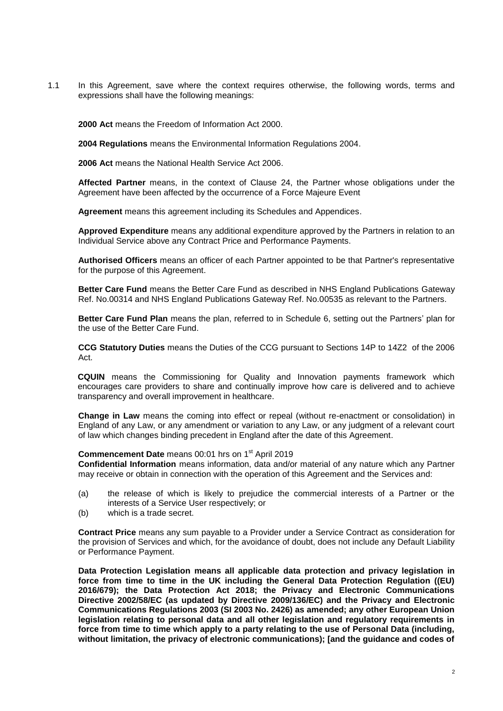1.1 In this Agreement, save where the context requires otherwise, the following words, terms and expressions shall have the following meanings:

**2000 Act** means the Freedom of Information Act 2000.

**2004 Regulations** means the Environmental Information Regulations 2004.

**2006 Act** means the National Health Service Act 2006.

**Affected Partner** means, in the context of Clause [24,](#page-22-1) the Partner whose obligations under the Agreement have been affected by the occurrence of a Force Majeure Event

**Agreement** means this agreement including its Schedules and Appendices.

**Approved Expenditure** means any additional expenditure approved by the Partners in relation to an Individual Service above any Contract Price and Performance Payments.

**Authorised Officers** means an officer of each Partner appointed to be that Partner's representative for the purpose of this Agreement.

**Better Care Fund** means the Better Care Fund as described in NHS England Publications Gateway Ref. No.00314 and NHS England Publications Gateway Ref. No.00535 as relevant to the Partners.

**Better Care Fund Plan** means the plan, referred to in Schedule 6, setting out the Partners' plan for the use of the Better Care Fund.

**CCG Statutory Duties** means the Duties of the CCG pursuant to Sections 14P to 14Z2 of the 2006 Act.

**CQUIN** means the Commissioning for Quality and Innovation payments framework which encourages care providers to share and continually improve how care is delivered and to achieve transparency and overall improvement in healthcare.

**Change in Law** means the coming into effect or repeal (without re-enactment or consolidation) in England of any Law, or any amendment or variation to any Law, or any judgment of a relevant court of law which changes binding precedent in England after the date of this Agreement.

### Commencement Date means 00:01 hrs on 1<sup>st</sup> April 2019

**Confidential Information** means information, data and/or material of any nature which any Partner may receive or obtain in connection with the operation of this Agreement and the Services and:

- (a) the release of which is likely to prejudice the commercial interests of a Partner or the interests of a Service User respectively; or
- (b) which is a trade secret.

**Contract Price** means any sum payable to a Provider under a Service Contract as consideration for the provision of Services and which, for the avoidance of doubt, does not include any Default Liability or Performance Payment.

**Data Protection Legislation means all applicable data protection and privacy legislation in force from time to time in the UK including the General Data Protection Regulation ((EU) 2016/679); the Data Protection Act 2018; the Privacy and Electronic Communications Directive 2002/58/EC (as updated by Directive 2009/136/EC) and the Privacy and Electronic Communications Regulations 2003 (SI 2003 No. 2426) as amended; any other European Union legislation relating to personal data and all other legislation and regulatory requirements in force from time to time which apply to a party relating to the use of Personal Data (including, without limitation, the privacy of electronic communications); [and the guidance and codes of**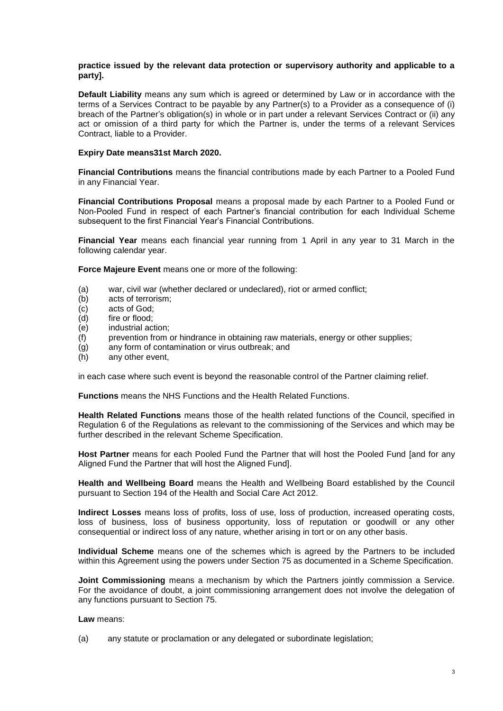#### **practice issued by the relevant data protection or supervisory authority and applicable to a party].**

**Default Liability** means any sum which is agreed or determined by Law or in accordance with the terms of a Services Contract to be payable by any Partner(s) to a Provider as a consequence of (i) breach of the Partner's obligation(s) in whole or in part under a relevant Services Contract or (ii) any act or omission of a third party for which the Partner is, under the terms of a relevant Services Contract, liable to a Provider.

#### **Expiry Date means31st March 2020.**

**Financial Contributions** means the financial contributions made by each Partner to a Pooled Fund in any Financial Year.

**Financial Contributions Proposal** means a proposal made by each Partner to a Pooled Fund or Non-Pooled Fund in respect of each Partner's financial contribution for each Individual Scheme subsequent to the first Financial Year's Financial Contributions.

**Financial Year** means each financial year running from 1 April in any year to 31 March in the following calendar year.

**Force Majeure Event** means one or more of the following:

- (a) war, civil war (whether declared or undeclared), riot or armed conflict;
- (b) acts of terrorism;
- (c) acts of God;
- (d) fire or flood;
- (e) industrial action;
- (f) prevention from or hindrance in obtaining raw materials, energy or other supplies;
- (g) any form of contamination or virus outbreak; and
- (h) any other event,

in each case where such event is beyond the reasonable control of the Partner claiming relief.

**Functions** means the NHS Functions and the Health Related Functions.

**Health Related Functions** means those of the health related functions of the Council, specified in Regulation 6 of the Regulations as relevant to the commissioning of the Services and which may be further described in the relevant Scheme Specification.

**Host Partner** means for each Pooled Fund the Partner that will host the Pooled Fund [and for any Aligned Fund the Partner that will host the Aligned Fund].

**Health and Wellbeing Board** means the Health and Wellbeing Board established by the Council pursuant to Section 194 of the Health and Social Care Act 2012.

**Indirect Losses** means loss of profits, loss of use, loss of production, increased operating costs, loss of business, loss of business opportunity, loss of reputation or goodwill or any other consequential or indirect loss of any nature, whether arising in tort or on any other basis.

**Individual Scheme** means one of the schemes which is agreed by the Partners to be included within this Agreement using the powers under Section 75 as documented in a Scheme Specification.

**Joint Commissioning** means a mechanism by which the Partners jointly commission a Service. For the avoidance of doubt, a joint commissioning arrangement does not involve the delegation of any functions pursuant to Section 75.

**Law** means:

(a) any statute or proclamation or any delegated or subordinate legislation;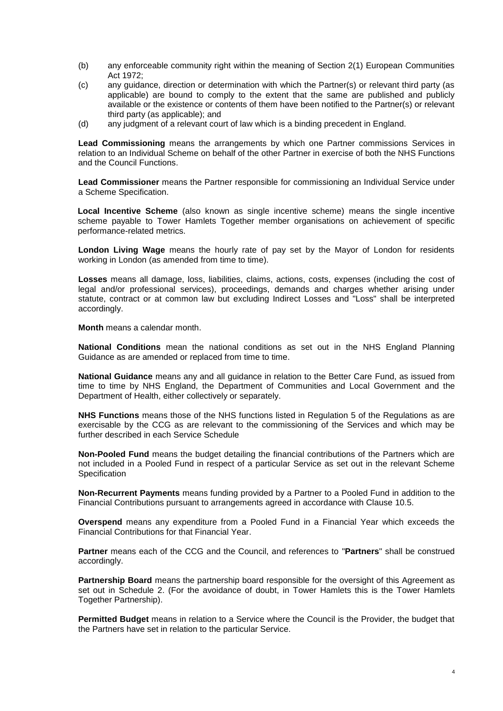- (b) any enforceable community right within the meaning of Section 2(1) European Communities Act 1972;
- (c) any guidance, direction or determination with which the Partner(s) or relevant third party (as applicable) are bound to comply to the extent that the same are published and publicly available or the existence or contents of them have been notified to the Partner(s) or relevant third party (as applicable); and
- (d) any judgment of a relevant court of law which is a binding precedent in England.

**Lead Commissioning** means the arrangements by which one Partner commissions Services in relation to an Individual Scheme on behalf of the other Partner in exercise of both the NHS Functions and the Council Functions.

**Lead Commissioner** means the Partner responsible for commissioning an Individual Service under a Scheme Specification.

**Local Incentive Scheme** (also known as single incentive scheme) means the single incentive scheme payable to Tower Hamlets Together member organisations on achievement of specific performance-related metrics.

**London Living Wage** means the hourly rate of pay set by the Mayor of London for residents working in London (as amended from time to time).

**Losses** means all damage, loss, liabilities, claims, actions, costs, expenses (including the cost of legal and/or professional services), proceedings, demands and charges whether arising under statute, contract or at common law but excluding Indirect Losses and "Loss" shall be interpreted accordingly.

**Month** means a calendar month.

**National Conditions** mean the national conditions as set out in the NHS England Planning Guidance as are amended or replaced from time to time.

**National Guidance** means any and all guidance in relation to the Better Care Fund, as issued from time to time by NHS England, the Department of Communities and Local Government and the Department of Health, either collectively or separately.

**NHS Functions** means those of the NHS functions listed in Regulation 5 of the Regulations as are exercisable by the CCG as are relevant to the commissioning of the Services and which may be further described in each Service Schedule

**Non-Pooled Fund** means the budget detailing the financial contributions of the Partners which are not included in a Pooled Fund in respect of a particular Service as set out in the relevant Scheme **Specification** 

**Non-Recurrent Payments** means funding provided by a Partner to a Pooled Fund in addition to the Financial Contributions pursuant to arrangements agreed in accordance with Clause 10.5.

**Overspend** means any expenditure from a Pooled Fund in a Financial Year which exceeds the Financial Contributions for that Financial Year.

**Partner** means each of the CCG and the Council, and references to "**Partners**" shall be construed accordingly.

**Partnership Board** means the partnership board responsible for the oversight of this Agreement as set out in Schedule 2. (For the avoidance of doubt, in Tower Hamlets this is the Tower Hamlets Together Partnership).

**Permitted Budget** means in relation to a Service where the Council is the Provider, the budget that the Partners have set in relation to the particular Service.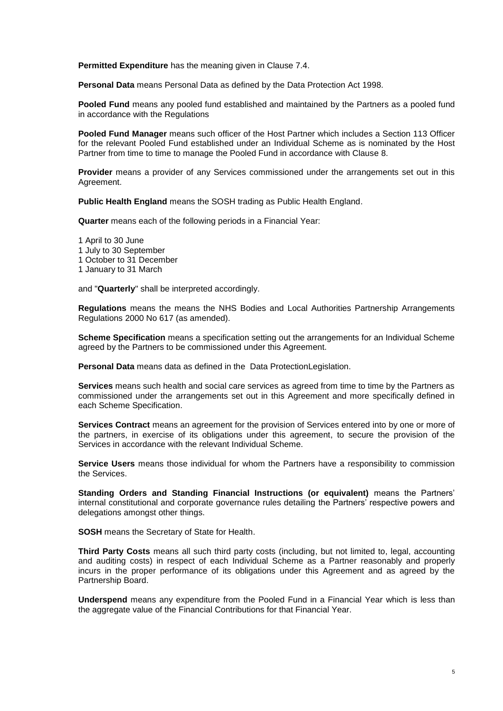**Permitted Expenditure** has the meaning given in Clause 7.4.

**Personal Data** means Personal Data as defined by the Data Protection Act 1998.

**Pooled Fund** means any pooled fund established and maintained by the Partners as a pooled fund in accordance with the Regulations

**Pooled Fund Manager** means such officer of the Host Partner which includes a Section 113 Officer for the relevant Pooled Fund established under an Individual Scheme as is nominated by the Host Partner from time to time to manage the Pooled Fund in accordance with Clause 8.

**Provider** means a provider of any Services commissioned under the arrangements set out in this Agreement.

**Public Health England** means the SOSH trading as Public Health England.

**Quarter** means each of the following periods in a Financial Year:

1 April to 30 June 1 July to 30 September 1 October to 31 December 1 January to 31 March

and "**Quarterly**" shall be interpreted accordingly.

**Regulations** means the means the NHS Bodies and Local Authorities Partnership Arrangements Regulations 2000 No 617 (as amended).

**Scheme Specification** means a specification setting out the arrangements for an Individual Scheme agreed by the Partners to be commissioned under this Agreement.

**Personal Data** means data as defined in the Data ProtectionLegislation.

**Services** means such health and social care services as agreed from time to time by the Partners as commissioned under the arrangements set out in this Agreement and more specifically defined in each Scheme Specification.

**Services Contract** means an agreement for the provision of Services entered into by one or more of the partners, in exercise of its obligations under this agreement, to secure the provision of the Services in accordance with the relevant Individual Scheme.

**Service Users** means those individual for whom the Partners have a responsibility to commission the Services.

**Standing Orders and Standing Financial Instructions (or equivalent)** means the Partners' internal constitutional and corporate governance rules detailing the Partners' respective powers and delegations amongst other things.

**SOSH** means the Secretary of State for Health.

**Third Party Costs** means all such third party costs (including, but not limited to, legal, accounting and auditing costs) in respect of each Individual Scheme as a Partner reasonably and properly incurs in the proper performance of its obligations under this Agreement and as agreed by the Partnership Board.

**Underspend** means any expenditure from the Pooled Fund in a Financial Year which is less than the aggregate value of the Financial Contributions for that Financial Year.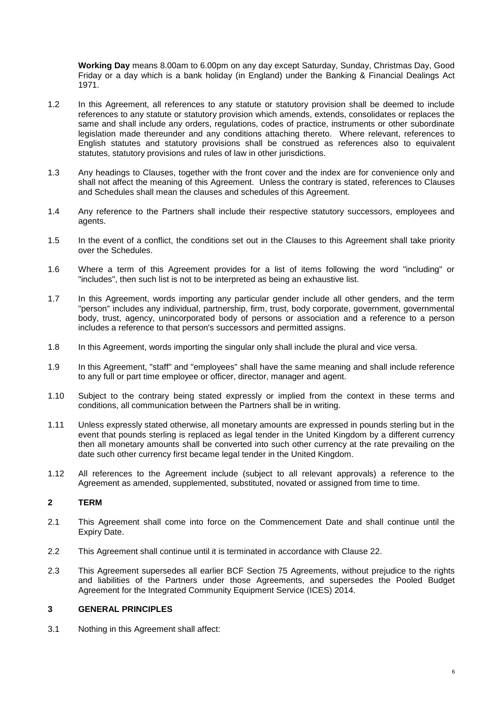**Working Day** means 8.00am to 6.00pm on any day except Saturday, Sunday, Christmas Day, Good Friday or a day which is a bank holiday (in England) under the Banking & Financial Dealings Act 1971.

- 1.2 In this Agreement, all references to any statute or statutory provision shall be deemed to include references to any statute or statutory provision which amends, extends, consolidates or replaces the same and shall include any orders, regulations, codes of practice, instruments or other subordinate legislation made thereunder and any conditions attaching thereto. Where relevant, references to English statutes and statutory provisions shall be construed as references also to equivalent statutes, statutory provisions and rules of law in other jurisdictions.
- 1.3 Any headings to Clauses, together with the front cover and the index are for convenience only and shall not affect the meaning of this Agreement. Unless the contrary is stated, references to Clauses and Schedules shall mean the clauses and schedules of this Agreement.
- 1.4 Any reference to the Partners shall include their respective statutory successors, employees and agents.
- 1.5 In the event of a conflict, the conditions set out in the Clauses to this Agreement shall take priority over the Schedules.
- 1.6 Where a term of this Agreement provides for a list of items following the word "including" or "includes", then such list is not to be interpreted as being an exhaustive list.
- 1.7 In this Agreement, words importing any particular gender include all other genders, and the term "person" includes any individual, partnership, firm, trust, body corporate, government, governmental body, trust, agency, unincorporated body of persons or association and a reference to a person includes a reference to that person's successors and permitted assigns.
- 1.8 In this Agreement, words importing the singular only shall include the plural and vice versa.
- 1.9 In this Agreement, "staff" and "employees" shall have the same meaning and shall include reference to any full or part time employee or officer, director, manager and agent.
- 1.10 Subject to the contrary being stated expressly or implied from the context in these terms and conditions, all communication between the Partners shall be in writing.
- 1.11 Unless expressly stated otherwise, all monetary amounts are expressed in pounds sterling but in the event that pounds sterling is replaced as legal tender in the United Kingdom by a different currency then all monetary amounts shall be converted into such other currency at the rate prevailing on the date such other currency first became legal tender in the United Kingdom.
- 1.12 All references to the Agreement include (subject to all relevant approvals) a reference to the Agreement as amended, supplemented, substituted, novated or assigned from time to time.

#### <span id="page-8-0"></span>**2 TERM**

- 2.1 This Agreement shall come into force on the Commencement Date and shall continue until the Expiry Date.
- 2.2 This Agreement shall continue until it is terminated in accordance with Clause 22.
- 2.3 This Agreement supersedes all earlier BCF Section 75 Agreements, without prejudice to the rights and liabilities of the Partners under those Agreements, and supersedes the Pooled Budget Agreement for the Integrated Community Equipment Service (ICES) 2014.

#### <span id="page-8-1"></span>**3 GENERAL PRINCIPLES**

3.1 Nothing in this Agreement shall affect: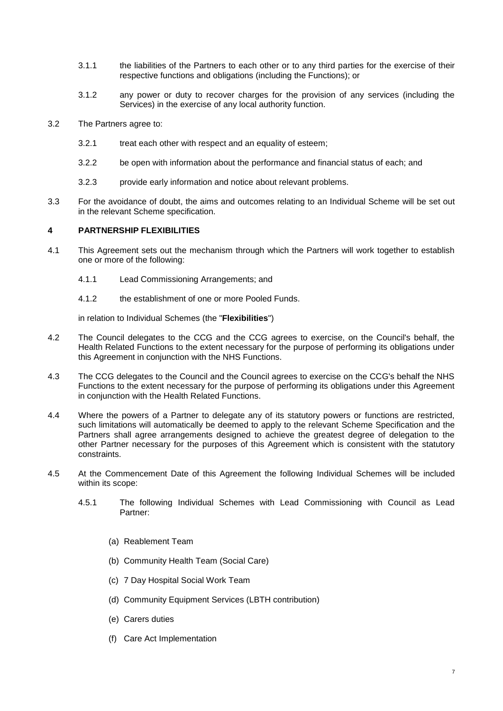- 3.1.1 the liabilities of the Partners to each other or to any third parties for the exercise of their respective functions and obligations (including the Functions); or
- 3.1.2 any power or duty to recover charges for the provision of any services (including the Services) in the exercise of any local authority function.
- 3.2 The Partners agree to:
	- 3.2.1 treat each other with respect and an equality of esteem;
	- 3.2.2 be open with information about the performance and financial status of each; and
	- 3.2.3 provide early information and notice about relevant problems.
- 3.3 For the avoidance of doubt, the aims and outcomes relating to an Individual Scheme will be set out in the relevant Scheme specification.

# <span id="page-9-0"></span>**4 PARTNERSHIP FLEXIBILITIES**

- 4.1 This Agreement sets out the mechanism through which the Partners will work together to establish one or more of the following:
	- 4.1.1 Lead Commissioning Arrangements; and
	- 4.1.2 the establishment of one or more Pooled Funds.

in relation to Individual Schemes (the "**Flexibilities**")

- 4.2 The Council delegates to the CCG and the CCG agrees to exercise, on the Council's behalf, the Health Related Functions to the extent necessary for the purpose of performing its obligations under this Agreement in conjunction with the NHS Functions.
- 4.3 The CCG delegates to the Council and the Council agrees to exercise on the CCG's behalf the NHS Functions to the extent necessary for the purpose of performing its obligations under this Agreement in conjunction with the Health Related Functions.
- 4.4 Where the powers of a Partner to delegate any of its statutory powers or functions are restricted, such limitations will automatically be deemed to apply to the relevant Scheme Specification and the Partners shall agree arrangements designed to achieve the greatest degree of delegation to the other Partner necessary for the purposes of this Agreement which is consistent with the statutory constraints.
- 4.5 At the Commencement Date of this Agreement the following Individual Schemes will be included within its scope:
	- 4.5.1 The following Individual Schemes with Lead Commissioning with Council as Lead Partner:
		- (a) Reablement Team
		- (b) Community Health Team (Social Care)
		- (c) 7 Day Hospital Social Work Team
		- (d) Community Equipment Services (LBTH contribution)
		- (e) Carers duties
		- (f) Care Act Implementation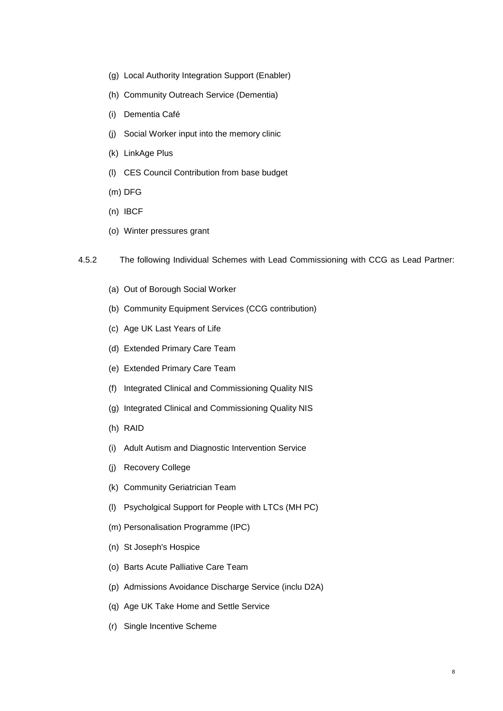- (g) Local Authority Integration Support (Enabler)
- (h) Community Outreach Service (Dementia)
- (i) Dementia Café
- (j) Social Worker input into the memory clinic
- (k) LinkAge Plus
- (l) CES Council Contribution from base budget
- (m) DFG
- (n) IBCF
- (o) Winter pressures grant
- 4.5.2 The following Individual Schemes with Lead Commissioning with CCG as Lead Partner:
	- (a) Out of Borough Social Worker
	- (b) Community Equipment Services (CCG contribution)
	- (c) Age UK Last Years of Life
	- (d) Extended Primary Care Team
	- (e) Extended Primary Care Team
	- (f) Integrated Clinical and Commissioning Quality NIS
	- (g) Integrated Clinical and Commissioning Quality NIS
	- (h) RAID
	- (i) Adult Autism and Diagnostic Intervention Service
	- (j) Recovery College
	- (k) Community Geriatrician Team
	- (l) Psycholgical Support for People with LTCs (MH PC)
	- (m) Personalisation Programme (IPC)
	- (n) St Joseph's Hospice
	- (o) Barts Acute Palliative Care Team
	- (p) Admissions Avoidance Discharge Service (inclu D2A)
	- (q) Age UK Take Home and Settle Service
	- (r) Single Incentive Scheme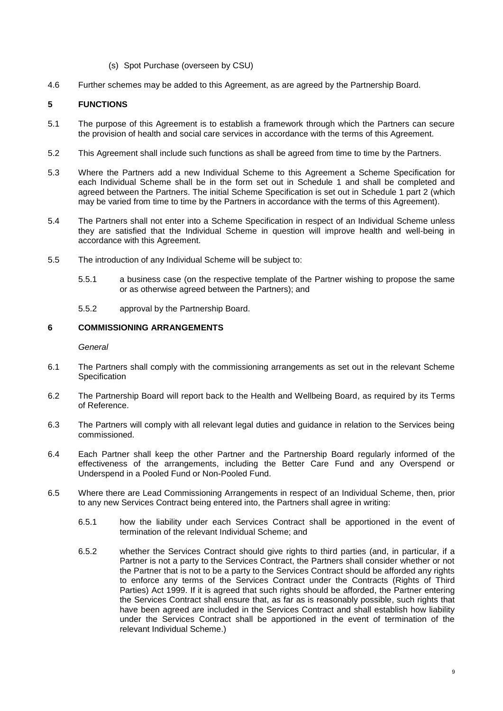- (s) Spot Purchase (overseen by CSU)
- 4.6 Further schemes may be added to this Agreement, as are agreed by the Partnership Board.

# <span id="page-11-0"></span>**5 FUNCTIONS**

- 5.1 The purpose of this Agreement is to establish a framework through which the Partners can secure the provision of health and social care services in accordance with the terms of this Agreement.
- 5.2 This Agreement shall include such functions as shall be agreed from time to time by the Partners.
- 5.3 Where the Partners add a new Individual Scheme to this Agreement a Scheme Specification for each Individual Scheme shall be in the form set out in Schedule 1 and shall be completed and agreed between the Partners. The initial Scheme Specification is set out in Schedule 1 part 2 (which may be varied from time to time by the Partners in accordance with the terms of this Agreement).
- 5.4 The Partners shall not enter into a Scheme Specification in respect of an Individual Scheme unless they are satisfied that the Individual Scheme in question will improve health and well-being in accordance with this Agreement.
- 5.5 The introduction of any Individual Scheme will be subject to:
	- 5.5.1 a business case (on the respective template of the Partner wishing to propose the same or as otherwise agreed between the Partners); and
	- 5.5.2 approval by the Partnership Board.

# <span id="page-11-1"></span>**6 COMMISSIONING ARRANGEMENTS**

#### *General*

- 6.1 The Partners shall comply with the commissioning arrangements as set out in the relevant Scheme **Specification**
- 6.2 The Partnership Board will report back to the Health and Wellbeing Board, as required by its Terms of Reference.
- 6.3 The Partners will comply with all relevant legal duties and guidance in relation to the Services being commissioned.
- 6.4 Each Partner shall keep the other Partner and the Partnership Board regularly informed of the effectiveness of the arrangements, including the Better Care Fund and any Overspend or Underspend in a Pooled Fund or Non-Pooled Fund.
- 6.5 Where there are Lead Commissioning Arrangements in respect of an Individual Scheme, then, prior to any new Services Contract being entered into, the Partners shall agree in writing:
	- 6.5.1 how the liability under each Services Contract shall be apportioned in the event of termination of the relevant Individual Scheme; and
	- 6.5.2 whether the Services Contract should give rights to third parties (and, in particular, if a Partner is not a party to the Services Contract, the Partners shall consider whether or not the Partner that is not to be a party to the Services Contract should be afforded any rights to enforce any terms of the Services Contract under the Contracts (Rights of Third Parties) Act 1999. If it is agreed that such rights should be afforded, the Partner entering the Services Contract shall ensure that, as far as is reasonably possible, such rights that have been agreed are included in the Services Contract and shall establish how liability under the Services Contract shall be apportioned in the event of termination of the relevant Individual Scheme.)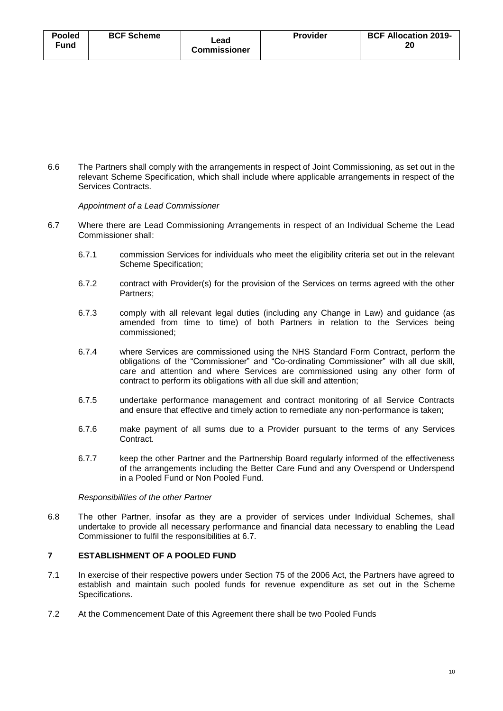| <b>Pooled</b> | <b>BCF Scheme</b> | Lead<br><b>Commissioner</b> | <b>Provider</b> | <b>BCF Allocation 2019-</b> |
|---------------|-------------------|-----------------------------|-----------------|-----------------------------|
| Fund          |                   |                             |                 | 20                          |
|               |                   |                             |                 |                             |

6.6 The Partners shall comply with the arrangements in respect of Joint Commissioning, as set out in the relevant Scheme Specification, which shall include where applicable arrangements in respect of the Services Contracts.

*Appointment of a Lead Commissioner*

- 6.7 Where there are Lead Commissioning Arrangements in respect of an Individual Scheme the Lead Commissioner shall:
	- 6.7.1 commission Services for individuals who meet the eligibility criteria set out in the relevant Scheme Specification;
	- 6.7.2 contract with Provider(s) for the provision of the Services on terms agreed with the other Partners;
	- 6.7.3 comply with all relevant legal duties (including any Change in Law) and guidance (as amended from time to time) of both Partners in relation to the Services being commissioned;
	- 6.7.4 where Services are commissioned using the NHS Standard Form Contract, perform the obligations of the "Commissioner" and "Co-ordinating Commissioner" with all due skill, care and attention and where Services are commissioned using any other form of contract to perform its obligations with all due skill and attention;
	- 6.7.5 undertake performance management and contract monitoring of all Service Contracts and ensure that effective and timely action to remediate any non-performance is taken;
	- 6.7.6 make payment of all sums due to a Provider pursuant to the terms of any Services Contract.
	- 6.7.7 keep the other Partner and the Partnership Board regularly informed of the effectiveness of the arrangements including the Better Care Fund and any Overspend or Underspend in a Pooled Fund or Non Pooled Fund.

*Responsibilities of the other Partner*

6.8 The other Partner, insofar as they are a provider of services under Individual Schemes, shall undertake to provide all necessary performance and financial data necessary to enabling the Lead Commissioner to fulfil the responsibilities at 6.7.

# <span id="page-12-0"></span>**7 ESTABLISHMENT OF A POOLED FUND**

- 7.1 In exercise of their respective powers under Section 75 of the 2006 Act, the Partners have agreed to establish and maintain such pooled funds for revenue expenditure as set out in the Scheme Specifications.
- 7.2 At the Commencement Date of this Agreement there shall be two Pooled Funds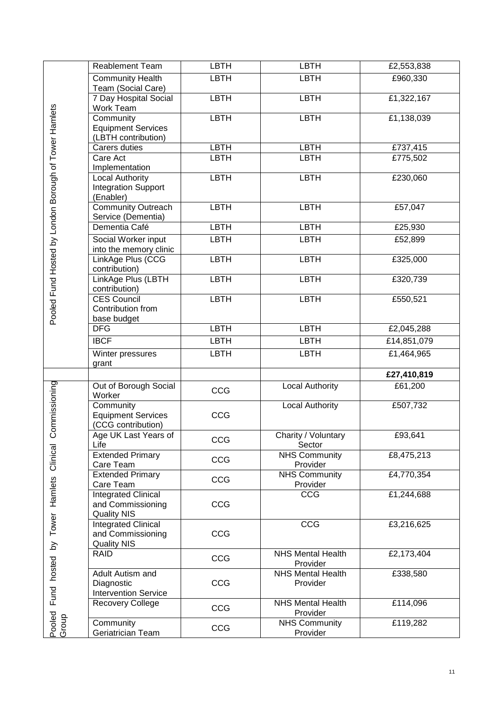|                                                       | <b>Reablement Team</b>                                                | <b>LBTH</b> | <b>LBTH</b>                          | £2,553,838  |
|-------------------------------------------------------|-----------------------------------------------------------------------|-------------|--------------------------------------|-------------|
|                                                       | <b>Community Health</b><br>Team (Social Care)                         | <b>LBTH</b> | <b>LBTH</b>                          | £960,330    |
|                                                       | 7 Day Hospital Social<br>Work Team                                    | <b>LBTH</b> | <b>LBTH</b>                          | E1,322,167  |
|                                                       | Community<br><b>Equipment Services</b><br>(LBTH contribution)         | <b>LBTH</b> | <b>LBTH</b>                          | £1,138,039  |
|                                                       | Carers duties                                                         | <b>LBTH</b> | <b>LBTH</b>                          | £737,415    |
|                                                       | Care Act<br>Implementation                                            | <b>LBTH</b> | <b>LBTH</b>                          | £775,502    |
|                                                       | Local Authority<br><b>Integration Support</b><br>(Enabler)            | <b>LBTH</b> | <b>LBTH</b>                          | £230,060    |
|                                                       | <b>Community Outreach</b><br>Service (Dementia)                       | <b>LBTH</b> | <b>LBTH</b>                          | £57,047     |
|                                                       | Dementia Café                                                         | <b>LBTH</b> | <b>LBTH</b>                          | £25,930     |
|                                                       | Social Worker input<br>into the memory clinic                         | <b>LBTH</b> | <b>LBTH</b>                          | £52,899     |
|                                                       | LinkAge Plus (CCG<br>contribution)                                    | <b>LBTH</b> | <b>LBTH</b>                          | £325,000    |
|                                                       | LinkAge Plus (LBTH<br>contribution)                                   | <b>LBTH</b> | <b>LBTH</b>                          | £320,739    |
| Pooled Fund Hosted by London Borough of Tower Hamlets | <b>CES Council</b><br>Contribution from<br>base budget                | LBTH        | <b>LBTH</b>                          | £550,521    |
|                                                       | <b>DFG</b>                                                            | <b>LBTH</b> | <b>LBTH</b>                          | £2,045,288  |
|                                                       | <b>IBCF</b>                                                           | <b>LBTH</b> | <b>LBTH</b>                          | £14,851,079 |
|                                                       | Winter pressures<br>grant                                             | <b>LBTH</b> | <b>LBTH</b>                          | £1,464,965  |
|                                                       |                                                                       |             |                                      | £27,410,819 |
|                                                       | Out of Borough Social<br>Worker                                       | CCG         | <b>Local Authority</b>               | £61,200     |
| Commissioning                                         | Community<br><b>Equipment Services</b><br>(CCG contribution)          | CCG         | <b>Local Authority</b>               | £507,732    |
|                                                       | Age UK Last Years of<br>Life                                          | CCG         | Charity / Voluntary<br>Sector        | £93,641     |
|                                                       | <b>Extended Primary</b><br>Care Team                                  | CCG         | <b>NHS Community</b><br>Provider     | £8,475,213  |
|                                                       | <b>Extended Primary</b><br>Care Team                                  | CCG         | <b>NHS Community</b><br>Provider     | £4,770,354  |
| Tower Hamlets Clinical                                | Integrated Clinical<br>and Commissioning<br><b>Quality NIS</b>        | CCG         | CCG                                  | £1,244,688  |
| $\delta$                                              | <b>Integrated Clinical</b><br>and Commissioning<br><b>Quality NIS</b> | CCG         | CCG                                  | £3,216,625  |
|                                                       | <b>RAID</b>                                                           | CCG         | <b>NHS Mental Health</b><br>Provider | £2,173,404  |
| Fund hosted                                           | Adult Autism and<br>Diagnostic<br><b>Intervention Service</b>         | CCG         | <b>NHS Mental Health</b><br>Provider | £338,580    |
|                                                       | <b>Recovery College</b>                                               | CCG         | <b>NHS Mental Health</b><br>Provider | £114,096    |
| Pooled<br>Group                                       | Community<br>Geriatrician Team                                        | CCG         | <b>NHS Community</b><br>Provider     | £119,282    |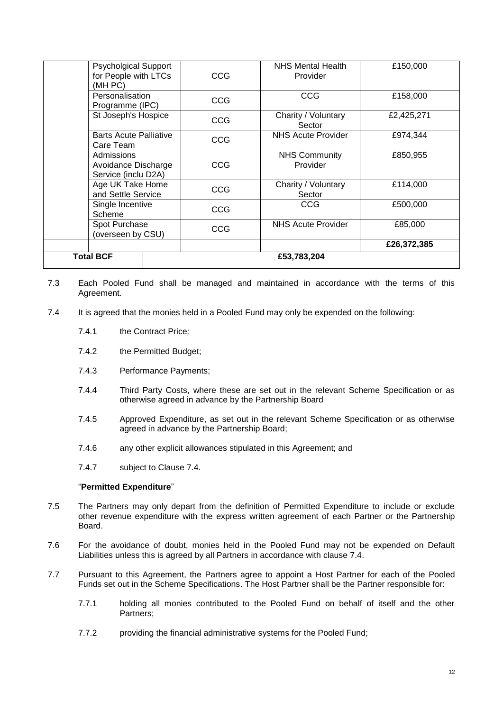| <b>Psycholgical Support</b><br>for People with LTCs<br>(MH PC) | <b>CCG</b> | <b>NHS Mental Health</b><br>Provider | £150,000    |
|----------------------------------------------------------------|------------|--------------------------------------|-------------|
| Personalisation<br>Programme (IPC)                             | CCG        | CCG                                  | £158,000    |
| St Joseph's Hospice                                            | CCG        | Charity / Voluntary<br>Sector        | £2,425,271  |
| <b>Barts Acute Palliative</b><br>Care Team                     | <b>CCG</b> | NHS Acute Provider                   | £974,344    |
| Admissions<br>Avoidance Discharge<br>Service (inclu D2A)       | CCG        | <b>NHS Community</b><br>Provider     | £850,955    |
| Age UK Take Home<br>and Settle Service                         | CCG        | Charity / Voluntary<br>Sector        | £114,000    |
| Single Incentive<br>Scheme                                     | CCG        | CCG                                  | £500,000    |
| Spot Purchase<br>(overseen by CSU)                             | CCG        | <b>NHS Acute Provider</b>            | £85,000     |
|                                                                |            |                                      | £26,372,385 |
| <b>Total BCF</b>                                               |            | £53,783,204                          |             |

- 7.3 Each Pooled Fund shall be managed and maintained in accordance with the terms of this Agreement.
- 7.4 It is agreed that the monies held in a Pooled Fund may only be expended on the following:
	- 7.4.1 the Contract Price*;*
	- 7.4.2 the Permitted Budget;
	- 7.4.3 Performance Payments;
	- 7.4.4 Third Party Costs, where these are set out in the relevant Scheme Specification or as otherwise agreed in advance by the Partnership Board
	- 7.4.5 Approved Expenditure, as set out in the relevant Scheme Specification or as otherwise agreed in advance by the Partnership Board;
	- 7.4.6 any other explicit allowances stipulated in this Agreement; and
	- 7.4.7 subject to Clause 7.4.

#### "**Permitted Expenditure**"

- 7.5 The Partners may only depart from the definition of Permitted Expenditure to include or exclude other revenue expenditure with the express written agreement of each Partner or the Partnership Board.
- 7.6 For the avoidance of doubt, monies held in the Pooled Fund may not be expended on Default Liabilities unless this is agreed by all Partners in accordance with clause 7.4.
- 7.7 Pursuant to this Agreement, the Partners agree to appoint a Host Partner for each of the Pooled Funds set out in the Scheme Specifications. The Host Partner shall be the Partner responsible for:
	- 7.7.1 holding all monies contributed to the Pooled Fund on behalf of itself and the other Partners;
	- 7.7.2 providing the financial administrative systems for the Pooled Fund;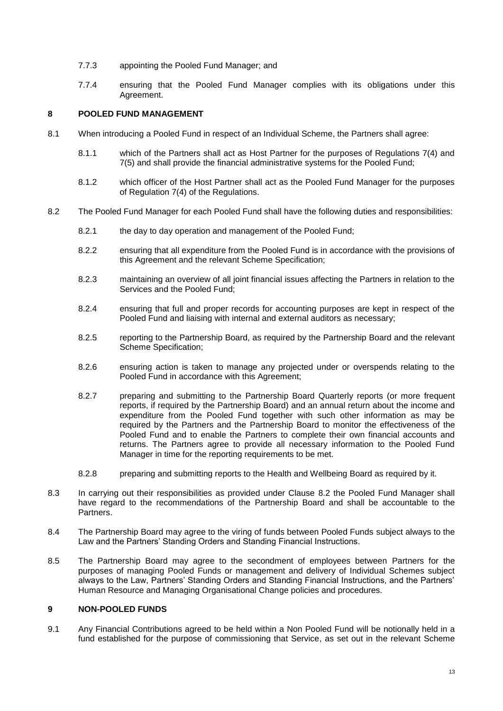- 7.7.3 appointing the Pooled Fund Manager; and
- 7.7.4 ensuring that the Pooled Fund Manager complies with its obligations under this Agreement.

# <span id="page-15-0"></span>**8 POOLED FUND MANAGEMENT**

- 8.1 When introducing a Pooled Fund in respect of an Individual Scheme, the Partners shall agree:
	- 8.1.1 which of the Partners shall act as Host Partner for the purposes of Regulations 7(4) and 7(5) and shall provide the financial administrative systems for the Pooled Fund;
	- 8.1.2 which officer of the Host Partner shall act as the Pooled Fund Manager for the purposes of Regulation 7(4) of the Regulations.
- 8.2 The Pooled Fund Manager for each Pooled Fund shall have the following duties and responsibilities:
	- 8.2.1 the day to day operation and management of the Pooled Fund;
	- 8.2.2 ensuring that all expenditure from the Pooled Fund is in accordance with the provisions of this Agreement and the relevant Scheme Specification;
	- 8.2.3 maintaining an overview of all joint financial issues affecting the Partners in relation to the Services and the Pooled Fund;
	- 8.2.4 ensuring that full and proper records for accounting purposes are kept in respect of the Pooled Fund and liaising with internal and external auditors as necessary;
	- 8.2.5 reporting to the Partnership Board, as required by the Partnership Board and the relevant Scheme Specification;
	- 8.2.6 ensuring action is taken to manage any projected under or overspends relating to the Pooled Fund in accordance with this Agreement;
	- 8.2.7 preparing and submitting to the Partnership Board Quarterly reports (or more frequent reports, if required by the Partnership Board) and an annual return about the income and expenditure from the Pooled Fund together with such other information as may be required by the Partners and the Partnership Board to monitor the effectiveness of the Pooled Fund and to enable the Partners to complete their own financial accounts and returns. The Partners agree to provide all necessary information to the Pooled Fund Manager in time for the reporting requirements to be met.
	- 8.2.8 preparing and submitting reports to the Health and Wellbeing Board as required by it.
- 8.3 In carrying out their responsibilities as provided under Clause 8.2 the Pooled Fund Manager shall have regard to the recommendations of the Partnership Board and shall be accountable to the Partners.
- 8.4 The Partnership Board may agree to the viring of funds between Pooled Funds subject always to the Law and the Partners' Standing Orders and Standing Financial Instructions.
- 8.5 The Partnership Board may agree to the secondment of employees between Partners for the purposes of managing Pooled Funds or management and delivery of Individual Schemes subject always to the Law, Partners' Standing Orders and Standing Financial Instructions, and the Partners' Human Resource and Managing Organisational Change policies and procedures.

#### <span id="page-15-1"></span>**9 NON-POOLED FUNDS**

9.1 Any Financial Contributions agreed to be held within a Non Pooled Fund will be notionally held in a fund established for the purpose of commissioning that Service, as set out in the relevant Scheme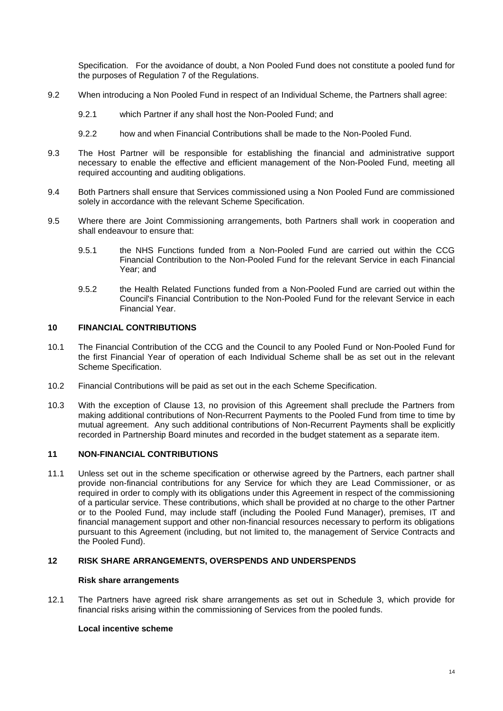Specification. For the avoidance of doubt, a Non Pooled Fund does not constitute a pooled fund for the purposes of Regulation 7 of the Regulations.

- 9.2 When introducing a Non Pooled Fund in respect of an Individual Scheme, the Partners shall agree:
	- 9.2.1 which Partner if any shall host the Non-Pooled Fund; and
	- 9.2.2 how and when Financial Contributions shall be made to the Non-Pooled Fund.
- 9.3 The Host Partner will be responsible for establishing the financial and administrative support necessary to enable the effective and efficient management of the Non-Pooled Fund, meeting all required accounting and auditing obligations.
- 9.4 Both Partners shall ensure that Services commissioned using a Non Pooled Fund are commissioned solely in accordance with the relevant Scheme Specification.
- 9.5 Where there are Joint Commissioning arrangements, both Partners shall work in cooperation and shall endeavour to ensure that:
	- 9.5.1 the NHS Functions funded from a Non-Pooled Fund are carried out within the CCG Financial Contribution to the Non-Pooled Fund for the relevant Service in each Financial Year; and
	- 9.5.2 the Health Related Functions funded from a Non-Pooled Fund are carried out within the Council's Financial Contribution to the Non-Pooled Fund for the relevant Service in each Financial Year.

## <span id="page-16-0"></span>**10 FINANCIAL CONTRIBUTIONS**

- 10.1 The Financial Contribution of the CCG and the Council to any Pooled Fund or Non-Pooled Fund for the first Financial Year of operation of each Individual Scheme shall be as set out in the relevant Scheme Specification.
- 10.2 Financial Contributions will be paid as set out in the each Scheme Specification.
- 10.3 With the exception of Clause 13, no provision of this Agreement shall preclude the Partners from making additional contributions of Non-Recurrent Payments to the Pooled Fund from time to time by mutual agreement. Any such additional contributions of Non-Recurrent Payments shall be explicitly recorded in Partnership Board minutes and recorded in the budget statement as a separate item.

#### <span id="page-16-1"></span>**11 NON-FINANCIAL CONTRIBUTIONS**

11.1 Unless set out in the scheme specification or otherwise agreed by the Partners, each partner shall provide non-financial contributions for any Service for which they are Lead Commissioner, or as required in order to comply with its obligations under this Agreement in respect of the commissioning of a particular service. These contributions, which shall be provided at no charge to the other Partner or to the Pooled Fund, may include staff (including the Pooled Fund Manager), premises, IT and financial management support and other non-financial resources necessary to perform its obligations pursuant to this Agreement (including, but not limited to, the management of Service Contracts and the Pooled Fund).

#### <span id="page-16-2"></span>**12 RISK SHARE ARRANGEMENTS, OVERSPENDS AND UNDERSPENDS**

#### **Risk share arrangements**

12.1 The Partners have agreed risk share arrangements as set out in Schedule 3, which provide for financial risks arising within the commissioning of Services from the pooled funds.

#### **Local incentive scheme**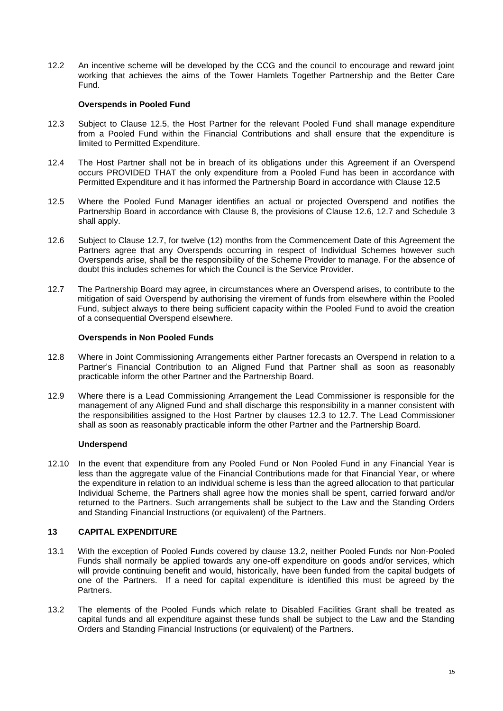12.2 An incentive scheme will be developed by the CCG and the council to encourage and reward joint working that achieves the aims of the Tower Hamlets Together Partnership and the Better Care Fund.

#### **Overspends in Pooled Fund**

- 12.3 Subject to Clause 12.5, the Host Partner for the relevant Pooled Fund shall manage expenditure from a Pooled Fund within the Financial Contributions and shall ensure that the expenditure is limited to Permitted Expenditure.
- 12.4 The Host Partner shall not be in breach of its obligations under this Agreement if an Overspend occurs PROVIDED THAT the only expenditure from a Pooled Fund has been in accordance with Permitted Expenditure and it has informed the Partnership Board in accordance with Clause 12.5
- 12.5 Where the Pooled Fund Manager identifies an actual or projected Overspend and notifies the Partnership Board in accordance with Clause 8, the provisions of Clause 12.6, 12.7 and Schedule 3 shall apply.
- 12.6 Subject to Clause 12.7, for twelve (12) months from the Commencement Date of this Agreement the Partners agree that any Overspends occurring in respect of Individual Schemes however such Overspends arise, shall be the responsibility of the Scheme Provider to manage. For the absence of doubt this includes schemes for which the Council is the Service Provider.
- 12.7 The Partnership Board may agree, in circumstances where an Overspend arises, to contribute to the mitigation of said Overspend by authorising the virement of funds from elsewhere within the Pooled Fund, subject always to there being sufficient capacity within the Pooled Fund to avoid the creation of a consequential Overspend elsewhere.

#### **Overspends in Non Pooled Funds**

- 12.8 Where in Joint Commissioning Arrangements either Partner forecasts an Overspend in relation to a Partner's Financial Contribution to an Aligned Fund that Partner shall as soon as reasonably practicable inform the other Partner and the Partnership Board.
- 12.9 Where there is a Lead Commissioning Arrangement the Lead Commissioner is responsible for the management of any Aligned Fund and shall discharge this responsibility in a manner consistent with the responsibilities assigned to the Host Partner by clauses 12.3 to 12.7. The Lead Commissioner shall as soon as reasonably practicable inform the other Partner and the Partnership Board.

# **Underspend**

12.10 In the event that expenditure from any Pooled Fund or Non Pooled Fund in any Financial Year is less than the aggregate value of the Financial Contributions made for that Financial Year, or where the expenditure in relation to an individual scheme is less than the agreed allocation to that particular Individual Scheme, the Partners shall agree how the monies shall be spent, carried forward and/or returned to the Partners. Such arrangements shall be subject to the Law and the Standing Orders and Standing Financial Instructions (or equivalent) of the Partners.

# <span id="page-17-0"></span>**13 CAPITAL EXPENDITURE**

- 13.1 With the exception of Pooled Funds covered by clause 13.2, neither Pooled Funds nor Non-Pooled Funds shall normally be applied towards any one-off expenditure on goods and/or services, which will provide continuing benefit and would, historically, have been funded from the capital budgets of one of the Partners. If a need for capital expenditure is identified this must be agreed by the Partners.
- 13.2 The elements of the Pooled Funds which relate to Disabled Facilities Grant shall be treated as capital funds and all expenditure against these funds shall be subject to the Law and the Standing Orders and Standing Financial Instructions (or equivalent) of the Partners.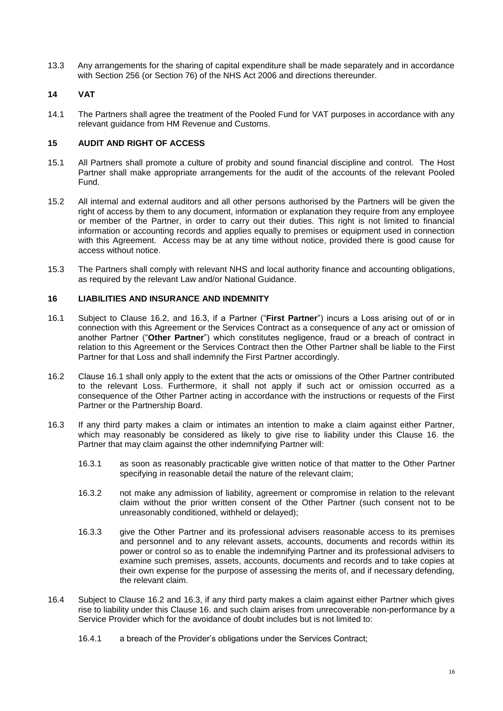13.3 Any arrangements for the sharing of capital expenditure shall be made separately and in accordance with Section 256 (or Section 76) of the NHS Act 2006 and directions thereunder.

# <span id="page-18-0"></span>**14 VAT**

14.1 The Partners shall agree the treatment of the Pooled Fund for VAT purposes in accordance with any relevant guidance from HM Revenue and Customs.

# <span id="page-18-1"></span>**15 AUDIT AND RIGHT OF ACCESS**

- 15.1 All Partners shall promote a culture of probity and sound financial discipline and control. The Host Partner shall make appropriate arrangements for the audit of the accounts of the relevant Pooled Fund.
- 15.2 All internal and external auditors and all other persons authorised by the Partners will be given the right of access by them to any document, information or explanation they require from any employee or member of the Partner, in order to carry out their duties. This right is not limited to financial information or accounting records and applies equally to premises or equipment used in connection with this Agreement. Access may be at any time without notice, provided there is good cause for access without notice.
- 15.3 The Partners shall comply with relevant NHS and local authority finance and accounting obligations, as required by the relevant Law and/or National Guidance.

# <span id="page-18-2"></span>**16 LIABILITIES AND INSURANCE AND INDEMNITY**

- 16.1 Subject to Clause 16.2, and 16.3, if a Partner ("**First Partner**") incurs a Loss arising out of or in connection with this Agreement or the Services Contract as a consequence of any act or omission of another Partner ("**Other Partner**") which constitutes negligence, fraud or a breach of contract in relation to this Agreement or the Services Contract then the Other Partner shall be liable to the First Partner for that Loss and shall indemnify the First Partner accordingly.
- 16.2 Clause 16.1 shall only apply to the extent that the acts or omissions of the Other Partner contributed to the relevant Loss. Furthermore, it shall not apply if such act or omission occurred as a consequence of the Other Partner acting in accordance with the instructions or requests of the First Partner or the Partnership Board.
- 16.3 If any third party makes a claim or intimates an intention to make a claim against either Partner, which may reasonably be considered as likely to give rise to liability under this Clause 16. the Partner that may claim against the other indemnifying Partner will:
	- 16.3.1 as soon as reasonably practicable give written notice of that matter to the Other Partner specifying in reasonable detail the nature of the relevant claim;
	- 16.3.2 not make any admission of liability, agreement or compromise in relation to the relevant claim without the prior written consent of the Other Partner (such consent not to be unreasonably conditioned, withheld or delayed);
	- 16.3.3 give the Other Partner and its professional advisers reasonable access to its premises and personnel and to any relevant assets, accounts, documents and records within its power or control so as to enable the indemnifying Partner and its professional advisers to examine such premises, assets, accounts, documents and records and to take copies at their own expense for the purpose of assessing the merits of, and if necessary defending, the relevant claim.
- 16.4 Subject to Clause 16.2 and 16.3, if any third party makes a claim against either Partner which gives rise to liability under this Clause 16. and such claim arises from unrecoverable non-performance by a Service Provider which for the avoidance of doubt includes but is not limited to:
	- 16.4.1 a breach of the Provider's obligations under the Services Contract;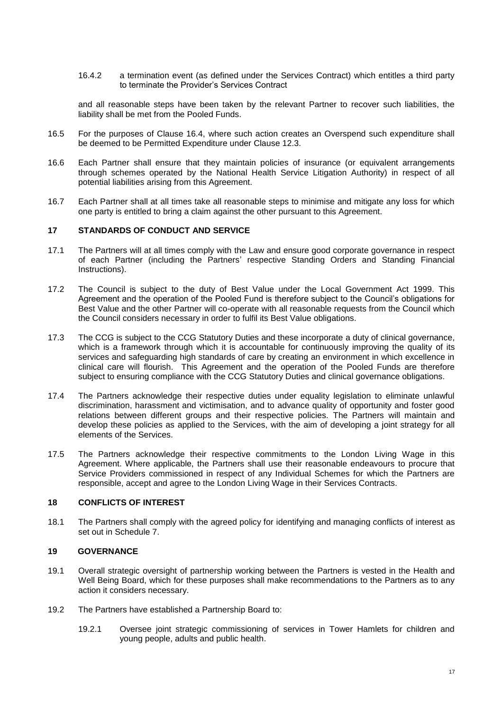16.4.2 a termination event (as defined under the Services Contract) which entitles a third party to terminate the Provider's Services Contract

and all reasonable steps have been taken by the relevant Partner to recover such liabilities, the liability shall be met from the Pooled Funds.

- 16.5 For the purposes of Clause 16.4, where such action creates an Overspend such expenditure shall be deemed to be Permitted Expenditure under Clause 12.3.
- 16.6 Each Partner shall ensure that they maintain policies of insurance (or equivalent arrangements through schemes operated by the National Health Service Litigation Authority) in respect of all potential liabilities arising from this Agreement.
- 16.7 Each Partner shall at all times take all reasonable steps to minimise and mitigate any loss for which one party is entitled to bring a claim against the other pursuant to this Agreement.

#### <span id="page-19-0"></span>**17 STANDARDS OF CONDUCT AND SERVICE**

- 17.1 The Partners will at all times comply with the Law and ensure good corporate governance in respect of each Partner (including the Partners' respective Standing Orders and Standing Financial Instructions).
- 17.2 The Council is subject to the duty of Best Value under the Local Government Act 1999. This Agreement and the operation of the Pooled Fund is therefore subject to the Council's obligations for Best Value and the other Partner will co-operate with all reasonable requests from the Council which the Council considers necessary in order to fulfil its Best Value obligations.
- 17.3 The CCG is subject to the CCG Statutory Duties and these incorporate a duty of clinical governance, which is a framework through which it is accountable for continuously improving the quality of its services and safeguarding high standards of care by creating an environment in which excellence in clinical care will flourish. This Agreement and the operation of the Pooled Funds are therefore subject to ensuring compliance with the CCG Statutory Duties and clinical governance obligations.
- 17.4 The Partners acknowledge their respective duties under equality legislation to eliminate unlawful discrimination, harassment and victimisation, and to advance quality of opportunity and foster good relations between different groups and their respective policies. The Partners will maintain and develop these policies as applied to the Services, with the aim of developing a joint strategy for all elements of the Services.
- 17.5 The Partners acknowledge their respective commitments to the London Living Wage in this Agreement. Where applicable, the Partners shall use their reasonable endeavours to procure that Service Providers commissioned in respect of any Individual Schemes for which the Partners are responsible, accept and agree to the London Living Wage in their Services Contracts.

# <span id="page-19-1"></span>**18 CONFLICTS OF INTEREST**

18.1 The Partners shall comply with the agreed policy for identifying and managing conflicts of interest as set out in Schedule 7.

# <span id="page-19-2"></span>**19 GOVERNANCE**

- 19.1 Overall strategic oversight of partnership working between the Partners is vested in the Health and Well Being Board, which for these purposes shall make recommendations to the Partners as to any action it considers necessary.
- 19.2 The Partners have established a Partnership Board to:
	- 19.2.1 Oversee joint strategic commissioning of services in Tower Hamlets for children and young people, adults and public health.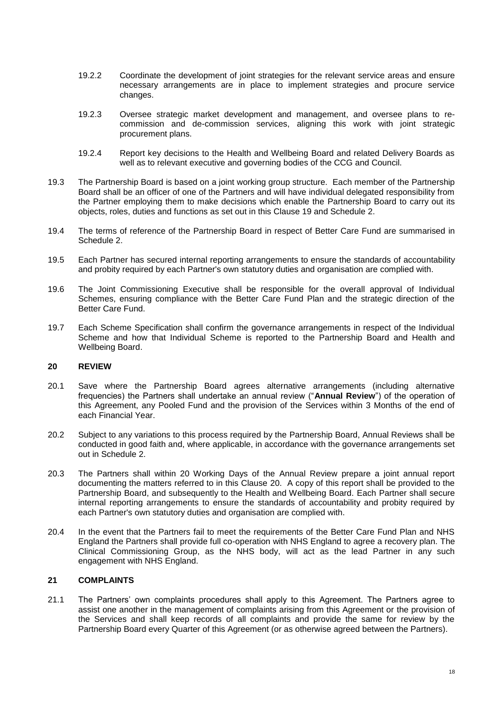- 19.2.2 Coordinate the development of joint strategies for the relevant service areas and ensure necessary arrangements are in place to implement strategies and procure service changes.
- 19.2.3 Oversee strategic market development and management, and oversee plans to recommission and de-commission services, aligning this work with joint strategic procurement plans.
- 19.2.4 Report key decisions to the Health and Wellbeing Board and related Delivery Boards as well as to relevant executive and governing bodies of the CCG and Council.
- 19.3 The Partnership Board is based on a joint working group structure. Each member of the Partnership Board shall be an officer of one of the Partners and will have individual delegated responsibility from the Partner employing them to make decisions which enable the Partnership Board to carry out its objects, roles, duties and functions as set out in this Clause 19 and Schedule 2.
- 19.4 The terms of reference of the Partnership Board in respect of Better Care Fund are summarised in Schedule 2.
- 19.5 Each Partner has secured internal reporting arrangements to ensure the standards of accountability and probity required by each Partner's own statutory duties and organisation are complied with.
- 19.6 The Joint Commissioning Executive shall be responsible for the overall approval of Individual Schemes, ensuring compliance with the Better Care Fund Plan and the strategic direction of the Better Care Fund.
- 19.7 Each Scheme Specification shall confirm the governance arrangements in respect of the Individual Scheme and how that Individual Scheme is reported to the Partnership Board and Health and Wellbeing Board.

### <span id="page-20-0"></span>**20 REVIEW**

- 20.1 Save where the Partnership Board agrees alternative arrangements (including alternative frequencies) the Partners shall undertake an annual review ("**Annual Review**") of the operation of this Agreement, any Pooled Fund and the provision of the Services within 3 Months of the end of each Financial Year.
- 20.2 Subject to any variations to this process required by the Partnership Board, Annual Reviews shall be conducted in good faith and, where applicable, in accordance with the governance arrangements set out in Schedule 2.
- 20.3 The Partners shall within 20 Working Days of the Annual Review prepare a joint annual report documenting the matters referred to in this Clause 20. A copy of this report shall be provided to the Partnership Board, and subsequently to the Health and Wellbeing Board. Each Partner shall secure internal reporting arrangements to ensure the standards of accountability and probity required by each Partner's own statutory duties and organisation are complied with.
- 20.4 In the event that the Partners fail to meet the requirements of the Better Care Fund Plan and NHS England the Partners shall provide full co-operation with NHS England to agree a recovery plan. The Clinical Commissioning Group, as the NHS body, will act as the lead Partner in any such engagement with NHS England.

# <span id="page-20-1"></span>**21 COMPLAINTS**

21.1 The Partners' own complaints procedures shall apply to this Agreement. The Partners agree to assist one another in the management of complaints arising from this Agreement or the provision of the Services and shall keep records of all complaints and provide the same for review by the Partnership Board every Quarter of this Agreement (or as otherwise agreed between the Partners).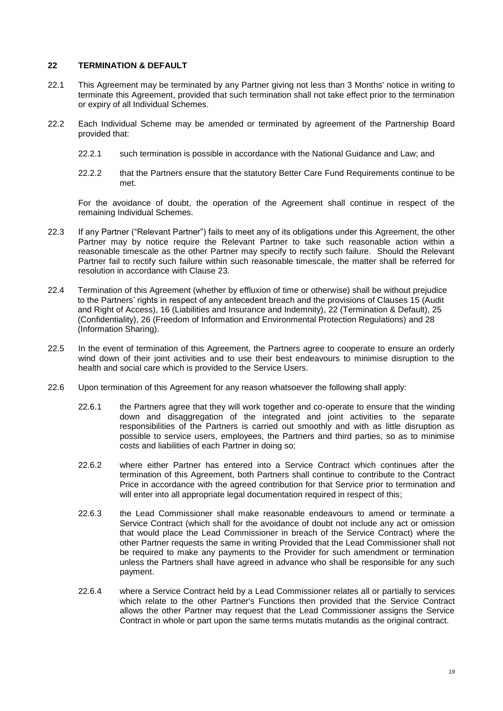### <span id="page-21-0"></span>**22 TERMINATION & DEFAULT**

- 22.1 This Agreement may be terminated by any Partner giving not less than 3 Months' notice in writing to terminate this Agreement, provided that such termination shall not take effect prior to the termination or expiry of all Individual Schemes.
- 22.2 Each Individual Scheme may be amended or terminated by agreement of the Partnership Board provided that:
	- 22.2.1 such termination is possible in accordance with the National Guidance and Law; and
	- 22.2.2 that the Partners ensure that the statutory Better Care Fund Requirements continue to be met.

For the avoidance of doubt, the operation of the Agreement shall continue in respect of the remaining Individual Schemes.

- 22.3 If any Partner ("Relevant Partner") fails to meet any of its obligations under this Agreement, the other Partner may by notice require the Relevant Partner to take such reasonable action within a reasonable timescale as the other Partner may specify to rectify such failure. Should the Relevant Partner fail to rectify such failure within such reasonable timescale, the matter shall be referred for resolution in accordance with Clause 23.
- 22.4 Termination of this Agreement (whether by effluxion of time or otherwise) shall be without prejudice to the Partners' rights in respect of any antecedent breach and the provisions of Clauses 15 (Audit and Right of Access), 16 (Liabilities and Insurance and Indemnity), 22 (Termination & Default), 25 (Confidentiality), 26 (Freedom of Information and Environmental Protection Regulations) and 28 (Information Sharing).
- 22.5 In the event of termination of this Agreement, the Partners agree to cooperate to ensure an orderly wind down of their joint activities and to use their best endeavours to minimise disruption to the health and social care which is provided to the Service Users.
- 22.6 Upon termination of this Agreement for any reason whatsoever the following shall apply:
	- 22.6.1 the Partners agree that they will work together and co-operate to ensure that the winding down and disaggregation of the integrated and joint activities to the separate responsibilities of the Partners is carried out smoothly and with as little disruption as possible to service users, employees, the Partners and third parties, so as to minimise costs and liabilities of each Partner in doing so;
	- 22.6.2 where either Partner has entered into a Service Contract which continues after the termination of this Agreement, both Partners shall continue to contribute to the Contract Price in accordance with the agreed contribution for that Service prior to termination and will enter into all appropriate legal documentation required in respect of this;
	- 22.6.3 the Lead Commissioner shall make reasonable endeavours to amend or terminate a Service Contract (which shall for the avoidance of doubt not include any act or omission that would place the Lead Commissioner in breach of the Service Contract) where the other Partner requests the same in writing Provided that the Lead Commissioner shall not be required to make any payments to the Provider for such amendment or termination unless the Partners shall have agreed in advance who shall be responsible for any such payment.
	- 22.6.4 where a Service Contract held by a Lead Commissioner relates all or partially to services which relate to the other Partner's Functions then provided that the Service Contract allows the other Partner may request that the Lead Commissioner assigns the Service Contract in whole or part upon the same terms mutatis mutandis as the original contract.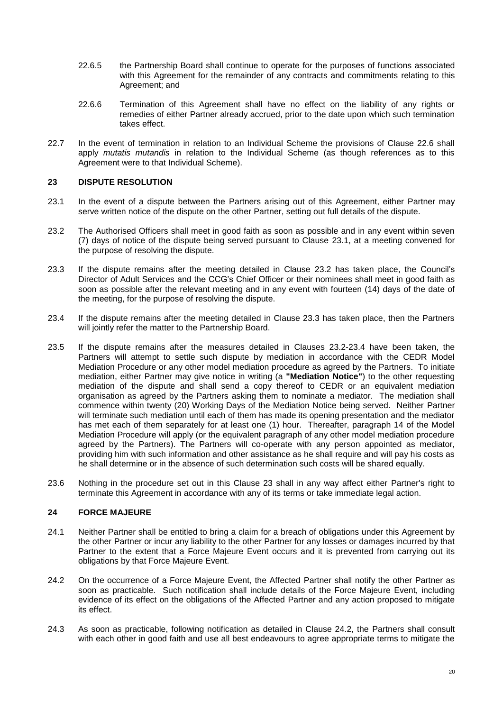- 22.6.5 the Partnership Board shall continue to operate for the purposes of functions associated with this Agreement for the remainder of any contracts and commitments relating to this Agreement; and
- 22.6.6 Termination of this Agreement shall have no effect on the liability of any rights or remedies of either Partner already accrued, prior to the date upon which such termination takes effect.
- 22.7 In the event of termination in relation to an Individual Scheme the provisions of Clause 22.6 shall apply *mutatis mutandis* in relation to the Individual Scheme (as though references as to this Agreement were to that Individual Scheme).

## <span id="page-22-0"></span>**23 DISPUTE RESOLUTION**

- <span id="page-22-2"></span>23.1 In the event of a dispute between the Partners arising out of this Agreement, either Partner may serve written notice of the dispute on the other Partner, setting out full details of the dispute.
- <span id="page-22-3"></span>23.2 The Authorised Officers shall meet in good faith as soon as possible and in any event within seven (7) days of notice of the dispute being served pursuant to Clause [23.1,](#page-22-2) at a meeting convened for the purpose of resolving the dispute.
- 23.3 If the dispute remains after the meeting detailed in Clause [23.2](#page-22-3) has taken place, the Council's Director of Adult Services and the CCG's Chief Officer or their nominees shall meet in good faith as soon as possible after the relevant meeting and in any event with fourteen (14) days of the date of the meeting, for the purpose of resolving the dispute.
- 23.4 If the dispute remains after the meeting detailed in Clause 23.3 has taken place, then the Partners will jointly refer the matter to the Partnership Board.
- 23.5 If the dispute remains after the measures detailed in Clauses 23.2-23.4 have been taken, the Partners will attempt to settle such dispute by mediation in accordance with the CEDR Model Mediation Procedure or any other model mediation procedure as agreed by the Partners. To initiate mediation, either Partner may give notice in writing (a **"Mediation Notice"**) to the other requesting mediation of the dispute and shall send a copy thereof to CEDR or an equivalent mediation organisation as agreed by the Partners asking them to nominate a mediator. The mediation shall commence within twenty (20) Working Days of the Mediation Notice being served. Neither Partner will terminate such mediation until each of them has made its opening presentation and the mediator has met each of them separately for at least one (1) hour. Thereafter, paragraph 14 of the Model Mediation Procedure will apply (or the equivalent paragraph of any other model mediation procedure agreed by the Partners). The Partners will co-operate with any person appointed as mediator, providing him with such information and other assistance as he shall require and will pay his costs as he shall determine or in the absence of such determination such costs will be shared equally.
- 23.6 Nothing in the procedure set out in this Clause 23 shall in any way affect either Partner's right to terminate this Agreement in accordance with any of its terms or take immediate legal action.

#### <span id="page-22-1"></span>**24 FORCE MAJEURE**

- 24.1 Neither Partner shall be entitled to bring a claim for a breach of obligations under this Agreement by the other Partner or incur any liability to the other Partner for any losses or damages incurred by that Partner to the extent that a Force Majeure Event occurs and it is prevented from carrying out its obligations by that Force Majeure Event.
- 24.2 On the occurrence of a Force Majeure Event, the Affected Partner shall notify the other Partner as soon as practicable. Such notification shall include details of the Force Majeure Event, including evidence of its effect on the obligations of the Affected Partner and any action proposed to mitigate its effect.
- 24.3 As soon as practicable, following notification as detailed in Clause 24.2, the Partners shall consult with each other in good faith and use all best endeavours to agree appropriate terms to mitigate the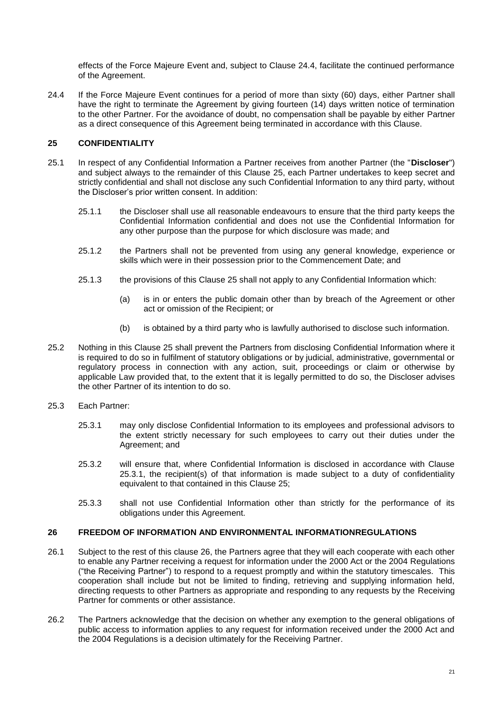effects of the Force Majeure Event and, subject to Clause 24.4, facilitate the continued performance of the Agreement.

24.4 If the Force Majeure Event continues for a period of more than sixty (60) days, either Partner shall have the right to terminate the Agreement by giving fourteen (14) days written notice of termination to the other Partner. For the avoidance of doubt, no compensation shall be payable by either Partner as a direct consequence of this Agreement being terminated in accordance with this Clause.

# <span id="page-23-0"></span>**25 CONFIDENTIALITY**

- 25.1 In respect of any Confidential Information a Partner receives from another Partner (the "**Discloser**") and subject always to the remainder of this Clause 25, each Partner undertakes to keep secret and strictly confidential and shall not disclose any such Confidential Information to any third party, without the Discloser's prior written consent. In addition:
	- 25.1.1 the Discloser shall use all reasonable endeavours to ensure that the third party keeps the Confidential Information confidential and does not use the Confidential Information for any other purpose than the purpose for which disclosure was made; and
	- 25.1.2 the Partners shall not be prevented from using any general knowledge, experience or skills which were in their possession prior to the Commencement Date; and
	- 25.1.3 the provisions of this Clause 25 shall not apply to any Confidential Information which:
		- (a) is in or enters the public domain other than by breach of the Agreement or other act or omission of the Recipient; or
		- (b) is obtained by a third party who is lawfully authorised to disclose such information.
- 25.2 Nothing in this Clause 25 shall prevent the Partners from disclosing Confidential Information where it is required to do so in fulfilment of statutory obligations or by judicial, administrative, governmental or regulatory process in connection with any action, suit, proceedings or claim or otherwise by applicable Law provided that, to the extent that it is legally permitted to do so, the Discloser advises the other Partner of its intention to do so.
- 25.3 Each Partner:
	- 25.3.1 may only disclose Confidential Information to its employees and professional advisors to the extent strictly necessary for such employees to carry out their duties under the Agreement; and
	- 25.3.2 will ensure that, where Confidential Information is disclosed in accordance with Clause 25.3.1, the recipient(s) of that information is made subject to a duty of confidentiality equivalent to that contained in this Clause 25;
	- 25.3.3 shall not use Confidential Information other than strictly for the performance of its obligations under this Agreement.

# <span id="page-23-1"></span>**26 FREEDOM OF INFORMATION AND ENVIRONMENTAL INFORMATIONREGULATIONS**

- 26.1 Subject to the rest of this clause 26, the Partners agree that they will each cooperate with each other to enable any Partner receiving a request for information under the 2000 Act or the 2004 Regulations ("the Receiving Partner") to respond to a request promptly and within the statutory timescales. This cooperation shall include but not be limited to finding, retrieving and supplying information held, directing requests to other Partners as appropriate and responding to any requests by the Receiving Partner for comments or other assistance.
- 26.2 The Partners acknowledge that the decision on whether any exemption to the general obligations of public access to information applies to any request for information received under the 2000 Act and the 2004 Regulations is a decision ultimately for the Receiving Partner.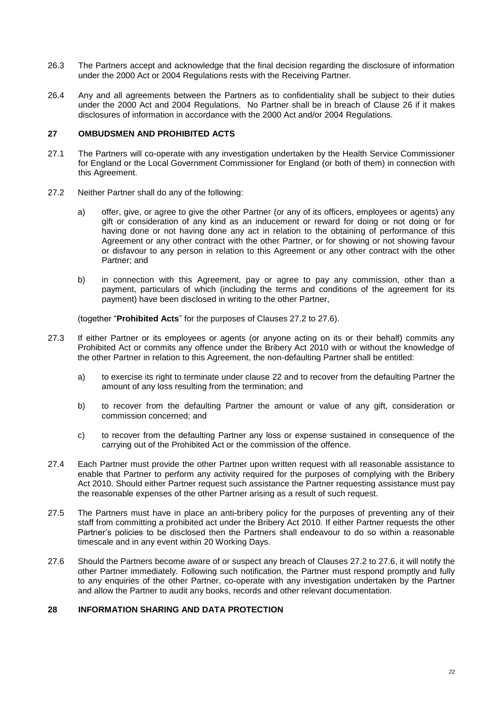- 26.3 The Partners accept and acknowledge that the final decision regarding the disclosure of information under the 2000 Act or 2004 Regulations rests with the Receiving Partner.
- 26.4 Any and all agreements between the Partners as to confidentiality shall be subject to their duties under the 2000 Act and 2004 Regulations. No Partner shall be in breach of Clause 26 if it makes disclosures of information in accordance with the 2000 Act and/or 2004 Regulations.

### <span id="page-24-0"></span>**27 OMBUDSMEN AND PROHIBITED ACTS**

- 27.1 The Partners will co-operate with any investigation undertaken by the Health Service Commissioner for England or the Local Government Commissioner for England (or both of them) in connection with this Agreement.
- 27.2 Neither Partner shall do any of the following:
	- a) offer, give, or agree to give the other Partner (or any of its officers, employees or agents) any gift or consideration of any kind as an inducement or reward for doing or not doing or for having done or not having done any act in relation to the obtaining of performance of this Agreement or any other contract with the other Partner, or for showing or not showing favour or disfavour to any person in relation to this Agreement or any other contract with the other Partner; and
	- b) in connection with this Agreement, pay or agree to pay any commission, other than a payment, particulars of which (including the terms and conditions of the agreement for its payment) have been disclosed in writing to the other Partner,

(together "**Prohibited Acts**" for the purposes of Clauses 27.2 to 27.6).

- 27.3 If either Partner or its employees or agents (or anyone acting on its or their behalf) commits any Prohibited Act or commits any offence under the Bribery Act 2010 with or without the knowledge of the other Partner in relation to this Agreement, the non-defaulting Partner shall be entitled:
	- a) to exercise its right to terminate under clause 22 and to recover from the defaulting Partner the amount of any loss resulting from the termination; and
	- b) to recover from the defaulting Partner the amount or value of any gift, consideration or commission concerned; and
	- c) to recover from the defaulting Partner any loss or expense sustained in consequence of the carrying out of the Prohibited Act or the commission of the offence.
- 27.4 Each Partner must provide the other Partner upon written request with all reasonable assistance to enable that Partner to perform any activity required for the purposes of complying with the Bribery Act 2010. Should either Partner request such assistance the Partner requesting assistance must pay the reasonable expenses of the other Partner arising as a result of such request.
- 27.5 The Partners must have in place an anti-bribery policy for the purposes of preventing any of their staff from committing a prohibited act under the Bribery Act 2010. If either Partner requests the other Partner's policies to be disclosed then the Partners shall endeavour to do so within a reasonable timescale and in any event within 20 Working Days.
- 27.6 Should the Partners become aware of or suspect any breach of Clauses 27.2 to 27.6, it will notify the other Partner immediately. Following such notification, the Partner must respond promptly and fully to any enquiries of the other Partner, co-operate with any investigation undertaken by the Partner and allow the Partner to audit any books, records and other relevant documentation.

# <span id="page-24-1"></span>**28 INFORMATION SHARING AND DATA PROTECTION**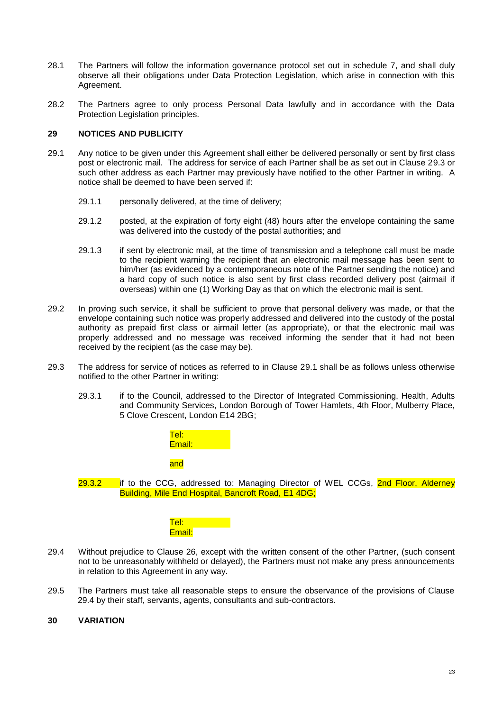- 28.1 The Partners will follow the information governance protocol set out in schedule 7, and shall duly observe all their obligations under Data Protection Legislation, which arise in connection with this Agreement.
- 28.2 The Partners agree to only process Personal Data lawfully and in accordance with the Data Protection Legislation principles.

# <span id="page-25-0"></span>**29 NOTICES AND PUBLICITY**

- 29.1 Any notice to be given under this Agreement shall either be delivered personally or sent by first class post or electronic mail. The address for service of each Partner shall be as set out in Clause 29.3 or such other address as each Partner may previously have notified to the other Partner in writing. A notice shall be deemed to have been served if:
	- 29.1.1 personally delivered, at the time of delivery;
	- 29.1.2 posted, at the expiration of forty eight (48) hours after the envelope containing the same was delivered into the custody of the postal authorities; and
	- 29.1.3 if sent by electronic mail, at the time of transmission and a telephone call must be made to the recipient warning the recipient that an electronic mail message has been sent to him/her (as evidenced by a contemporaneous note of the Partner sending the notice) and a hard copy of such notice is also sent by first class recorded delivery post (airmail if overseas) within one (1) Working Day as that on which the electronic mail is sent.
- 29.2 In proving such service, it shall be sufficient to prove that personal delivery was made, or that the envelope containing such notice was properly addressed and delivered into the custody of the postal authority as prepaid first class or airmail letter (as appropriate), or that the electronic mail was properly addressed and no message was received informing the sender that it had not been received by the recipient (as the case may be).
- 29.3 The address for service of notices as referred to in Clause 29.1 shall be as follows unless otherwise notified to the other Partner in writing:
	- 29.3.1 if to the Council, addressed to the Director of Integrated Commissioning, Health, Adults and Community Services, London Borough of Tower Hamlets, 4th Floor, Mulberry Place, 5 Clove Crescent, London E14 2BG;



 $29.3.2$  if to the CCG, addressed to: Managing Director of WEL CCGs,  $2nd$  Floor, Alderney Building, Mile End Hospital, Bancroft Road, E1 4DG;



- 29.4 Without prejudice to Clause 26, except with the written consent of the other Partner, (such consent not to be unreasonably withheld or delayed), the Partners must not make any press announcements in relation to this Agreement in any way.
- 29.5 The Partners must take all reasonable steps to ensure the observance of the provisions of Clause 29.4 by their staff, servants, agents, consultants and sub-contractors.

#### <span id="page-25-1"></span>**30 VARIATION**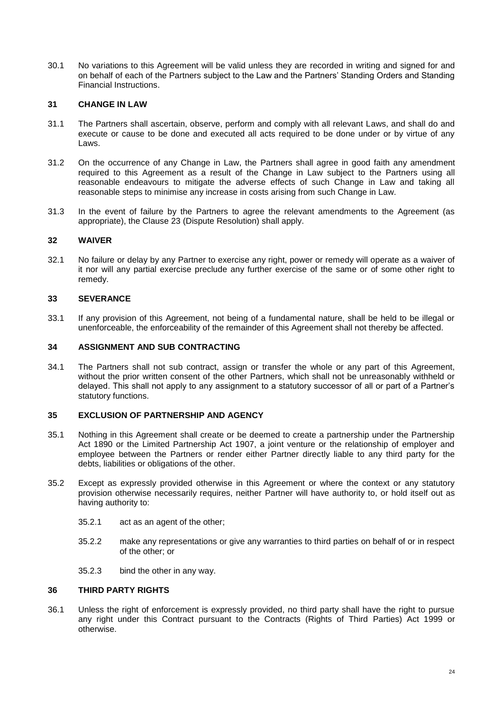30.1 No variations to this Agreement will be valid unless they are recorded in writing and signed for and on behalf of each of the Partners subject to the Law and the Partners' Standing Orders and Standing Financial Instructions.

#### <span id="page-26-0"></span>**31 CHANGE IN LAW**

- 31.1 The Partners shall ascertain, observe, perform and comply with all relevant Laws, and shall do and execute or cause to be done and executed all acts required to be done under or by virtue of any Laws.
- 31.2 On the occurrence of any Change in Law, the Partners shall agree in good faith any amendment required to this Agreement as a result of the Change in Law subject to the Partners using all reasonable endeavours to mitigate the adverse effects of such Change in Law and taking all reasonable steps to minimise any increase in costs arising from such Change in Law.
- 31.3 In the event of failure by the Partners to agree the relevant amendments to the Agreement (as appropriate), the Clause 23 (Dispute Resolution) shall apply.

#### <span id="page-26-1"></span>**32 WAIVER**

32.1 No failure or delay by any Partner to exercise any right, power or remedy will operate as a waiver of it nor will any partial exercise preclude any further exercise of the same or of some other right to remedy.

### <span id="page-26-2"></span>**33 SEVERANCE**

33.1 If any provision of this Agreement, not being of a fundamental nature, shall be held to be illegal or unenforceable, the enforceability of the remainder of this Agreement shall not thereby be affected.

#### <span id="page-26-3"></span>**34 ASSIGNMENT AND SUB CONTRACTING**

34.1 The Partners shall not sub contract, assign or transfer the whole or any part of this Agreement, without the prior written consent of the other Partners, which shall not be unreasonably withheld or delayed. This shall not apply to any assignment to a statutory successor of all or part of a Partner's statutory functions.

#### <span id="page-26-4"></span>**35 EXCLUSION OF PARTNERSHIP AND AGENCY**

- 35.1 Nothing in this Agreement shall create or be deemed to create a partnership under the Partnership Act 1890 or the Limited Partnership Act 1907, a joint venture or the relationship of employer and employee between the Partners or render either Partner directly liable to any third party for the debts, liabilities or obligations of the other.
- 35.2 Except as expressly provided otherwise in this Agreement or where the context or any statutory provision otherwise necessarily requires, neither Partner will have authority to, or hold itself out as having authority to:
	- 35.2.1 act as an agent of the other;
	- 35.2.2 make any representations or give any warranties to third parties on behalf of or in respect of the other; or
	- 35.2.3 bind the other in any way.

#### <span id="page-26-5"></span>**36 THIRD PARTY RIGHTS**

36.1 Unless the right of enforcement is expressly provided, no third party shall have the right to pursue any right under this Contract pursuant to the Contracts (Rights of Third Parties) Act 1999 or otherwise.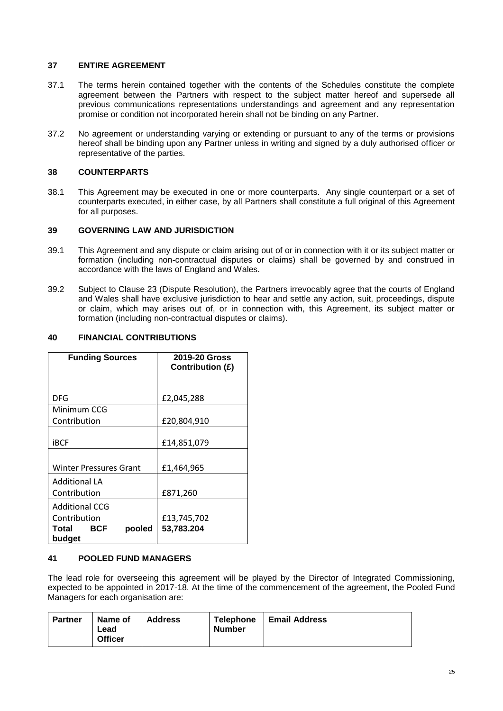# <span id="page-27-0"></span>**37 ENTIRE AGREEMENT**

- 37.1 The terms herein contained together with the contents of the Schedules constitute the complete agreement between the Partners with respect to the subject matter hereof and supersede all previous communications representations understandings and agreement and any representation promise or condition not incorporated herein shall not be binding on any Partner.
- 37.2 No agreement or understanding varying or extending or pursuant to any of the terms or provisions hereof shall be binding upon any Partner unless in writing and signed by a duly authorised officer or representative of the parties.

# <span id="page-27-1"></span>**38 COUNTERPARTS**

38.1 This Agreement may be executed in one or more counterparts. Any single counterpart or a set of counterparts executed, in either case, by all Partners shall constitute a full original of this Agreement for all purposes.

# <span id="page-27-2"></span>**39 GOVERNING LAW AND JURISDICTION**

- 39.1 This Agreement and any dispute or claim arising out of or in connection with it or its subject matter or formation (including non-contractual disputes or claims) shall be governed by and construed in accordance with the laws of England and Wales.
- 39.2 Subject to Clause 23 (Dispute Resolution), the Partners irrevocably agree that the courts of England and Wales shall have exclusive jurisdiction to hear and settle any action, suit, proceedings, dispute or claim, which may arises out of, or in connection with, this Agreement, its subject matter or formation (including non-contractual disputes or claims).

# **40 FINANCIAL CONTRIBUTIONS**

| <b>Funding Sources</b>           | 2019-20 Gross<br>Contribution (£) |
|----------------------------------|-----------------------------------|
|                                  |                                   |
| DFG                              | £2,045,288                        |
| Minimum CCG                      |                                   |
| Contribution                     | £20,804,910                       |
| iBCF                             | £14,851,079                       |
|                                  |                                   |
| <b>Winter Pressures Grant</b>    | £1,464,965                        |
| <b>Additional LA</b>             |                                   |
| Contribution                     | £871,260                          |
| <b>Additional CCG</b>            |                                   |
| Contribution                     | £13,745,702                       |
| BCF<br>Total<br>pooled<br>budget | 53,783.204                        |

# **41 POOLED FUND MANAGERS**

The lead role for overseeing this agreement will be played by the Director of Integrated Commissioning, expected to be appointed in 2017-18. At the time of the commencement of the agreement, the Pooled Fund Managers for each organisation are:

| <b>Partner</b> | Name of<br>Lead<br><b>Officer</b> | <b>Address</b> | <b>Telephone</b><br><b>Number</b> | <b>Email Address</b> |
|----------------|-----------------------------------|----------------|-----------------------------------|----------------------|
|                |                                   |                |                                   |                      |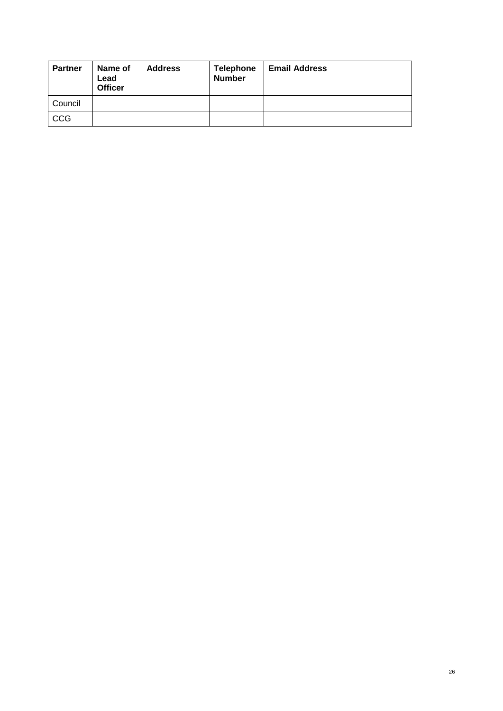| <b>Partner</b> | Name of<br>Lead<br><b>Officer</b> | <b>Address</b> | <b>Telephone</b><br><b>Number</b> | <b>Email Address</b> |
|----------------|-----------------------------------|----------------|-----------------------------------|----------------------|
| Council        |                                   |                |                                   |                      |
| CCG            |                                   |                |                                   |                      |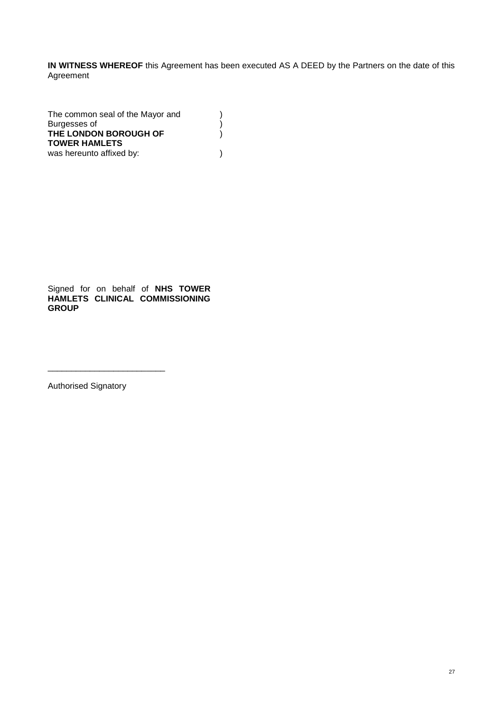**IN WITNESS WHEREOF** this Agreement has been executed AS A DEED by the Partners on the date of this Agreement

> ) )  $\lambda$

The common seal of the Mayor and Burgesses of **THE LONDON BOROUGH OF TOWER HAMLETS** was hereunto affixed by:  $( )$ 

Signed for on behalf of **NHS TOWER HAMLETS CLINICAL COMMISSIONING GROUP**

Authorised Signatory

\_\_\_\_\_\_\_\_\_\_\_\_\_\_\_\_\_\_\_\_\_\_\_\_\_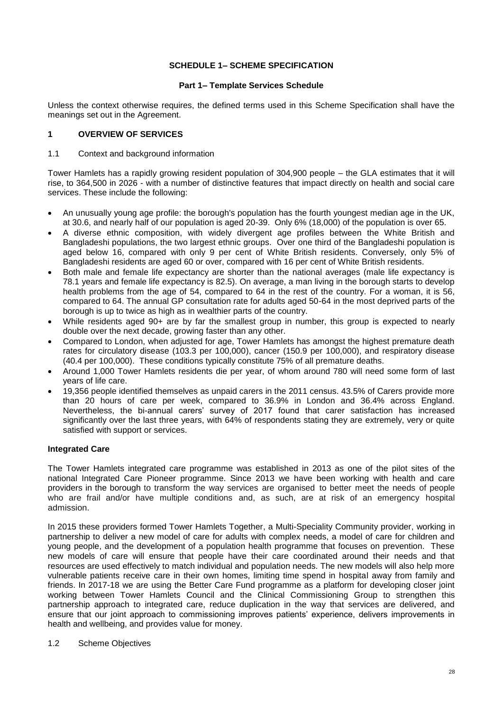# **SCHEDULE 1– SCHEME SPECIFICATION**

#### **Part 1– Template Services Schedule**

Unless the context otherwise requires, the defined terms used in this Scheme Specification shall have the meanings set out in the Agreement.

# **1 OVERVIEW OF SERVICES**

#### 1.1 Context and background information

Tower Hamlets has a rapidly growing resident population of 304,900 people – the GLA estimates that it will rise, to 364,500 in 2026 - with a number of distinctive features that impact directly on health and social care services. These include the following:

- An unusually young age profile: the borough's population has the fourth youngest median age in the UK, at 30.6, and nearly half of our population is aged 20-39. Only 6% (18,000) of the population is over 65.
- A diverse ethnic composition, with widely divergent age profiles between the White British and Bangladeshi populations, the two largest ethnic groups. Over one third of the Bangladeshi population is aged below 16, compared with only 9 per cent of White British residents. Conversely, only 5% of Bangladeshi residents are aged 60 or over, compared with 16 per cent of White British residents.
- Both male and female life expectancy are shorter than the national averages (male life expectancy is 78.1 years and female life expectancy is 82.5). On average, a man living in the borough starts to develop health problems from the age of 54, compared to 64 in the rest of the country. For a woman, it is 56, compared to 64. The annual GP consultation rate for adults aged 50-64 in the most deprived parts of the borough is up to twice as high as in wealthier parts of the country.
- While residents aged 90+ are by far the smallest group in number, this group is expected to nearly double over the next decade, growing faster than any other.
- Compared to London, when adjusted for age, Tower Hamlets has amongst the highest premature death rates for circulatory disease (103.3 per 100,000), cancer (150.9 per 100,000), and respiratory disease (40.4 per 100,000). These conditions typically constitute 75% of all premature deaths.
- Around 1,000 Tower Hamlets residents die per year, of whom around 780 will need some form of last years of life care.
- 19,356 people identified themselves as unpaid carers in the 2011 census. 43.5% of Carers provide more than 20 hours of care per week, compared to 36.9% in London and 36.4% across England. Nevertheless, the bi-annual carers' survey of 2017 found that carer satisfaction has increased significantly over the last three years, with 64% of respondents stating they are extremely, very or quite satisfied with support or services.

# **Integrated Care**

The Tower Hamlets integrated care programme was established in 2013 as one of the pilot sites of the national Integrated Care Pioneer programme. Since 2013 we have been working with health and care providers in the borough to transform the way services are organised to better meet the needs of people who are frail and/or have multiple conditions and, as such, are at risk of an emergency hospital admission.

In 2015 these providers formed Tower Hamlets Together, a Multi-Speciality Community provider, working in partnership to deliver a new model of care for adults with complex needs, a model of care for children and young people, and the development of a population health programme that focuses on prevention. These new models of care will ensure that people have their care coordinated around their needs and that resources are used effectively to match individual and population needs. The new models will also help more vulnerable patients receive care in their own homes, limiting time spend in hospital away from family and friends. In 2017-18 we are using the Better Care Fund programme as a platform for developing closer joint working between Tower Hamlets Council and the Clinical Commissioning Group to strengthen this partnership approach to integrated care, reduce duplication in the way that services are delivered, and ensure that our joint approach to commissioning improves patients' experience, delivers improvements in health and wellbeing, and provides value for money.

#### 1.2 Scheme Objectives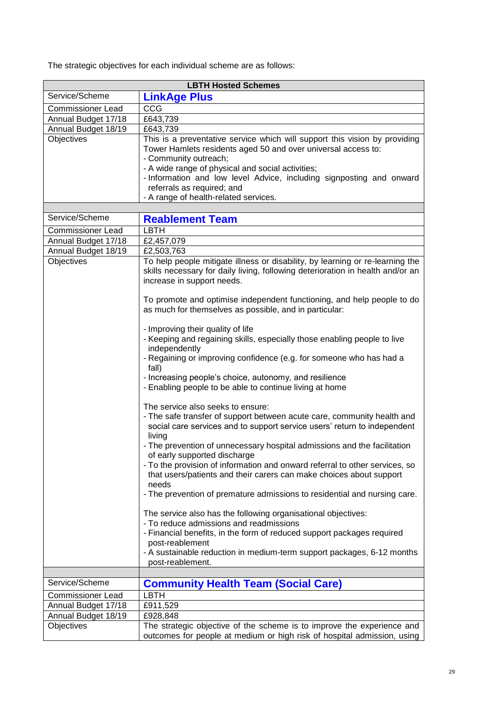|  |  | The strategic objectives for each individual scheme are as follows: |
|--|--|---------------------------------------------------------------------|
|  |  |                                                                     |

| <b>LBTH Hosted Schemes</b> |                                                                                                                                                                                                                                                                                                                                                                                                                                                                                                                                                                                                                                                                                                                                                                                                                                                                   |  |  |
|----------------------------|-------------------------------------------------------------------------------------------------------------------------------------------------------------------------------------------------------------------------------------------------------------------------------------------------------------------------------------------------------------------------------------------------------------------------------------------------------------------------------------------------------------------------------------------------------------------------------------------------------------------------------------------------------------------------------------------------------------------------------------------------------------------------------------------------------------------------------------------------------------------|--|--|
| Service/Scheme             | <b>LinkAge Plus</b>                                                                                                                                                                                                                                                                                                                                                                                                                                                                                                                                                                                                                                                                                                                                                                                                                                               |  |  |
| <b>Commissioner Lead</b>   | CCG                                                                                                                                                                                                                                                                                                                                                                                                                                                                                                                                                                                                                                                                                                                                                                                                                                                               |  |  |
| Annual Budget 17/18        | £643,739                                                                                                                                                                                                                                                                                                                                                                                                                                                                                                                                                                                                                                                                                                                                                                                                                                                          |  |  |
| Annual Budget 18/19        | £643,739                                                                                                                                                                                                                                                                                                                                                                                                                                                                                                                                                                                                                                                                                                                                                                                                                                                          |  |  |
| Objectives                 | This is a preventative service which will support this vision by providing<br>Tower Hamlets residents aged 50 and over universal access to:<br>- Community outreach;<br>- A wide range of physical and social activities;<br>- Information and low level Advice, including signposting and onward<br>referrals as required; and<br>- A range of health-related services.                                                                                                                                                                                                                                                                                                                                                                                                                                                                                          |  |  |
| Service/Scheme             |                                                                                                                                                                                                                                                                                                                                                                                                                                                                                                                                                                                                                                                                                                                                                                                                                                                                   |  |  |
|                            | <b>Reablement Team</b>                                                                                                                                                                                                                                                                                                                                                                                                                                                                                                                                                                                                                                                                                                                                                                                                                                            |  |  |
| <b>Commissioner Lead</b>   | <b>LBTH</b>                                                                                                                                                                                                                                                                                                                                                                                                                                                                                                                                                                                                                                                                                                                                                                                                                                                       |  |  |
| Annual Budget 17/18        | $\overline{£2,}$ 457,079                                                                                                                                                                                                                                                                                                                                                                                                                                                                                                                                                                                                                                                                                                                                                                                                                                          |  |  |
| Annual Budget 18/19        | £2,503,763                                                                                                                                                                                                                                                                                                                                                                                                                                                                                                                                                                                                                                                                                                                                                                                                                                                        |  |  |
| Objectives                 | To help people mitigate illness or disability, by learning or re-learning the<br>skills necessary for daily living, following deterioration in health and/or an<br>increase in support needs.                                                                                                                                                                                                                                                                                                                                                                                                                                                                                                                                                                                                                                                                     |  |  |
|                            | To promote and optimise independent functioning, and help people to do<br>as much for themselves as possible, and in particular:                                                                                                                                                                                                                                                                                                                                                                                                                                                                                                                                                                                                                                                                                                                                  |  |  |
|                            | - Improving their quality of life<br>- Keeping and regaining skills, especially those enabling people to live<br>independently<br>- Regaining or improving confidence (e.g. for someone who has had a                                                                                                                                                                                                                                                                                                                                                                                                                                                                                                                                                                                                                                                             |  |  |
|                            | fall)<br>- Increasing people's choice, autonomy, and resilience<br>- Enabling people to be able to continue living at home                                                                                                                                                                                                                                                                                                                                                                                                                                                                                                                                                                                                                                                                                                                                        |  |  |
|                            | The service also seeks to ensure:<br>- The safe transfer of support between acute care, community health and<br>social care services and to support service users' return to independent<br>living<br>- The prevention of unnecessary hospital admissions and the facilitation<br>of early supported discharge<br>- To the provision of information and onward referral to other services, so<br>that users/patients and their carers can make choices about support<br>needs<br>- The prevention of premature admissions to residential and nursing care.<br>The service also has the following organisational objectives:<br>- To reduce admissions and readmissions<br>- Financial benefits, in the form of reduced support packages required<br>post-reablement<br>- A sustainable reduction in medium-term support packages, 6-12 months<br>post-reablement. |  |  |
|                            |                                                                                                                                                                                                                                                                                                                                                                                                                                                                                                                                                                                                                                                                                                                                                                                                                                                                   |  |  |
| Service/Scheme             | <b>Community Health Team (Social Care)</b>                                                                                                                                                                                                                                                                                                                                                                                                                                                                                                                                                                                                                                                                                                                                                                                                                        |  |  |
| <b>Commissioner Lead</b>   | <b>LBTH</b>                                                                                                                                                                                                                                                                                                                                                                                                                                                                                                                                                                                                                                                                                                                                                                                                                                                       |  |  |
| Annual Budget 17/18        | £911,529                                                                                                                                                                                                                                                                                                                                                                                                                                                                                                                                                                                                                                                                                                                                                                                                                                                          |  |  |
| Annual Budget 18/19        | £928,848                                                                                                                                                                                                                                                                                                                                                                                                                                                                                                                                                                                                                                                                                                                                                                                                                                                          |  |  |
| Objectives                 | The strategic objective of the scheme is to improve the experience and<br>outcomes for people at medium or high risk of hospital admission, using                                                                                                                                                                                                                                                                                                                                                                                                                                                                                                                                                                                                                                                                                                                 |  |  |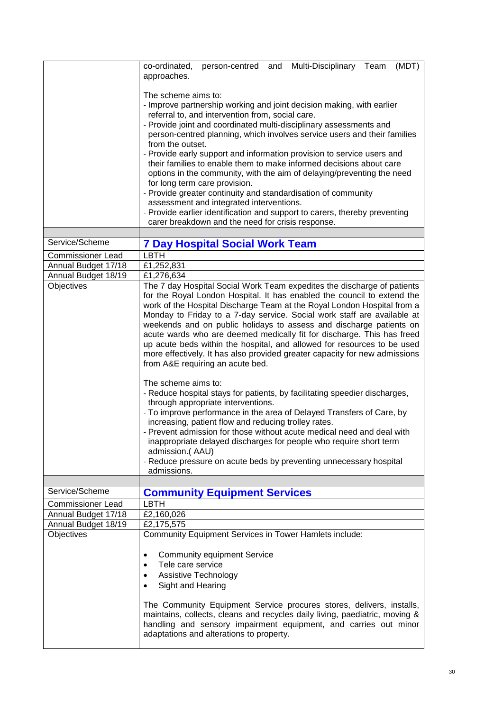|                                   | co-ordinated,<br>person-centred and Multi-Disciplinary Team<br>(MDT)<br>approaches.                                                                                                                                                                                                                                                                                                                                                                                                                                                                                                                                                                                                                                                                                                                                                                                                                                                                                                                                                                                                                                                                                                        |
|-----------------------------------|--------------------------------------------------------------------------------------------------------------------------------------------------------------------------------------------------------------------------------------------------------------------------------------------------------------------------------------------------------------------------------------------------------------------------------------------------------------------------------------------------------------------------------------------------------------------------------------------------------------------------------------------------------------------------------------------------------------------------------------------------------------------------------------------------------------------------------------------------------------------------------------------------------------------------------------------------------------------------------------------------------------------------------------------------------------------------------------------------------------------------------------------------------------------------------------------|
|                                   | The scheme aims to:<br>- Improve partnership working and joint decision making, with earlier<br>referral to, and intervention from, social care.<br>- Provide joint and coordinated multi-disciplinary assessments and<br>person-centred planning, which involves service users and their families<br>from the outset.<br>- Provide early support and information provision to service users and<br>their families to enable them to make informed decisions about care<br>options in the community, with the aim of delaying/preventing the need<br>for long term care provision.<br>- Provide greater continuity and standardisation of community<br>assessment and integrated interventions.<br>- Provide earlier identification and support to carers, thereby preventing<br>carer breakdown and the need for crisis response.                                                                                                                                                                                                                                                                                                                                                         |
| Service/Scheme                    | <b>7 Day Hospital Social Work Team</b>                                                                                                                                                                                                                                                                                                                                                                                                                                                                                                                                                                                                                                                                                                                                                                                                                                                                                                                                                                                                                                                                                                                                                     |
| <b>Commissioner Lead</b>          | <b>LBTH</b>                                                                                                                                                                                                                                                                                                                                                                                                                                                                                                                                                                                                                                                                                                                                                                                                                                                                                                                                                                                                                                                                                                                                                                                |
| Annual Budget 17/18               | £1,252,831                                                                                                                                                                                                                                                                                                                                                                                                                                                                                                                                                                                                                                                                                                                                                                                                                                                                                                                                                                                                                                                                                                                                                                                 |
| Annual Budget 18/19               | £1,276,634                                                                                                                                                                                                                                                                                                                                                                                                                                                                                                                                                                                                                                                                                                                                                                                                                                                                                                                                                                                                                                                                                                                                                                                 |
| Objectives                        | The 7 day Hospital Social Work Team expedites the discharge of patients<br>for the Royal London Hospital. It has enabled the council to extend the<br>work of the Hospital Discharge Team at the Royal London Hospital from a<br>Monday to Friday to a 7-day service. Social work staff are available at<br>weekends and on public holidays to assess and discharge patients on<br>acute wards who are deemed medically fit for discharge. This has freed<br>up acute beds within the hospital, and allowed for resources to be used<br>more effectively. It has also provided greater capacity for new admissions<br>from A&E requiring an acute bed.<br>The scheme aims to:<br>- Reduce hospital stays for patients, by facilitating speedier discharges,<br>through appropriate interventions.<br>- To improve performance in the area of Delayed Transfers of Care, by<br>increasing, patient flow and reducing trolley rates.<br>- Prevent admission for those without acute medical need and deal with<br>inappropriate delayed discharges for people who require short term<br>admission.(AAU)<br>- Reduce pressure on acute beds by preventing unnecessary hospital<br>admissions. |
|                                   |                                                                                                                                                                                                                                                                                                                                                                                                                                                                                                                                                                                                                                                                                                                                                                                                                                                                                                                                                                                                                                                                                                                                                                                            |
| Service/Scheme                    | <b>Community Equipment Services</b>                                                                                                                                                                                                                                                                                                                                                                                                                                                                                                                                                                                                                                                                                                                                                                                                                                                                                                                                                                                                                                                                                                                                                        |
| <b>Commissioner Lead</b>          | <b>LBTH</b>                                                                                                                                                                                                                                                                                                                                                                                                                                                                                                                                                                                                                                                                                                                                                                                                                                                                                                                                                                                                                                                                                                                                                                                |
| Annual Budget 17/18               | £2,160,026<br>£2,175,575                                                                                                                                                                                                                                                                                                                                                                                                                                                                                                                                                                                                                                                                                                                                                                                                                                                                                                                                                                                                                                                                                                                                                                   |
| Annual Budget 18/19<br>Objectives | Community Equipment Services in Tower Hamlets include:                                                                                                                                                                                                                                                                                                                                                                                                                                                                                                                                                                                                                                                                                                                                                                                                                                                                                                                                                                                                                                                                                                                                     |
|                                   | <b>Community equipment Service</b><br>$\bullet$<br>Tele care service<br>Assistive Technology<br>$\bullet$<br>Sight and Hearing<br>The Community Equipment Service procures stores, delivers, installs,<br>maintains, collects, cleans and recycles daily living, paediatric, moving &<br>handling and sensory impairment equipment, and carries out minor<br>adaptations and alterations to property.                                                                                                                                                                                                                                                                                                                                                                                                                                                                                                                                                                                                                                                                                                                                                                                      |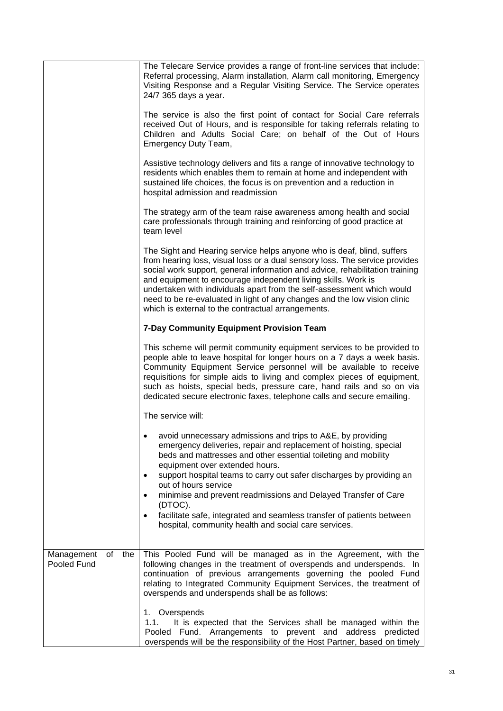|                                        | The Telecare Service provides a range of front-line services that include:<br>Referral processing, Alarm installation, Alarm call monitoring, Emergency<br>Visiting Response and a Regular Visiting Service. The Service operates<br>24/7 365 days a year.                                                                                                                                                                                                                                                          |
|----------------------------------------|---------------------------------------------------------------------------------------------------------------------------------------------------------------------------------------------------------------------------------------------------------------------------------------------------------------------------------------------------------------------------------------------------------------------------------------------------------------------------------------------------------------------|
|                                        | The service is also the first point of contact for Social Care referrals<br>received Out of Hours, and is responsible for taking referrals relating to<br>Children and Adults Social Care; on behalf of the Out of Hours<br>Emergency Duty Team,                                                                                                                                                                                                                                                                    |
|                                        | Assistive technology delivers and fits a range of innovative technology to<br>residents which enables them to remain at home and independent with<br>sustained life choices, the focus is on prevention and a reduction in<br>hospital admission and readmission                                                                                                                                                                                                                                                    |
|                                        | The strategy arm of the team raise awareness among health and social<br>care professionals through training and reinforcing of good practice at<br>team level                                                                                                                                                                                                                                                                                                                                                       |
|                                        | The Sight and Hearing service helps anyone who is deaf, blind, suffers<br>from hearing loss, visual loss or a dual sensory loss. The service provides<br>social work support, general information and advice, rehabilitation training<br>and equipment to encourage independent living skills. Work is<br>undertaken with individuals apart from the self-assessment which would<br>need to be re-evaluated in light of any changes and the low vision clinic<br>which is external to the contractual arrangements. |
|                                        | 7-Day Community Equipment Provision Team                                                                                                                                                                                                                                                                                                                                                                                                                                                                            |
|                                        | This scheme will permit community equipment services to be provided to<br>people able to leave hospital for longer hours on a 7 days a week basis.<br>Community Equipment Service personnel will be available to receive<br>requisitions for simple aids to living and complex pieces of equipment,<br>such as hoists, special beds, pressure care, hand rails and so on via<br>dedicated secure electronic faxes, telephone calls and secure emailing.                                                             |
|                                        | The service will:                                                                                                                                                                                                                                                                                                                                                                                                                                                                                                   |
|                                        | avoid unnecessary admissions and trips to A&E, by providing<br>emergency deliveries, repair and replacement of hoisting, special<br>beds and mattresses and other essential toileting and mobility<br>equipment over extended hours.<br>support hospital teams to carry out safer discharges by providing an                                                                                                                                                                                                        |
|                                        | out of hours service<br>minimise and prevent readmissions and Delayed Transfer of Care                                                                                                                                                                                                                                                                                                                                                                                                                              |
|                                        | (DTOC).<br>facilitate safe, integrated and seamless transfer of patients between<br>hospital, community health and social care services.                                                                                                                                                                                                                                                                                                                                                                            |
| the<br>Management<br>of<br>Pooled Fund | This Pooled Fund will be managed as in the Agreement, with the<br>following changes in the treatment of overspends and underspends. In<br>continuation of previous arrangements governing the pooled Fund<br>relating to Integrated Community Equipment Services, the treatment of<br>overspends and underspends shall be as follows:                                                                                                                                                                               |
|                                        | 1. Overspends<br>1.1.<br>It is expected that the Services shall be managed within the<br>Pooled Fund. Arrangements to prevent and address<br>predicted<br>overspends will be the responsibility of the Host Partner, based on timely                                                                                                                                                                                                                                                                                |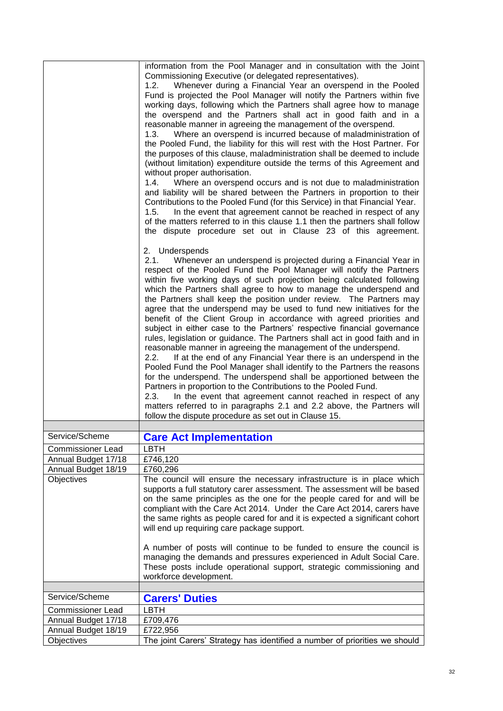|                                   | information from the Pool Manager and in consultation with the Joint                                                                                                                                                                                                                                                                                                                                                                                                                                                                                                                                                                                                                                                                                                                                                                                                                                                                                                                                                                                                                                                                                                                                                                                                                                                                                                                                                                                                                                                                                           |
|-----------------------------------|----------------------------------------------------------------------------------------------------------------------------------------------------------------------------------------------------------------------------------------------------------------------------------------------------------------------------------------------------------------------------------------------------------------------------------------------------------------------------------------------------------------------------------------------------------------------------------------------------------------------------------------------------------------------------------------------------------------------------------------------------------------------------------------------------------------------------------------------------------------------------------------------------------------------------------------------------------------------------------------------------------------------------------------------------------------------------------------------------------------------------------------------------------------------------------------------------------------------------------------------------------------------------------------------------------------------------------------------------------------------------------------------------------------------------------------------------------------------------------------------------------------------------------------------------------------|
|                                   | Commissioning Executive (or delegated representatives).<br>Whenever during a Financial Year an overspend in the Pooled<br>1.2.<br>Fund is projected the Pool Manager will notify the Partners within five<br>working days, following which the Partners shall agree how to manage<br>the overspend and the Partners shall act in good faith and in a<br>reasonable manner in agreeing the management of the overspend.<br>Where an overspend is incurred because of maladministration of<br>1.3.<br>the Pooled Fund, the liability for this will rest with the Host Partner. For<br>the purposes of this clause, maladministration shall be deemed to include<br>(without limitation) expenditure outside the terms of this Agreement and<br>without proper authorisation.<br>1.4.<br>Where an overspend occurs and is not due to maladministration<br>and liability will be shared between the Partners in proportion to their<br>Contributions to the Pooled Fund (for this Service) in that Financial Year.<br>In the event that agreement cannot be reached in respect of any<br>1.5.<br>of the matters referred to in this clause 1.1 then the partners shall follow<br>the dispute procedure set out in Clause 23 of this agreement.<br>2. Underspends<br>2.1.<br>Whenever an underspend is projected during a Financial Year in<br>respect of the Pooled Fund the Pool Manager will notify the Partners<br>within five working days of such projection being calculated following<br>which the Partners shall agree to how to manage the underspend and |
|                                   | the Partners shall keep the position under review. The Partners may<br>agree that the underspend may be used to fund new initiatives for the<br>benefit of the Client Group in accordance with agreed priorities and<br>subject in either case to the Partners' respective financial governance<br>rules, legislation or guidance. The Partners shall act in good faith and in<br>reasonable manner in agreeing the management of the underspend.<br>If at the end of any Financial Year there is an underspend in the<br>2.2.                                                                                                                                                                                                                                                                                                                                                                                                                                                                                                                                                                                                                                                                                                                                                                                                                                                                                                                                                                                                                                 |
|                                   | Pooled Fund the Pool Manager shall identify to the Partners the reasons<br>for the underspend. The underspend shall be apportioned between the<br>Partners in proportion to the Contributions to the Pooled Fund.<br>2.3.<br>In the event that agreement cannot reached in respect of any<br>matters referred to in paragraphs 2.1 and 2.2 above, the Partners will<br>follow the dispute procedure as set out in Clause 15.                                                                                                                                                                                                                                                                                                                                                                                                                                                                                                                                                                                                                                                                                                                                                                                                                                                                                                                                                                                                                                                                                                                                   |
|                                   |                                                                                                                                                                                                                                                                                                                                                                                                                                                                                                                                                                                                                                                                                                                                                                                                                                                                                                                                                                                                                                                                                                                                                                                                                                                                                                                                                                                                                                                                                                                                                                |
| Service/Scheme                    | <b>Care Act Implementation</b>                                                                                                                                                                                                                                                                                                                                                                                                                                                                                                                                                                                                                                                                                                                                                                                                                                                                                                                                                                                                                                                                                                                                                                                                                                                                                                                                                                                                                                                                                                                                 |
| Commissioner Lead                 | LBTH                                                                                                                                                                                                                                                                                                                                                                                                                                                                                                                                                                                                                                                                                                                                                                                                                                                                                                                                                                                                                                                                                                                                                                                                                                                                                                                                                                                                                                                                                                                                                           |
| Annual Budget 17/18               | £746,120                                                                                                                                                                                                                                                                                                                                                                                                                                                                                                                                                                                                                                                                                                                                                                                                                                                                                                                                                                                                                                                                                                                                                                                                                                                                                                                                                                                                                                                                                                                                                       |
| Annual Budget 18/19<br>Objectives | £760,296<br>The council will ensure the necessary infrastructure is in place which<br>supports a full statutory carer assessment. The assessment will be based<br>on the same principles as the one for the people cared for and will be<br>compliant with the Care Act 2014. Under the Care Act 2014, carers have<br>the same rights as people cared for and it is expected a significant cohort<br>will end up requiring care package support.                                                                                                                                                                                                                                                                                                                                                                                                                                                                                                                                                                                                                                                                                                                                                                                                                                                                                                                                                                                                                                                                                                               |
|                                   | A number of posts will continue to be funded to ensure the council is<br>managing the demands and pressures experienced in Adult Social Care.<br>These posts include operational support, strategic commissioning and<br>workforce development.                                                                                                                                                                                                                                                                                                                                                                                                                                                                                                                                                                                                                                                                                                                                                                                                                                                                                                                                                                                                                                                                                                                                                                                                                                                                                                                |
| Service/Scheme                    | <b>Carers' Duties</b>                                                                                                                                                                                                                                                                                                                                                                                                                                                                                                                                                                                                                                                                                                                                                                                                                                                                                                                                                                                                                                                                                                                                                                                                                                                                                                                                                                                                                                                                                                                                          |
| <b>Commissioner Lead</b>          | <b>LBTH</b>                                                                                                                                                                                                                                                                                                                                                                                                                                                                                                                                                                                                                                                                                                                                                                                                                                                                                                                                                                                                                                                                                                                                                                                                                                                                                                                                                                                                                                                                                                                                                    |
| Annual Budget 17/18               | £709,476                                                                                                                                                                                                                                                                                                                                                                                                                                                                                                                                                                                                                                                                                                                                                                                                                                                                                                                                                                                                                                                                                                                                                                                                                                                                                                                                                                                                                                                                                                                                                       |
| Annual Budget 18/19               | £722,956                                                                                                                                                                                                                                                                                                                                                                                                                                                                                                                                                                                                                                                                                                                                                                                                                                                                                                                                                                                                                                                                                                                                                                                                                                                                                                                                                                                                                                                                                                                                                       |
| Objectives                        | The joint Carers' Strategy has identified a number of priorities we should                                                                                                                                                                                                                                                                                                                                                                                                                                                                                                                                                                                                                                                                                                                                                                                                                                                                                                                                                                                                                                                                                                                                                                                                                                                                                                                                                                                                                                                                                     |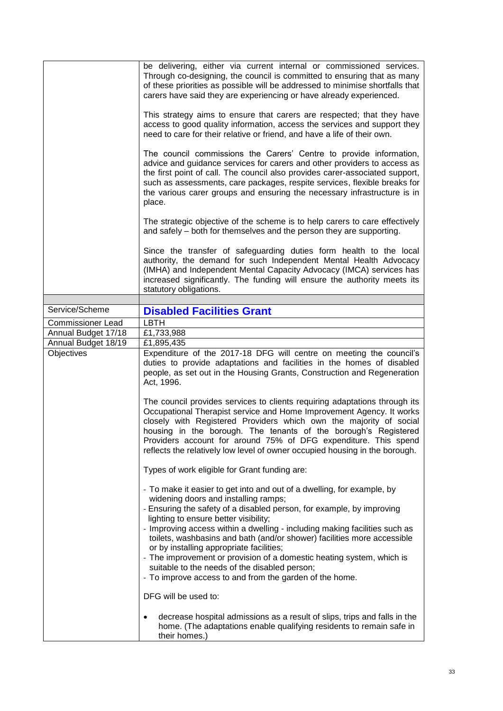|                          | be delivering, either via current internal or commissioned services.<br>Through co-designing, the council is committed to ensuring that as many<br>of these priorities as possible will be addressed to minimise shortfalls that<br>carers have said they are experiencing or have already experienced.<br>This strategy aims to ensure that carers are respected; that they have<br>access to good quality information, access the services and support they<br>need to care for their relative or friend, and have a life of their own.<br>The council commissions the Carers' Centre to provide information,<br>advice and guidance services for carers and other providers to access as<br>the first point of call. The council also provides carer-associated support,<br>such as assessments, care packages, respite services, flexible breaks for<br>the various carer groups and ensuring the necessary infrastructure is in |
|--------------------------|--------------------------------------------------------------------------------------------------------------------------------------------------------------------------------------------------------------------------------------------------------------------------------------------------------------------------------------------------------------------------------------------------------------------------------------------------------------------------------------------------------------------------------------------------------------------------------------------------------------------------------------------------------------------------------------------------------------------------------------------------------------------------------------------------------------------------------------------------------------------------------------------------------------------------------------|
|                          | place.<br>The strategic objective of the scheme is to help carers to care effectively<br>and safely – both for themselves and the person they are supporting.                                                                                                                                                                                                                                                                                                                                                                                                                                                                                                                                                                                                                                                                                                                                                                        |
|                          | Since the transfer of safeguarding duties form health to the local<br>authority, the demand for such Independent Mental Health Advocacy<br>(IMHA) and Independent Mental Capacity Advocacy (IMCA) services has<br>increased significantly. The funding will ensure the authority meets its<br>statutory obligations.                                                                                                                                                                                                                                                                                                                                                                                                                                                                                                                                                                                                                 |
|                          |                                                                                                                                                                                                                                                                                                                                                                                                                                                                                                                                                                                                                                                                                                                                                                                                                                                                                                                                      |
| Service/Scheme           | <b>Disabled Facilities Grant</b>                                                                                                                                                                                                                                                                                                                                                                                                                                                                                                                                                                                                                                                                                                                                                                                                                                                                                                     |
| <b>Commissioner Lead</b> | <b>LBTH</b>                                                                                                                                                                                                                                                                                                                                                                                                                                                                                                                                                                                                                                                                                                                                                                                                                                                                                                                          |
| Annual Budget 17/18      | £1,733,988                                                                                                                                                                                                                                                                                                                                                                                                                                                                                                                                                                                                                                                                                                                                                                                                                                                                                                                           |
| Annual Budget 18/19      | £1,895,435                                                                                                                                                                                                                                                                                                                                                                                                                                                                                                                                                                                                                                                                                                                                                                                                                                                                                                                           |
| Objectives               | Expenditure of the 2017-18 DFG will centre on meeting the council's<br>duties to provide adaptations and facilities in the homes of disabled<br>people, as set out in the Housing Grants, Construction and Regeneration<br>Act, 1996.                                                                                                                                                                                                                                                                                                                                                                                                                                                                                                                                                                                                                                                                                                |
|                          | The council provides services to clients requiring adaptations through its<br>Occupational Therapist service and Home Improvement Agency. It works<br>closely with Registered Providers which own the majority of social<br>housing in the borough. The tenants of the borough's Registered<br>Providers account for around 75% of DFG expenditure. This spend<br>reflects the relatively low level of owner occupied housing in the borough.                                                                                                                                                                                                                                                                                                                                                                                                                                                                                        |
|                          | Types of work eligible for Grant funding are:                                                                                                                                                                                                                                                                                                                                                                                                                                                                                                                                                                                                                                                                                                                                                                                                                                                                                        |
|                          | - To make it easier to get into and out of a dwelling, for example, by<br>widening doors and installing ramps;<br>- Ensuring the safety of a disabled person, for example, by improving<br>lighting to ensure better visibility;<br>- Improving access within a dwelling - including making facilities such as<br>toilets, washbasins and bath (and/or shower) facilities more accessible<br>or by installing appropriate facilities;<br>- The improvement or provision of a domestic heating system, which is<br>suitable to the needs of the disabled person;<br>- To improve access to and from the garden of the home.<br>DFG will be used to:                                                                                                                                                                                                                                                                                   |
|                          | decrease hospital admissions as a result of slips, trips and falls in the<br>home. (The adaptations enable qualifying residents to remain safe in<br>their homes.)                                                                                                                                                                                                                                                                                                                                                                                                                                                                                                                                                                                                                                                                                                                                                                   |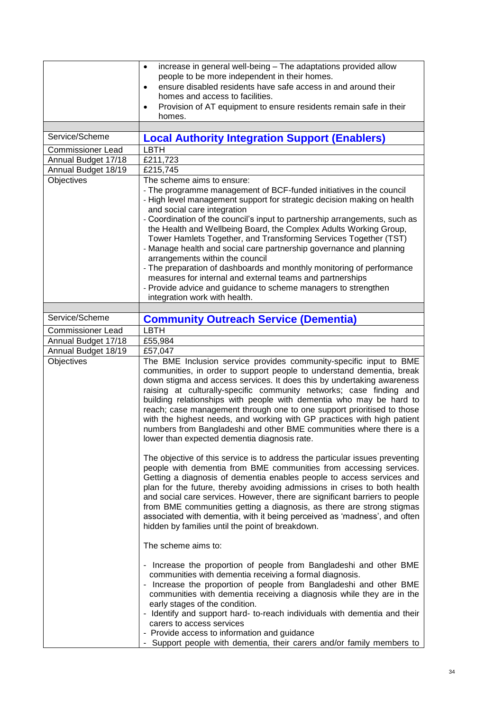|                          | increase in general well-being - The adaptations provided allow<br>$\bullet$                                                                                                                                                                                                                                                                                                                                                                                                                                                                                                                                                                                                                                                                                                                                                                                                                                                                                                                                                                                                                                                                                                                                                                         |
|--------------------------|------------------------------------------------------------------------------------------------------------------------------------------------------------------------------------------------------------------------------------------------------------------------------------------------------------------------------------------------------------------------------------------------------------------------------------------------------------------------------------------------------------------------------------------------------------------------------------------------------------------------------------------------------------------------------------------------------------------------------------------------------------------------------------------------------------------------------------------------------------------------------------------------------------------------------------------------------------------------------------------------------------------------------------------------------------------------------------------------------------------------------------------------------------------------------------------------------------------------------------------------------|
|                          | people to be more independent in their homes.<br>ensure disabled residents have safe access in and around their<br>$\bullet$                                                                                                                                                                                                                                                                                                                                                                                                                                                                                                                                                                                                                                                                                                                                                                                                                                                                                                                                                                                                                                                                                                                         |
|                          | homes and access to facilities.                                                                                                                                                                                                                                                                                                                                                                                                                                                                                                                                                                                                                                                                                                                                                                                                                                                                                                                                                                                                                                                                                                                                                                                                                      |
|                          | Provision of AT equipment to ensure residents remain safe in their<br>$\bullet$                                                                                                                                                                                                                                                                                                                                                                                                                                                                                                                                                                                                                                                                                                                                                                                                                                                                                                                                                                                                                                                                                                                                                                      |
|                          | homes.                                                                                                                                                                                                                                                                                                                                                                                                                                                                                                                                                                                                                                                                                                                                                                                                                                                                                                                                                                                                                                                                                                                                                                                                                                               |
| Service/Scheme           | <b>Local Authority Integration Support (Enablers)</b>                                                                                                                                                                                                                                                                                                                                                                                                                                                                                                                                                                                                                                                                                                                                                                                                                                                                                                                                                                                                                                                                                                                                                                                                |
| <b>Commissioner Lead</b> | <b>LBTH</b>                                                                                                                                                                                                                                                                                                                                                                                                                                                                                                                                                                                                                                                                                                                                                                                                                                                                                                                                                                                                                                                                                                                                                                                                                                          |
| Annual Budget 17/18      | E211,723                                                                                                                                                                                                                                                                                                                                                                                                                                                                                                                                                                                                                                                                                                                                                                                                                                                                                                                                                                                                                                                                                                                                                                                                                                             |
| Annual Budget 18/19      | £215,745                                                                                                                                                                                                                                                                                                                                                                                                                                                                                                                                                                                                                                                                                                                                                                                                                                                                                                                                                                                                                                                                                                                                                                                                                                             |
| <b>Objectives</b>        | The scheme aims to ensure:<br>- The programme management of BCF-funded initiatives in the council<br>- High level management support for strategic decision making on health<br>and social care integration<br>- Coordination of the council's input to partnership arrangements, such as<br>the Health and Wellbeing Board, the Complex Adults Working Group,<br>Tower Hamlets Together, and Transforming Services Together (TST)<br>- Manage health and social care partnership governance and planning<br>arrangements within the council<br>- The preparation of dashboards and monthly monitoring of performance<br>measures for internal and external teams and partnerships                                                                                                                                                                                                                                                                                                                                                                                                                                                                                                                                                                   |
|                          | - Provide advice and guidance to scheme managers to strengthen                                                                                                                                                                                                                                                                                                                                                                                                                                                                                                                                                                                                                                                                                                                                                                                                                                                                                                                                                                                                                                                                                                                                                                                       |
|                          | integration work with health.                                                                                                                                                                                                                                                                                                                                                                                                                                                                                                                                                                                                                                                                                                                                                                                                                                                                                                                                                                                                                                                                                                                                                                                                                        |
| Service/Scheme           | <b>Community Outreach Service (Dementia)</b>                                                                                                                                                                                                                                                                                                                                                                                                                                                                                                                                                                                                                                                                                                                                                                                                                                                                                                                                                                                                                                                                                                                                                                                                         |
| <b>Commissioner Lead</b> | <b>LBTH</b>                                                                                                                                                                                                                                                                                                                                                                                                                                                                                                                                                                                                                                                                                                                                                                                                                                                                                                                                                                                                                                                                                                                                                                                                                                          |
| Annual Budget 17/18      | £55,984                                                                                                                                                                                                                                                                                                                                                                                                                                                                                                                                                                                                                                                                                                                                                                                                                                                                                                                                                                                                                                                                                                                                                                                                                                              |
| Annual Budget 18/19      | £57,047                                                                                                                                                                                                                                                                                                                                                                                                                                                                                                                                                                                                                                                                                                                                                                                                                                                                                                                                                                                                                                                                                                                                                                                                                                              |
| Objectives               | The BME Inclusion service provides community-specific input to BME<br>communities, in order to support people to understand dementia, break<br>down stigma and access services. It does this by undertaking awareness<br>raising at culturally-specific community networks; case finding and<br>building relationships with people with dementia who may be hard to<br>reach; case management through one to one support prioritised to those<br>with the highest needs, and working with GP practices with high patient<br>numbers from Bangladeshi and other BME communities where there is a<br>lower than expected dementia diagnosis rate.<br>The objective of this service is to address the particular issues preventing<br>people with dementia from BME communities from accessing services.<br>Getting a diagnosis of dementia enables people to access services and<br>plan for the future, thereby avoiding admissions in crises to both health<br>and social care services. However, there are significant barriers to people<br>from BME communities getting a diagnosis, as there are strong stigmas<br>associated with dementia, with it being perceived as 'madness', and often<br>hidden by families until the point of breakdown. |
|                          | The scheme aims to:                                                                                                                                                                                                                                                                                                                                                                                                                                                                                                                                                                                                                                                                                                                                                                                                                                                                                                                                                                                                                                                                                                                                                                                                                                  |
|                          | - Increase the proportion of people from Bangladeshi and other BME<br>communities with dementia receiving a formal diagnosis.<br>- Increase the proportion of people from Bangladeshi and other BME<br>communities with dementia receiving a diagnosis while they are in the<br>early stages of the condition.<br>- Identify and support hard- to-reach individuals with dementia and their<br>carers to access services<br>- Provide access to information and guidance<br>- Support people with dementia, their carers and/or family members to                                                                                                                                                                                                                                                                                                                                                                                                                                                                                                                                                                                                                                                                                                    |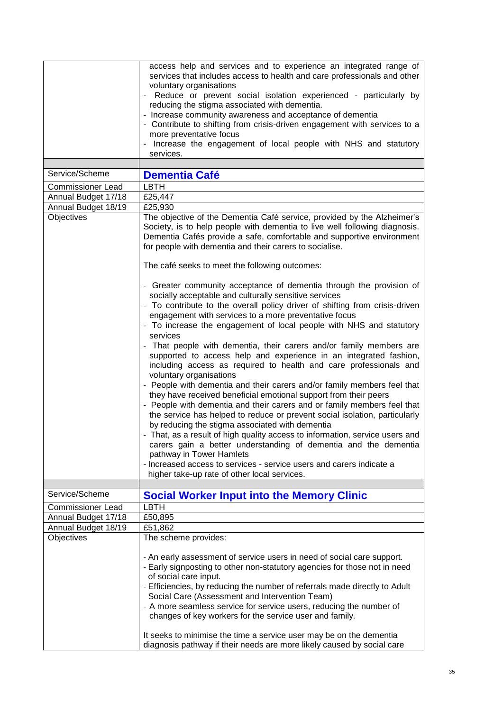|                                          | access help and services and to experience an integrated range of<br>services that includes access to health and care professionals and other<br>voluntary organisations<br>Reduce or prevent social isolation experienced - particularly by<br>reducing the stigma associated with dementia.<br>- Increase community awareness and acceptance of dementia<br>- Contribute to shifting from crisis-driven engagement with services to a<br>more preventative focus<br>- Increase the engagement of local people with NHS and statutory<br>services.                                                                                                                                                                                                                                                                                                                                                                                                                                                                                                                                                                                                                                                                                                                   |
|------------------------------------------|-----------------------------------------------------------------------------------------------------------------------------------------------------------------------------------------------------------------------------------------------------------------------------------------------------------------------------------------------------------------------------------------------------------------------------------------------------------------------------------------------------------------------------------------------------------------------------------------------------------------------------------------------------------------------------------------------------------------------------------------------------------------------------------------------------------------------------------------------------------------------------------------------------------------------------------------------------------------------------------------------------------------------------------------------------------------------------------------------------------------------------------------------------------------------------------------------------------------------------------------------------------------------|
| Service/Scheme                           |                                                                                                                                                                                                                                                                                                                                                                                                                                                                                                                                                                                                                                                                                                                                                                                                                                                                                                                                                                                                                                                                                                                                                                                                                                                                       |
|                                          | <b>Dementia Café</b><br>LBTH                                                                                                                                                                                                                                                                                                                                                                                                                                                                                                                                                                                                                                                                                                                                                                                                                                                                                                                                                                                                                                                                                                                                                                                                                                          |
| Commissioner Lead<br>Annual Budget 17/18 | £25,447                                                                                                                                                                                                                                                                                                                                                                                                                                                                                                                                                                                                                                                                                                                                                                                                                                                                                                                                                                                                                                                                                                                                                                                                                                                               |
| Annual Budget 18/19                      | £25,930                                                                                                                                                                                                                                                                                                                                                                                                                                                                                                                                                                                                                                                                                                                                                                                                                                                                                                                                                                                                                                                                                                                                                                                                                                                               |
| Objectives                               | The objective of the Dementia Café service, provided by the Alzheimer's<br>Society, is to help people with dementia to live well following diagnosis.<br>Dementia Cafés provide a safe, comfortable and supportive environment<br>for people with dementia and their carers to socialise.                                                                                                                                                                                                                                                                                                                                                                                                                                                                                                                                                                                                                                                                                                                                                                                                                                                                                                                                                                             |
|                                          | The café seeks to meet the following outcomes:                                                                                                                                                                                                                                                                                                                                                                                                                                                                                                                                                                                                                                                                                                                                                                                                                                                                                                                                                                                                                                                                                                                                                                                                                        |
|                                          | - Greater community acceptance of dementia through the provision of<br>socially acceptable and culturally sensitive services<br>- To contribute to the overall policy driver of shifting from crisis-driven<br>engagement with services to a more preventative focus<br>- To increase the engagement of local people with NHS and statutory<br>services<br>- That people with dementia, their carers and/or family members are<br>supported to access help and experience in an integrated fashion,<br>including access as required to health and care professionals and<br>voluntary organisations<br>- People with dementia and their carers and/or family members feel that<br>they have received beneficial emotional support from their peers<br>- People with dementia and their carers and or family members feel that<br>the service has helped to reduce or prevent social isolation, particularly<br>by reducing the stigma associated with dementia<br>- That, as a result of high quality access to information, service users and<br>carers gain a better understanding of dementia and the dementia<br>pathway in Tower Hamlets<br>- Increased access to services - service users and carers indicate a<br>higher take-up rate of other local services. |
| Service/Scheme                           | <b>Social Worker Input into the Memory Clinic</b>                                                                                                                                                                                                                                                                                                                                                                                                                                                                                                                                                                                                                                                                                                                                                                                                                                                                                                                                                                                                                                                                                                                                                                                                                     |
| <b>Commissioner Lead</b>                 | <b>LBTH</b>                                                                                                                                                                                                                                                                                                                                                                                                                                                                                                                                                                                                                                                                                                                                                                                                                                                                                                                                                                                                                                                                                                                                                                                                                                                           |
| Annual Budget 17/18                      | £50,895                                                                                                                                                                                                                                                                                                                                                                                                                                                                                                                                                                                                                                                                                                                                                                                                                                                                                                                                                                                                                                                                                                                                                                                                                                                               |
| Annual Budget 18/19                      | £51,862                                                                                                                                                                                                                                                                                                                                                                                                                                                                                                                                                                                                                                                                                                                                                                                                                                                                                                                                                                                                                                                                                                                                                                                                                                                               |
| Objectives                               | The scheme provides:<br>- An early assessment of service users in need of social care support.<br>- Early signposting to other non-statutory agencies for those not in need<br>of social care input.<br>- Efficiencies, by reducing the number of referrals made directly to Adult<br>Social Care (Assessment and Intervention Team)<br>- A more seamless service for service users, reducing the number of<br>changes of key workers for the service user and family.<br>It seeks to minimise the time a service user may be on the dementia<br>diagnosis pathway if their needs are more likely caused by social care                                                                                                                                                                                                                                                                                                                                                                                                                                                                                                                                                                                                                                               |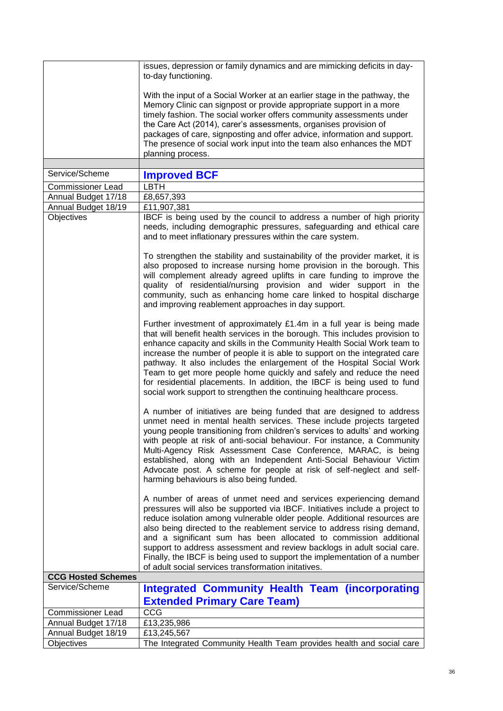|                           | issues, depression or family dynamics and are mimicking deficits in day-<br>to-day functioning.                                                                                                                                                                                                                                                                                                                                                                                                                                                                                                                    |
|---------------------------|--------------------------------------------------------------------------------------------------------------------------------------------------------------------------------------------------------------------------------------------------------------------------------------------------------------------------------------------------------------------------------------------------------------------------------------------------------------------------------------------------------------------------------------------------------------------------------------------------------------------|
|                           | With the input of a Social Worker at an earlier stage in the pathway, the<br>Memory Clinic can signpost or provide appropriate support in a more<br>timely fashion. The social worker offers community assessments under<br>the Care Act (2014), carer's assessments, organises provision of<br>packages of care, signposting and offer advice, information and support.<br>The presence of social work input into the team also enhances the MDT<br>planning process.                                                                                                                                             |
| Service/Scheme            | <b>Improved BCF</b>                                                                                                                                                                                                                                                                                                                                                                                                                                                                                                                                                                                                |
| <b>Commissioner Lead</b>  | <b>LBTH</b>                                                                                                                                                                                                                                                                                                                                                                                                                                                                                                                                                                                                        |
| Annual Budget 17/18       | £8,657,393                                                                                                                                                                                                                                                                                                                                                                                                                                                                                                                                                                                                         |
| Annual Budget 18/19       | £11,907,381                                                                                                                                                                                                                                                                                                                                                                                                                                                                                                                                                                                                        |
| Objectives                | IBCF is being used by the council to address a number of high priority<br>needs, including demographic pressures, safeguarding and ethical care<br>and to meet inflationary pressures within the care system.                                                                                                                                                                                                                                                                                                                                                                                                      |
|                           | To strengthen the stability and sustainability of the provider market, it is<br>also proposed to increase nursing home provision in the borough. This<br>will complement already agreed uplifts in care funding to improve the<br>quality of residential/nursing provision and wider support in the<br>community, such as enhancing home care linked to hospital discharge<br>and improving reablement approaches in day support.                                                                                                                                                                                  |
|                           | Further investment of approximately £1.4m in a full year is being made<br>that will benefit health services in the borough. This includes provision to<br>enhance capacity and skills in the Community Health Social Work team to<br>increase the number of people it is able to support on the integrated care<br>pathway. It also includes the enlargement of the Hospital Social Work<br>Team to get more people home quickly and safely and reduce the need<br>for residential placements. In addition, the IBCF is being used to fund<br>social work support to strengthen the continuing healthcare process. |
|                           | A number of initiatives are being funded that are designed to address<br>unmet need in mental health services. These include projects targeted<br>young people transitioning from children's services to adults' and working<br>with people at risk of anti-social behaviour. For instance, a Community<br>Multi-Agency Risk Assessment Case Conference, MARAC, is being<br>established, along with an Independent Anti-Social Behaviour Victim<br>Advocate post. A scheme for people at risk of self-neglect and self-<br>harming behaviours is also being funded.                                                |
|                           | A number of areas of unmet need and services experiencing demand<br>pressures will also be supported via IBCF. Initiatives include a project to<br>reduce isolation among vulnerable older people. Additional resources are<br>also being directed to the reablement service to address rising demand,<br>and a significant sum has been allocated to commission additional<br>support to address assessment and review backlogs in adult social care.<br>Finally, the IBCF is being used to support the implementation of a number<br>of adult social services transformation initatives.                         |
| <b>CCG Hosted Schemes</b> |                                                                                                                                                                                                                                                                                                                                                                                                                                                                                                                                                                                                                    |
| Service/Scheme            | <b>Integrated Community Health Team (incorporating</b><br><b>Extended Primary Care Team)</b>                                                                                                                                                                                                                                                                                                                                                                                                                                                                                                                       |
| <b>Commissioner Lead</b>  | CCG                                                                                                                                                                                                                                                                                                                                                                                                                                                                                                                                                                                                                |
| Annual Budget 17/18       | £13,235,986                                                                                                                                                                                                                                                                                                                                                                                                                                                                                                                                                                                                        |
| Annual Budget 18/19       | £13,245,567                                                                                                                                                                                                                                                                                                                                                                                                                                                                                                                                                                                                        |
| Objectives                | The Integrated Community Health Team provides health and social care                                                                                                                                                                                                                                                                                                                                                                                                                                                                                                                                               |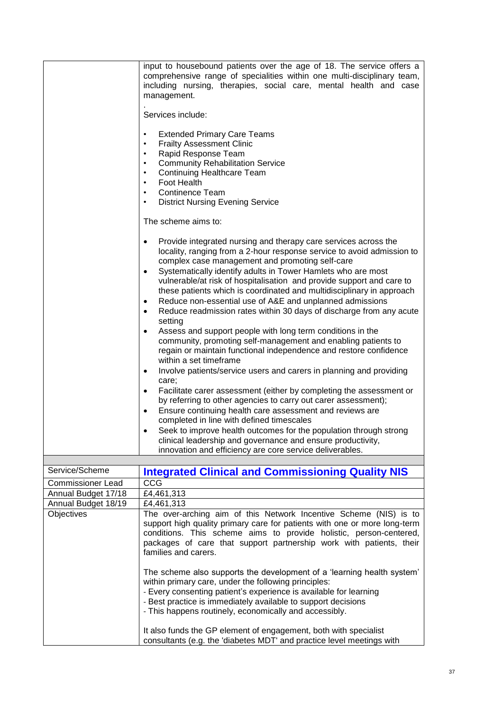|                                          | input to housebound patients over the age of 18. The service offers a<br>comprehensive range of specialities within one multi-disciplinary team,<br>including nursing, therapies, social care, mental health and case<br>management.                                                                                                                                                                                                                                                                                                                                                                                                                                                                                                                                                                                                                                                                                                                                                                                                                                                                                                                                                                                                                       |
|------------------------------------------|------------------------------------------------------------------------------------------------------------------------------------------------------------------------------------------------------------------------------------------------------------------------------------------------------------------------------------------------------------------------------------------------------------------------------------------------------------------------------------------------------------------------------------------------------------------------------------------------------------------------------------------------------------------------------------------------------------------------------------------------------------------------------------------------------------------------------------------------------------------------------------------------------------------------------------------------------------------------------------------------------------------------------------------------------------------------------------------------------------------------------------------------------------------------------------------------------------------------------------------------------------|
|                                          | Services include:                                                                                                                                                                                                                                                                                                                                                                                                                                                                                                                                                                                                                                                                                                                                                                                                                                                                                                                                                                                                                                                                                                                                                                                                                                          |
|                                          | <b>Extended Primary Care Teams</b><br>$\bullet$<br><b>Frailty Assessment Clinic</b><br>Rapid Response Team<br><b>Community Rehabilitation Service</b><br><b>Continuing Healthcare Team</b><br>Foot Health<br>$\bullet$<br><b>Continence Team</b><br>$\bullet$<br><b>District Nursing Evening Service</b><br>$\bullet$                                                                                                                                                                                                                                                                                                                                                                                                                                                                                                                                                                                                                                                                                                                                                                                                                                                                                                                                      |
|                                          | The scheme aims to:                                                                                                                                                                                                                                                                                                                                                                                                                                                                                                                                                                                                                                                                                                                                                                                                                                                                                                                                                                                                                                                                                                                                                                                                                                        |
|                                          | Provide integrated nursing and therapy care services across the<br>$\bullet$<br>locality, ranging from a 2-hour response service to avoid admission to<br>complex case management and promoting self-care<br>Systematically identify adults in Tower Hamlets who are most<br>$\bullet$<br>vulnerable/at risk of hospitalisation and provide support and care to<br>these patients which is coordinated and multidisciplinary in approach<br>Reduce non-essential use of A&E and unplanned admissions<br>٠<br>Reduce readmission rates within 30 days of discharge from any acute<br>$\bullet$<br>setting<br>Assess and support people with long term conditions in the<br>$\bullet$<br>community, promoting self-management and enabling patients to<br>regain or maintain functional independence and restore confidence<br>within a set timeframe<br>Involve patients/service users and carers in planning and providing<br>care;<br>Facilitate carer assessment (either by completing the assessment or<br>by referring to other agencies to carry out carer assessment);<br>Ensure continuing health care assessment and reviews are<br>completed in line with defined timescales<br>Seek to improve health outcomes for the population through strong |
|                                          | clinical leadership and governance and ensure productivity,<br>innovation and efficiency are core service deliverables.                                                                                                                                                                                                                                                                                                                                                                                                                                                                                                                                                                                                                                                                                                                                                                                                                                                                                                                                                                                                                                                                                                                                    |
|                                          |                                                                                                                                                                                                                                                                                                                                                                                                                                                                                                                                                                                                                                                                                                                                                                                                                                                                                                                                                                                                                                                                                                                                                                                                                                                            |
| Service/Scheme                           | <b>Integrated Clinical and Commissioning Quality NIS</b>                                                                                                                                                                                                                                                                                                                                                                                                                                                                                                                                                                                                                                                                                                                                                                                                                                                                                                                                                                                                                                                                                                                                                                                                   |
| Commissioner Lead<br>Annual Budget 17/18 | CCG<br>£4,461,313                                                                                                                                                                                                                                                                                                                                                                                                                                                                                                                                                                                                                                                                                                                                                                                                                                                                                                                                                                                                                                                                                                                                                                                                                                          |
| Annual Budget 18/19                      | £4,461,313                                                                                                                                                                                                                                                                                                                                                                                                                                                                                                                                                                                                                                                                                                                                                                                                                                                                                                                                                                                                                                                                                                                                                                                                                                                 |
| <b>Objectives</b>                        | The over-arching aim of this Network Incentive Scheme (NIS) is to<br>support high quality primary care for patients with one or more long-term<br>conditions. This scheme aims to provide holistic, person-centered,<br>packages of care that support partnership work with patients, their<br>families and carers.                                                                                                                                                                                                                                                                                                                                                                                                                                                                                                                                                                                                                                                                                                                                                                                                                                                                                                                                        |
|                                          | The scheme also supports the development of a 'learning health system'<br>within primary care, under the following principles:<br>- Every consenting patient's experience is available for learning<br>- Best practice is immediately available to support decisions<br>- This happens routinely, economically and accessibly.                                                                                                                                                                                                                                                                                                                                                                                                                                                                                                                                                                                                                                                                                                                                                                                                                                                                                                                             |
|                                          | It also funds the GP element of engagement, both with specialist<br>consultants (e.g. the 'diabetes MDT' and practice level meetings with                                                                                                                                                                                                                                                                                                                                                                                                                                                                                                                                                                                                                                                                                                                                                                                                                                                                                                                                                                                                                                                                                                                  |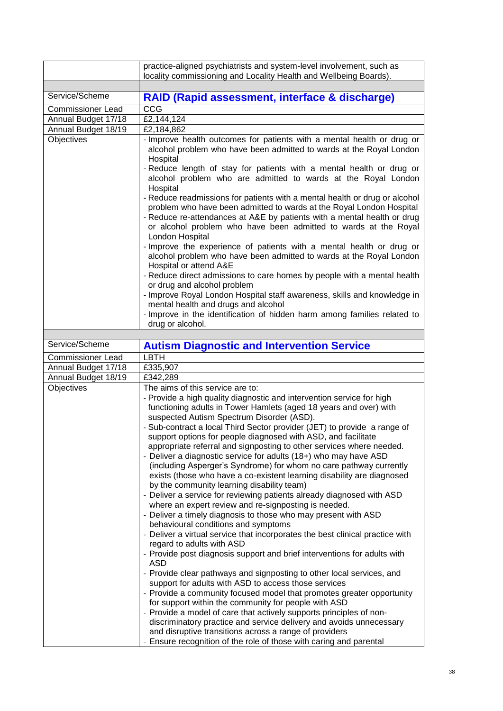|                          | practice-aligned psychiatrists and system-level involvement, such as                                                                                                                                                                                                                                                                                                                                                                                                                                                                                                                                                                                                                                                                                                                                                                                                                                                                                                                                                                                                                                                                                                                                                                                                                                                                                                                                                                                                                                                                                                                                                                                                           |
|--------------------------|--------------------------------------------------------------------------------------------------------------------------------------------------------------------------------------------------------------------------------------------------------------------------------------------------------------------------------------------------------------------------------------------------------------------------------------------------------------------------------------------------------------------------------------------------------------------------------------------------------------------------------------------------------------------------------------------------------------------------------------------------------------------------------------------------------------------------------------------------------------------------------------------------------------------------------------------------------------------------------------------------------------------------------------------------------------------------------------------------------------------------------------------------------------------------------------------------------------------------------------------------------------------------------------------------------------------------------------------------------------------------------------------------------------------------------------------------------------------------------------------------------------------------------------------------------------------------------------------------------------------------------------------------------------------------------|
|                          | locality commissioning and Locality Health and Wellbeing Boards).                                                                                                                                                                                                                                                                                                                                                                                                                                                                                                                                                                                                                                                                                                                                                                                                                                                                                                                                                                                                                                                                                                                                                                                                                                                                                                                                                                                                                                                                                                                                                                                                              |
| Service/Scheme           | RAID (Rapid assessment, interface & discharge)                                                                                                                                                                                                                                                                                                                                                                                                                                                                                                                                                                                                                                                                                                                                                                                                                                                                                                                                                                                                                                                                                                                                                                                                                                                                                                                                                                                                                                                                                                                                                                                                                                 |
| <b>Commissioner Lead</b> | CCG                                                                                                                                                                                                                                                                                                                                                                                                                                                                                                                                                                                                                                                                                                                                                                                                                                                                                                                                                                                                                                                                                                                                                                                                                                                                                                                                                                                                                                                                                                                                                                                                                                                                            |
| Annual Budget 17/18      | $\overline{E2}$ , 144, 124                                                                                                                                                                                                                                                                                                                                                                                                                                                                                                                                                                                                                                                                                                                                                                                                                                                                                                                                                                                                                                                                                                                                                                                                                                                                                                                                                                                                                                                                                                                                                                                                                                                     |
| Annual Budget 18/19      | £2,184,862                                                                                                                                                                                                                                                                                                                                                                                                                                                                                                                                                                                                                                                                                                                                                                                                                                                                                                                                                                                                                                                                                                                                                                                                                                                                                                                                                                                                                                                                                                                                                                                                                                                                     |
| Objectives               | - Improve health outcomes for patients with a mental health or drug or<br>alcohol problem who have been admitted to wards at the Royal London<br>Hospital<br>- Reduce length of stay for patients with a mental health or drug or<br>alcohol problem who are admitted to wards at the Royal London<br>Hospital<br>- Reduce readmissions for patients with a mental health or drug or alcohol<br>problem who have been admitted to wards at the Royal London Hospital<br>- Reduce re-attendances at A&E by patients with a mental health or drug<br>or alcohol problem who have been admitted to wards at the Royal<br>London Hospital<br>- Improve the experience of patients with a mental health or drug or<br>alcohol problem who have been admitted to wards at the Royal London<br>Hospital or attend A&E<br>- Reduce direct admissions to care homes by people with a mental health<br>or drug and alcohol problem<br>- Improve Royal London Hospital staff awareness, skills and knowledge in<br>mental health and drugs and alcohol<br>- Improve in the identification of hidden harm among families related to                                                                                                                                                                                                                                                                                                                                                                                                                                                                                                                                                        |
|                          | drug or alcohol.                                                                                                                                                                                                                                                                                                                                                                                                                                                                                                                                                                                                                                                                                                                                                                                                                                                                                                                                                                                                                                                                                                                                                                                                                                                                                                                                                                                                                                                                                                                                                                                                                                                               |
|                          |                                                                                                                                                                                                                                                                                                                                                                                                                                                                                                                                                                                                                                                                                                                                                                                                                                                                                                                                                                                                                                                                                                                                                                                                                                                                                                                                                                                                                                                                                                                                                                                                                                                                                |
| Service/Scheme           | <b>Autism Diagnostic and Intervention Service</b>                                                                                                                                                                                                                                                                                                                                                                                                                                                                                                                                                                                                                                                                                                                                                                                                                                                                                                                                                                                                                                                                                                                                                                                                                                                                                                                                                                                                                                                                                                                                                                                                                              |
| <b>Commissioner Lead</b> | <b>LBTH</b>                                                                                                                                                                                                                                                                                                                                                                                                                                                                                                                                                                                                                                                                                                                                                                                                                                                                                                                                                                                                                                                                                                                                                                                                                                                                                                                                                                                                                                                                                                                                                                                                                                                                    |
| Annual Budget 17/18      | £335,907                                                                                                                                                                                                                                                                                                                                                                                                                                                                                                                                                                                                                                                                                                                                                                                                                                                                                                                                                                                                                                                                                                                                                                                                                                                                                                                                                                                                                                                                                                                                                                                                                                                                       |
| Annual Budget 18/19      | £342,289                                                                                                                                                                                                                                                                                                                                                                                                                                                                                                                                                                                                                                                                                                                                                                                                                                                                                                                                                                                                                                                                                                                                                                                                                                                                                                                                                                                                                                                                                                                                                                                                                                                                       |
| Objectives               | The aims of this service are to:                                                                                                                                                                                                                                                                                                                                                                                                                                                                                                                                                                                                                                                                                                                                                                                                                                                                                                                                                                                                                                                                                                                                                                                                                                                                                                                                                                                                                                                                                                                                                                                                                                               |
|                          | - Provide a high quality diagnostic and intervention service for high<br>functioning adults in Tower Hamlets (aged 18 years and over) with<br>suspected Autism Spectrum Disorder (ASD).<br>- Sub-contract a local Third Sector provider (JET) to provide a range of<br>support options for people diagnosed with ASD, and facilitate<br>appropriate referral and signposting to other services where needed.<br>- Deliver a diagnostic service for adults (18+) who may have ASD<br>(including Asperger's Syndrome) for whom no care pathway currently<br>exists (those who have a co-existent learning disability are diagnosed<br>by the community learning disability team)<br>- Deliver a service for reviewing patients already diagnosed with ASD<br>where an expert review and re-signposting is needed.<br>- Deliver a timely diagnosis to those who may present with ASD<br>behavioural conditions and symptoms<br>- Deliver a virtual service that incorporates the best clinical practice with<br>regard to adults with ASD<br>- Provide post diagnosis support and brief interventions for adults with<br><b>ASD</b><br>- Provide clear pathways and signposting to other local services, and<br>support for adults with ASD to access those services<br>- Provide a community focused model that promotes greater opportunity<br>for support within the community for people with ASD<br>- Provide a model of care that actively supports principles of non-<br>discriminatory practice and service delivery and avoids unnecessary<br>and disruptive transitions across a range of providers<br>Ensure recognition of the role of those with caring and parental |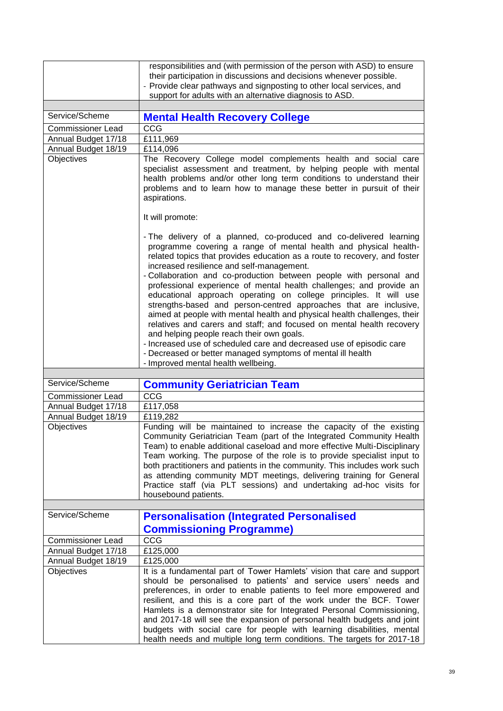|                                   | responsibilities and (with permission of the person with ASD) to ensure<br>their participation in discussions and decisions whenever possible.<br>- Provide clear pathways and signposting to other local services, and<br>support for adults with an alternative diagnosis to ASD.                                                                                                                                                                                                                                                                                                                                                                                                                                                                                                                                                                                                                                                     |
|-----------------------------------|-----------------------------------------------------------------------------------------------------------------------------------------------------------------------------------------------------------------------------------------------------------------------------------------------------------------------------------------------------------------------------------------------------------------------------------------------------------------------------------------------------------------------------------------------------------------------------------------------------------------------------------------------------------------------------------------------------------------------------------------------------------------------------------------------------------------------------------------------------------------------------------------------------------------------------------------|
| Service/Scheme                    | <b>Mental Health Recovery College</b>                                                                                                                                                                                                                                                                                                                                                                                                                                                                                                                                                                                                                                                                                                                                                                                                                                                                                                   |
| <b>Commissioner Lead</b>          | CCG                                                                                                                                                                                                                                                                                                                                                                                                                                                                                                                                                                                                                                                                                                                                                                                                                                                                                                                                     |
| Annual Budget 17/18               | £111,969                                                                                                                                                                                                                                                                                                                                                                                                                                                                                                                                                                                                                                                                                                                                                                                                                                                                                                                                |
| Annual Budget 18/19               | £114,096                                                                                                                                                                                                                                                                                                                                                                                                                                                                                                                                                                                                                                                                                                                                                                                                                                                                                                                                |
| Objectives                        | The Recovery College model complements health and social care<br>specialist assessment and treatment, by helping people with mental<br>health problems and/or other long term conditions to understand their<br>problems and to learn how to manage these better in pursuit of their<br>aspirations.                                                                                                                                                                                                                                                                                                                                                                                                                                                                                                                                                                                                                                    |
|                                   | It will promote:                                                                                                                                                                                                                                                                                                                                                                                                                                                                                                                                                                                                                                                                                                                                                                                                                                                                                                                        |
|                                   | - The delivery of a planned, co-produced and co-delivered learning<br>programme covering a range of mental health and physical health-<br>related topics that provides education as a route to recovery, and foster<br>increased resilience and self-management.<br>- Collaboration and co-production between people with personal and<br>professional experience of mental health challenges; and provide an<br>educational approach operating on college principles. It will use<br>strengths-based and person-centred approaches that are inclusive,<br>aimed at people with mental health and physical health challenges, their<br>relatives and carers and staff; and focused on mental health recovery<br>and helping people reach their own goals.<br>- Increased use of scheduled care and decreased use of episodic care<br>- Decreased or better managed symptoms of mental ill health<br>- Improved mental health wellbeing. |
|                                   |                                                                                                                                                                                                                                                                                                                                                                                                                                                                                                                                                                                                                                                                                                                                                                                                                                                                                                                                         |
| Service/Scheme                    | <b>Community Geriatrician Team</b>                                                                                                                                                                                                                                                                                                                                                                                                                                                                                                                                                                                                                                                                                                                                                                                                                                                                                                      |
| <b>Commissioner Lead</b>          | CCG                                                                                                                                                                                                                                                                                                                                                                                                                                                                                                                                                                                                                                                                                                                                                                                                                                                                                                                                     |
| Annual Budget 17/18               | £117,058                                                                                                                                                                                                                                                                                                                                                                                                                                                                                                                                                                                                                                                                                                                                                                                                                                                                                                                                |
| Annual Budget 18/19               | £119,282                                                                                                                                                                                                                                                                                                                                                                                                                                                                                                                                                                                                                                                                                                                                                                                                                                                                                                                                |
| Objectives                        | Funding will be maintained to increase the capacity of the existing<br>Community Geriatrician Team (part of the Integrated Community Health<br>Team) to enable additional caseload and more effective Multi-Disciplinary<br>Team working. The purpose of the role is to provide specialist input to<br>both practitioners and patients in the community. This includes work such<br>as attending community MDT meetings, delivering training for General<br>Practice staff (via PLT sessions) and undertaking ad-hoc visits for<br>housebound patients.                                                                                                                                                                                                                                                                                                                                                                                 |
|                                   |                                                                                                                                                                                                                                                                                                                                                                                                                                                                                                                                                                                                                                                                                                                                                                                                                                                                                                                                         |
| Service/Scheme                    | <b>Personalisation (Integrated Personalised</b>                                                                                                                                                                                                                                                                                                                                                                                                                                                                                                                                                                                                                                                                                                                                                                                                                                                                                         |
|                                   | <b>Commissioning Programme)</b>                                                                                                                                                                                                                                                                                                                                                                                                                                                                                                                                                                                                                                                                                                                                                                                                                                                                                                         |
| <b>Commissioner Lead</b>          | CCG                                                                                                                                                                                                                                                                                                                                                                                                                                                                                                                                                                                                                                                                                                                                                                                                                                                                                                                                     |
| Annual Budget 17/18               | £125,000                                                                                                                                                                                                                                                                                                                                                                                                                                                                                                                                                                                                                                                                                                                                                                                                                                                                                                                                |
| Annual Budget 18/19<br>Objectives | £125,000<br>It is a fundamental part of Tower Hamlets' vision that care and support<br>should be personalised to patients' and service users' needs and<br>preferences, in order to enable patients to feel more empowered and<br>resilient, and this is a core part of the work under the BCF. Tower<br>Hamlets is a demonstrator site for Integrated Personal Commissioning,<br>and 2017-18 will see the expansion of personal health budgets and joint<br>budgets with social care for people with learning disabilities, mental                                                                                                                                                                                                                                                                                                                                                                                                     |
|                                   | health needs and multiple long term conditions. The targets for 2017-18                                                                                                                                                                                                                                                                                                                                                                                                                                                                                                                                                                                                                                                                                                                                                                                                                                                                 |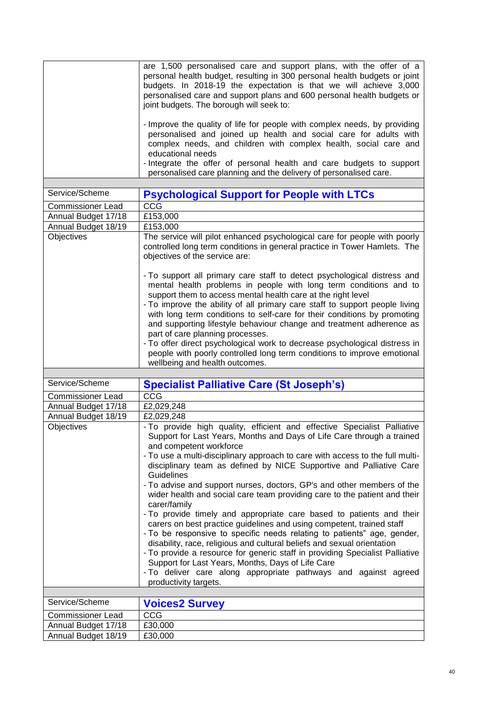|                          | are 1,500 personalised care and support plans, with the offer of a<br>personal health budget, resulting in 300 personal health budgets or joint<br>budgets. In 2018-19 the expectation is that we will achieve 3,000<br>personalised care and support plans and 600 personal health budgets or<br>joint budgets. The borough will seek to:<br>- Improve the quality of life for people with complex needs, by providing<br>personalised and joined up health and social care for adults with<br>complex needs, and children with complex health, social care and   |
|--------------------------|--------------------------------------------------------------------------------------------------------------------------------------------------------------------------------------------------------------------------------------------------------------------------------------------------------------------------------------------------------------------------------------------------------------------------------------------------------------------------------------------------------------------------------------------------------------------|
|                          | educational needs                                                                                                                                                                                                                                                                                                                                                                                                                                                                                                                                                  |
|                          | - Integrate the offer of personal health and care budgets to support<br>personalised care planning and the delivery of personalised care.                                                                                                                                                                                                                                                                                                                                                                                                                          |
| Service/Scheme           |                                                                                                                                                                                                                                                                                                                                                                                                                                                                                                                                                                    |
|                          | <b>Psychological Support for People with LTCs</b>                                                                                                                                                                                                                                                                                                                                                                                                                                                                                                                  |
| <b>Commissioner Lead</b> | $cc\overline{G}$                                                                                                                                                                                                                                                                                                                                                                                                                                                                                                                                                   |
| Annual Budget 17/18      | £153,000                                                                                                                                                                                                                                                                                                                                                                                                                                                                                                                                                           |
| Annual Budget 18/19      | £153,000                                                                                                                                                                                                                                                                                                                                                                                                                                                                                                                                                           |
| <b>Objectives</b>        | The service will pilot enhanced psychological care for people with poorly<br>controlled long term conditions in general practice in Tower Hamlets. The<br>objectives of the service are:                                                                                                                                                                                                                                                                                                                                                                           |
|                          | - To support all primary care staff to detect psychological distress and<br>mental health problems in people with long term conditions and to<br>support them to access mental health care at the right level<br>- To improve the ability of all primary care staff to support people living<br>with long term conditions to self-care for their conditions by promoting<br>and supporting lifestyle behaviour change and treatment adherence as<br>part of care planning processes.<br>- To offer direct psychological work to decrease psychological distress in |
|                          | people with poorly controlled long term conditions to improve emotional<br>wellbeing and health outcomes.                                                                                                                                                                                                                                                                                                                                                                                                                                                          |
|                          |                                                                                                                                                                                                                                                                                                                                                                                                                                                                                                                                                                    |
| Service/Scheme           | <b>Specialist Palliative Care (St Joseph's)</b>                                                                                                                                                                                                                                                                                                                                                                                                                                                                                                                    |
| <b>Commissioner Lead</b> | CCG                                                                                                                                                                                                                                                                                                                                                                                                                                                                                                                                                                |
| Annual Budget 17/18      | £2,029,248                                                                                                                                                                                                                                                                                                                                                                                                                                                                                                                                                         |
| Annual Budget 18/19      | £2,029,248                                                                                                                                                                                                                                                                                                                                                                                                                                                                                                                                                         |
| Objectives               | - To provide high quality, efficient and effective Specialist Palliative<br>Support for Last Years, Months and Days of Life Care through a trained<br>and competent workforce                                                                                                                                                                                                                                                                                                                                                                                      |
|                          | - To use a multi-disciplinary approach to care with access to the full multi-<br>disciplinary team as defined by NICE Supportive and Palliative Care<br>Guidelines                                                                                                                                                                                                                                                                                                                                                                                                 |
|                          | - To advise and support nurses, doctors, GP's and other members of the<br>wider health and social care team providing care to the patient and their                                                                                                                                                                                                                                                                                                                                                                                                                |
|                          | carer/family<br>- To provide timely and appropriate care based to patients and their<br>carers on best practice guidelines and using competent, trained staff<br>- To be responsive to specific needs relating to patients" age, gender,<br>disability, race, religious and cultural beliefs and sexual orientation<br>- To provide a resource for generic staff in providing Specialist Palliative<br>Support for Last Years, Months, Days of Life Care<br>- To deliver care along appropriate pathways and against agreed<br>productivity targets.               |
|                          |                                                                                                                                                                                                                                                                                                                                                                                                                                                                                                                                                                    |
| Service/Scheme           | <b>Voices2 Survey</b>                                                                                                                                                                                                                                                                                                                                                                                                                                                                                                                                              |
| <b>Commissioner Lead</b> | CCG                                                                                                                                                                                                                                                                                                                                                                                                                                                                                                                                                                |
| Annual Budget 17/18      | £30,000                                                                                                                                                                                                                                                                                                                                                                                                                                                                                                                                                            |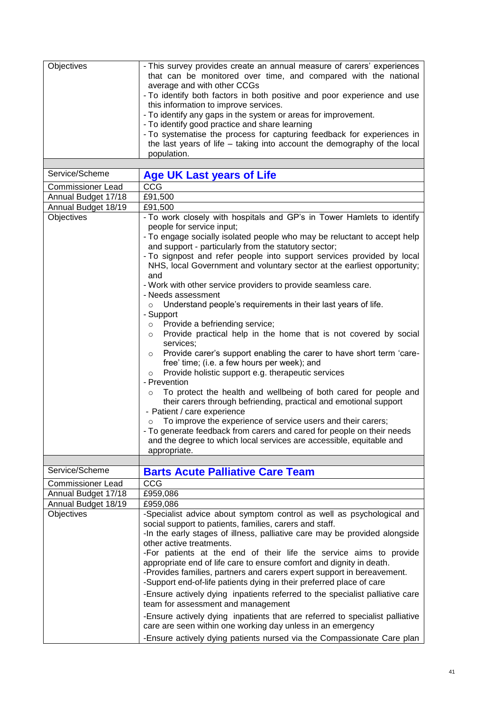| Objectives               | - This survey provides create an annual measure of carers' experiences<br>that can be monitored over time, and compared with the national<br>average and with other CCGs<br>- To identify both factors in both positive and poor experience and use<br>this information to improve services.<br>- To identify any gaps in the system or areas for improvement.<br>- To identify good practice and share learning<br>- To systematise the process for capturing feedback for experiences in<br>the last years of life - taking into account the demography of the local<br>population. |
|--------------------------|---------------------------------------------------------------------------------------------------------------------------------------------------------------------------------------------------------------------------------------------------------------------------------------------------------------------------------------------------------------------------------------------------------------------------------------------------------------------------------------------------------------------------------------------------------------------------------------|
| Service/Scheme           | <b>Age UK Last years of Life</b>                                                                                                                                                                                                                                                                                                                                                                                                                                                                                                                                                      |
| <b>Commissioner Lead</b> | CCG                                                                                                                                                                                                                                                                                                                                                                                                                                                                                                                                                                                   |
| Annual Budget 17/18      | £91,500                                                                                                                                                                                                                                                                                                                                                                                                                                                                                                                                                                               |
| Annual Budget 18/19      | £91,500                                                                                                                                                                                                                                                                                                                                                                                                                                                                                                                                                                               |
| Objectives               | - To work closely with hospitals and GP's in Tower Hamlets to identify                                                                                                                                                                                                                                                                                                                                                                                                                                                                                                                |
|                          | people for service input;                                                                                                                                                                                                                                                                                                                                                                                                                                                                                                                                                             |
|                          | - To engage socially isolated people who may be reluctant to accept help<br>and support - particularly from the statutory sector;                                                                                                                                                                                                                                                                                                                                                                                                                                                     |
|                          | - To signpost and refer people into support services provided by local<br>NHS, local Government and voluntary sector at the earliest opportunity;<br>and                                                                                                                                                                                                                                                                                                                                                                                                                              |
|                          | - Work with other service providers to provide seamless care.<br>- Needs assessment                                                                                                                                                                                                                                                                                                                                                                                                                                                                                                   |
|                          | Understand people's requirements in their last years of life.<br>$\circ$<br>- Support                                                                                                                                                                                                                                                                                                                                                                                                                                                                                                 |
|                          | Provide a befriending service;<br>$\circ$                                                                                                                                                                                                                                                                                                                                                                                                                                                                                                                                             |
|                          | Provide practical help in the home that is not covered by social<br>$\circ$<br>services;                                                                                                                                                                                                                                                                                                                                                                                                                                                                                              |
|                          | Provide carer's support enabling the carer to have short term 'care-<br>$\circ$<br>free' time; (i.e. a few hours per week); and                                                                                                                                                                                                                                                                                                                                                                                                                                                       |
|                          | Provide holistic support e.g. therapeutic services<br>$\circ$                                                                                                                                                                                                                                                                                                                                                                                                                                                                                                                         |
|                          | - Prevention                                                                                                                                                                                                                                                                                                                                                                                                                                                                                                                                                                          |
|                          | To protect the health and wellbeing of both cared for people and<br>$\circ$<br>their carers through befriending, practical and emotional support<br>- Patient / care experience                                                                                                                                                                                                                                                                                                                                                                                                       |
|                          | To improve the experience of service users and their carers;                                                                                                                                                                                                                                                                                                                                                                                                                                                                                                                          |
|                          | - To generate feedback from carers and cared for people on their needs<br>and the degree to which local services are accessible, equitable and                                                                                                                                                                                                                                                                                                                                                                                                                                        |
|                          | appropriate.                                                                                                                                                                                                                                                                                                                                                                                                                                                                                                                                                                          |
|                          |                                                                                                                                                                                                                                                                                                                                                                                                                                                                                                                                                                                       |
| Service/Scheme           | <b>Barts Acute Palliative Care Team</b>                                                                                                                                                                                                                                                                                                                                                                                                                                                                                                                                               |
| <b>Commissioner Lead</b> | CCG                                                                                                                                                                                                                                                                                                                                                                                                                                                                                                                                                                                   |
| Annual Budget 17/18      | £959,086                                                                                                                                                                                                                                                                                                                                                                                                                                                                                                                                                                              |
| Annual Budget 18/19      | £959,086                                                                                                                                                                                                                                                                                                                                                                                                                                                                                                                                                                              |
| Objectives               | -Specialist advice about symptom control as well as psychological and                                                                                                                                                                                                                                                                                                                                                                                                                                                                                                                 |
|                          | social support to patients, families, carers and staff.                                                                                                                                                                                                                                                                                                                                                                                                                                                                                                                               |
|                          | -In the early stages of illness, palliative care may be provided alongside                                                                                                                                                                                                                                                                                                                                                                                                                                                                                                            |
|                          | other active treatments.                                                                                                                                                                                                                                                                                                                                                                                                                                                                                                                                                              |
|                          | -For patients at the end of their life the service aims to provide<br>appropriate end of life care to ensure comfort and dignity in death.<br>-Provides families, partners and carers expert support in bereavement.<br>-Support end-of-life patients dying in their preferred place of care                                                                                                                                                                                                                                                                                          |
|                          | -Ensure actively dying inpatients referred to the specialist palliative care<br>team for assessment and management                                                                                                                                                                                                                                                                                                                                                                                                                                                                    |
|                          | -Ensure actively dying inpatients that are referred to specialist palliative<br>care are seen within one working day unless in an emergency                                                                                                                                                                                                                                                                                                                                                                                                                                           |
|                          | -Ensure actively dying patients nursed via the Compassionate Care plan                                                                                                                                                                                                                                                                                                                                                                                                                                                                                                                |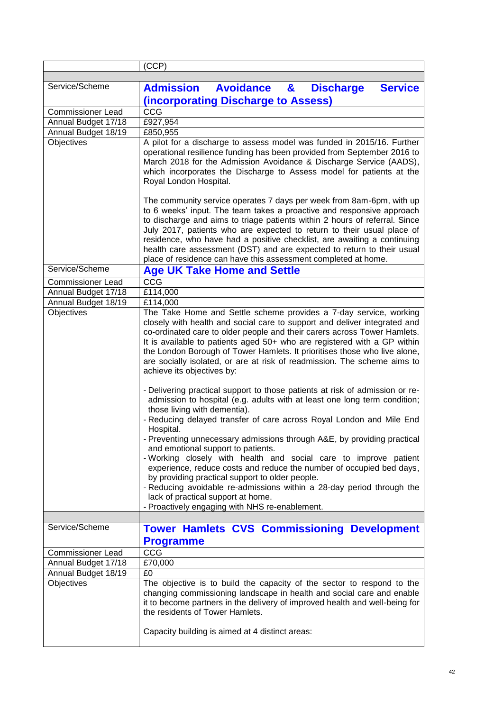| Service/Scheme<br><b>Admission Avoidance &amp; Discharge</b><br><b>Service</b><br>(incorporating Discharge to Assess)<br>CCG<br><b>Commissioner Lead</b><br>Annual Budget 17/18<br>£927,954<br>Annual Budget 18/19<br>£850,955<br>Objectives<br>A pilot for a discharge to assess model was funded in 2015/16. Further<br>operational resilience funding has been provided from September 2016 to<br>March 2018 for the Admission Avoidance & Discharge Service (AADS),<br>which incorporates the Discharge to Assess model for patients at the<br>Royal London Hospital.<br>The community service operates 7 days per week from 8am-6pm, with up<br>to 6 weeks' input. The team takes a proactive and responsive approach<br>to discharge and aims to triage patients within 2 hours of referral. Since<br>July 2017, patients who are expected to return to their usual place of<br>residence, who have had a positive checklist, are awaiting a continuing<br>health care assessment (DST) and are expected to return to their usual<br>place of residence can have this assessment completed at home.<br>Service/Scheme<br><b>Age UK Take Home and Settle</b>                                                                                                            |
|------------------------------------------------------------------------------------------------------------------------------------------------------------------------------------------------------------------------------------------------------------------------------------------------------------------------------------------------------------------------------------------------------------------------------------------------------------------------------------------------------------------------------------------------------------------------------------------------------------------------------------------------------------------------------------------------------------------------------------------------------------------------------------------------------------------------------------------------------------------------------------------------------------------------------------------------------------------------------------------------------------------------------------------------------------------------------------------------------------------------------------------------------------------------------------------------------------------------------------------------------------------------------|
|                                                                                                                                                                                                                                                                                                                                                                                                                                                                                                                                                                                                                                                                                                                                                                                                                                                                                                                                                                                                                                                                                                                                                                                                                                                                              |
|                                                                                                                                                                                                                                                                                                                                                                                                                                                                                                                                                                                                                                                                                                                                                                                                                                                                                                                                                                                                                                                                                                                                                                                                                                                                              |
|                                                                                                                                                                                                                                                                                                                                                                                                                                                                                                                                                                                                                                                                                                                                                                                                                                                                                                                                                                                                                                                                                                                                                                                                                                                                              |
|                                                                                                                                                                                                                                                                                                                                                                                                                                                                                                                                                                                                                                                                                                                                                                                                                                                                                                                                                                                                                                                                                                                                                                                                                                                                              |
|                                                                                                                                                                                                                                                                                                                                                                                                                                                                                                                                                                                                                                                                                                                                                                                                                                                                                                                                                                                                                                                                                                                                                                                                                                                                              |
|                                                                                                                                                                                                                                                                                                                                                                                                                                                                                                                                                                                                                                                                                                                                                                                                                                                                                                                                                                                                                                                                                                                                                                                                                                                                              |
|                                                                                                                                                                                                                                                                                                                                                                                                                                                                                                                                                                                                                                                                                                                                                                                                                                                                                                                                                                                                                                                                                                                                                                                                                                                                              |
|                                                                                                                                                                                                                                                                                                                                                                                                                                                                                                                                                                                                                                                                                                                                                                                                                                                                                                                                                                                                                                                                                                                                                                                                                                                                              |
|                                                                                                                                                                                                                                                                                                                                                                                                                                                                                                                                                                                                                                                                                                                                                                                                                                                                                                                                                                                                                                                                                                                                                                                                                                                                              |
|                                                                                                                                                                                                                                                                                                                                                                                                                                                                                                                                                                                                                                                                                                                                                                                                                                                                                                                                                                                                                                                                                                                                                                                                                                                                              |
| CCG<br><b>Commissioner Lead</b>                                                                                                                                                                                                                                                                                                                                                                                                                                                                                                                                                                                                                                                                                                                                                                                                                                                                                                                                                                                                                                                                                                                                                                                                                                              |
| £114,000<br>Annual Budget 17/18                                                                                                                                                                                                                                                                                                                                                                                                                                                                                                                                                                                                                                                                                                                                                                                                                                                                                                                                                                                                                                                                                                                                                                                                                                              |
| Annual Budget 18/19<br>£114,000                                                                                                                                                                                                                                                                                                                                                                                                                                                                                                                                                                                                                                                                                                                                                                                                                                                                                                                                                                                                                                                                                                                                                                                                                                              |
| Objectives<br>The Take Home and Settle scheme provides a 7-day service, working<br>closely with health and social care to support and deliver integrated and<br>co-ordinated care to older people and their carers across Tower Hamlets.<br>It is available to patients aged 50+ who are registered with a GP within<br>the London Borough of Tower Hamlets. It prioritises those who live alone,<br>are socially isolated, or are at risk of readmission. The scheme aims to<br>achieve its objectives by:<br>- Delivering practical support to those patients at risk of admission or re-<br>admission to hospital (e.g. adults with at least one long term condition;<br>those living with dementia).<br>- Reducing delayed transfer of care across Royal London and Mile End<br>Hospital.<br>Preventing unnecessary admissions through A&E, by providing practical<br>and emotional support to patients.<br>- Working closely with health and social care to improve patient<br>experience, reduce costs and reduce the number of occupied bed days,<br>by providing practical support to older people.<br>- Reducing avoidable re-admissions within a 28-day period through the<br>lack of practical support at home.<br>- Proactively engaging with NHS re-enablement. |
| Service/Scheme                                                                                                                                                                                                                                                                                                                                                                                                                                                                                                                                                                                                                                                                                                                                                                                                                                                                                                                                                                                                                                                                                                                                                                                                                                                               |
| <b>Tower Hamlets CVS Commissioning Development</b><br><b>Programme</b>                                                                                                                                                                                                                                                                                                                                                                                                                                                                                                                                                                                                                                                                                                                                                                                                                                                                                                                                                                                                                                                                                                                                                                                                       |
| CCG<br><b>Commissioner Lead</b>                                                                                                                                                                                                                                                                                                                                                                                                                                                                                                                                                                                                                                                                                                                                                                                                                                                                                                                                                                                                                                                                                                                                                                                                                                              |
| £70,000<br>Annual Budget 17/18                                                                                                                                                                                                                                                                                                                                                                                                                                                                                                                                                                                                                                                                                                                                                                                                                                                                                                                                                                                                                                                                                                                                                                                                                                               |
| Annual Budget 18/19<br>£0                                                                                                                                                                                                                                                                                                                                                                                                                                                                                                                                                                                                                                                                                                                                                                                                                                                                                                                                                                                                                                                                                                                                                                                                                                                    |
| The objective is to build the capacity of the sector to respond to the<br>Objectives<br>changing commissioning landscape in health and social care and enable<br>it to become partners in the delivery of improved health and well-being for<br>the residents of Tower Hamlets.<br>Capacity building is aimed at 4 distinct areas:                                                                                                                                                                                                                                                                                                                                                                                                                                                                                                                                                                                                                                                                                                                                                                                                                                                                                                                                           |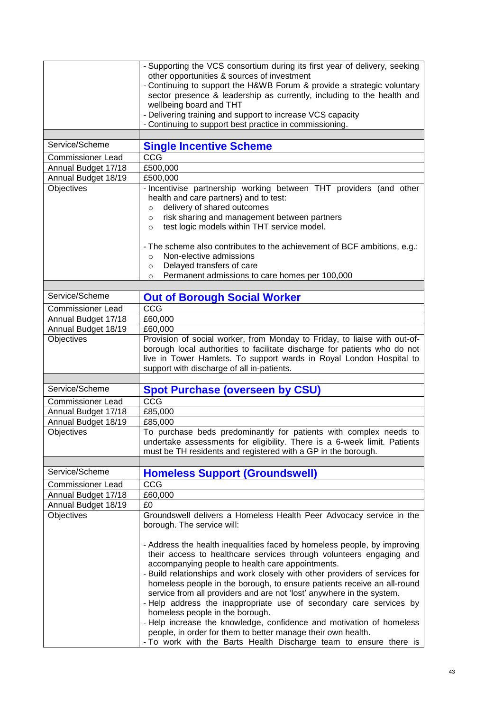|                          | - Supporting the VCS consortium during its first year of delivery, seeking                                                        |
|--------------------------|-----------------------------------------------------------------------------------------------------------------------------------|
|                          | other opportunities & sources of investment                                                                                       |
|                          | - Continuing to support the H&WB Forum & provide a strategic voluntary                                                            |
|                          | sector presence & leadership as currently, including to the health and                                                            |
|                          | wellbeing board and THT                                                                                                           |
|                          | - Delivering training and support to increase VCS capacity                                                                        |
|                          | - Continuing to support best practice in commissioning.                                                                           |
|                          |                                                                                                                                   |
| Service/Scheme           | <b>Single Incentive Scheme</b>                                                                                                    |
| <b>Commissioner Lead</b> | CCG                                                                                                                               |
| Annual Budget 17/18      | £500,000                                                                                                                          |
| Annual Budget 18/19      | £500,000                                                                                                                          |
| Objectives               | - Incentivise partnership working between THT providers (and other                                                                |
|                          | health and care partners) and to test:                                                                                            |
|                          | delivery of shared outcomes<br>$\circ$                                                                                            |
|                          | risk sharing and management between partners<br>$\circ$                                                                           |
|                          | test logic models within THT service model.<br>$\circ$                                                                            |
|                          |                                                                                                                                   |
|                          | - The scheme also contributes to the achievement of BCF ambitions, e.g.:                                                          |
|                          | Non-elective admissions<br>$\circ$                                                                                                |
|                          | Delayed transfers of care<br>$\circ$                                                                                              |
|                          | Permanent admissions to care homes per 100,000<br>$\circ$                                                                         |
|                          |                                                                                                                                   |
| Service/Scheme           | <b>Out of Borough Social Worker</b>                                                                                               |
| Commissioner Lead        | CCG                                                                                                                               |
| Annual Budget 17/18      | £60,000                                                                                                                           |
| Annual Budget 18/19      | £60,000                                                                                                                           |
| Objectives               | Provision of social worker, from Monday to Friday, to liaise with out-of-                                                         |
|                          | borough local authorities to facilitate discharge for patients who do not                                                         |
|                          |                                                                                                                                   |
|                          | live in Tower Hamlets. To support wards in Royal London Hospital to                                                               |
|                          | support with discharge of all in-patients.                                                                                        |
| Service/Scheme           |                                                                                                                                   |
|                          | <b>Spot Purchase (overseen by CSU)</b>                                                                                            |
|                          |                                                                                                                                   |
| <b>Commissioner Lead</b> | CCG                                                                                                                               |
| Annual Budget 17/18      | £85,000                                                                                                                           |
| Annual Budget 18/19      | £85,000                                                                                                                           |
| Objectives               | To purchase beds predominantly for patients with complex needs to                                                                 |
|                          | undertake assessments for eligibility. There is a 6-week limit. Patients                                                          |
|                          | must be TH residents and registered with a GP in the borough.                                                                     |
|                          |                                                                                                                                   |
| Service/Scheme           |                                                                                                                                   |
| <b>Commissioner Lead</b> | <b>Homeless Support (Groundswell)</b><br>CCG                                                                                      |
|                          |                                                                                                                                   |
| Annual Budget 17/18      | £60,000<br>£0                                                                                                                     |
| Annual Budget 18/19      |                                                                                                                                   |
| Objectives               | Groundswell delivers a Homeless Health Peer Advocacy service in the                                                               |
|                          | borough. The service will:                                                                                                        |
|                          |                                                                                                                                   |
|                          | - Address the health inequalities faced by homeless people, by improving                                                          |
|                          | their access to healthcare services through volunteers engaging and                                                               |
|                          | accompanying people to health care appointments.                                                                                  |
|                          | - Build relationships and work closely with other providers of services for                                                       |
|                          | homeless people in the borough, to ensure patients receive an all-round                                                           |
|                          | service from all providers and are not 'lost' anywhere in the system.                                                             |
|                          | - Help address the inappropriate use of secondary care services by                                                                |
|                          | homeless people in the borough.                                                                                                   |
|                          | - Help increase the knowledge, confidence and motivation of homeless                                                              |
|                          | people, in order for them to better manage their own health.<br>- To work with the Barts Health Discharge team to ensure there is |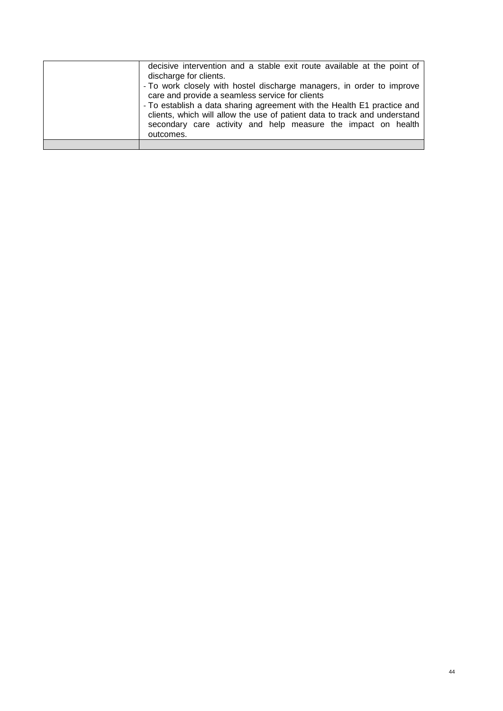| decisive intervention and a stable exit route available at the point of<br>discharge for clients.<br>- To work closely with hostel discharge managers, in order to improve<br>care and provide a seamless service for clients<br>- To establish a data sharing agreement with the Health E1 practice and<br>clients, which will allow the use of patient data to track and understand<br>secondary care activity and help measure the impact on health<br>outcomes. |
|---------------------------------------------------------------------------------------------------------------------------------------------------------------------------------------------------------------------------------------------------------------------------------------------------------------------------------------------------------------------------------------------------------------------------------------------------------------------|
|                                                                                                                                                                                                                                                                                                                                                                                                                                                                     |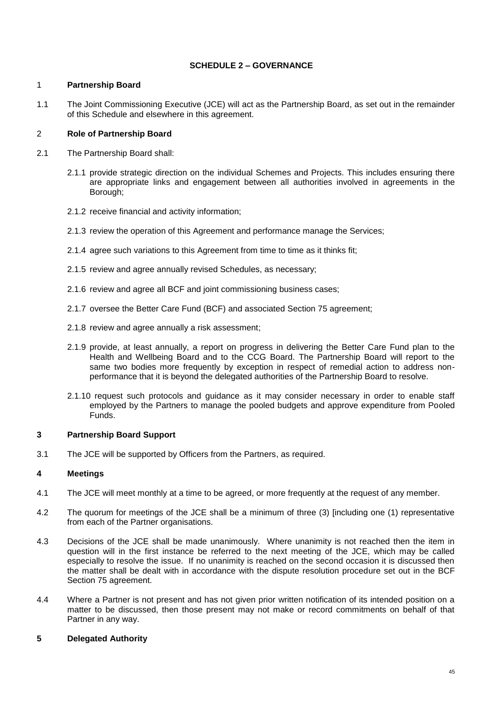# **SCHEDULE 2 – GOVERNANCE**

#### 1 **Partnership Board**

1.1 The Joint Commissioning Executive (JCE) will act as the Partnership Board, as set out in the remainder of this Schedule and elsewhere in this agreement.

# 2 **Role of Partnership Board**

- 2.1 The Partnership Board shall:
	- 2.1.1 provide strategic direction on the individual Schemes and Projects. This includes ensuring there are appropriate links and engagement between all authorities involved in agreements in the Borough;
	- 2.1.2 receive financial and activity information;
	- 2.1.3 review the operation of this Agreement and performance manage the Services;
	- 2.1.4 agree such variations to this Agreement from time to time as it thinks fit;
	- 2.1.5 review and agree annually revised Schedules, as necessary;
	- 2.1.6 review and agree all BCF and joint commissioning business cases;
	- 2.1.7 oversee the Better Care Fund (BCF) and associated Section 75 agreement;
	- 2.1.8 review and agree annually a risk assessment;
	- 2.1.9 provide, at least annually, a report on progress in delivering the Better Care Fund plan to the Health and Wellbeing Board and to the CCG Board. The Partnership Board will report to the same two bodies more frequently by exception in respect of remedial action to address nonperformance that it is beyond the delegated authorities of the Partnership Board to resolve.
	- 2.1.10 request such protocols and guidance as it may consider necessary in order to enable staff employed by the Partners to manage the pooled budgets and approve expenditure from Pooled Funds.

# **3 Partnership Board Support**

3.1 The JCE will be supported by Officers from the Partners, as required.

# **4 Meetings**

- 4.1 The JCE will meet monthly at a time to be agreed, or more frequently at the request of any member.
- 4.2 The quorum for meetings of the JCE shall be a minimum of three (3) [including one (1) representative from each of the Partner organisations.
- 4.3 Decisions of the JCE shall be made unanimously. Where unanimity is not reached then the item in question will in the first instance be referred to the next meeting of the JCE, which may be called especially to resolve the issue. If no unanimity is reached on the second occasion it is discussed then the matter shall be dealt with in accordance with the dispute resolution procedure set out in the BCF Section 75 agreement.
- 4.4 Where a Partner is not present and has not given prior written notification of its intended position on a matter to be discussed, then those present may not make or record commitments on behalf of that Partner in any way.

# **5 Delegated Authority**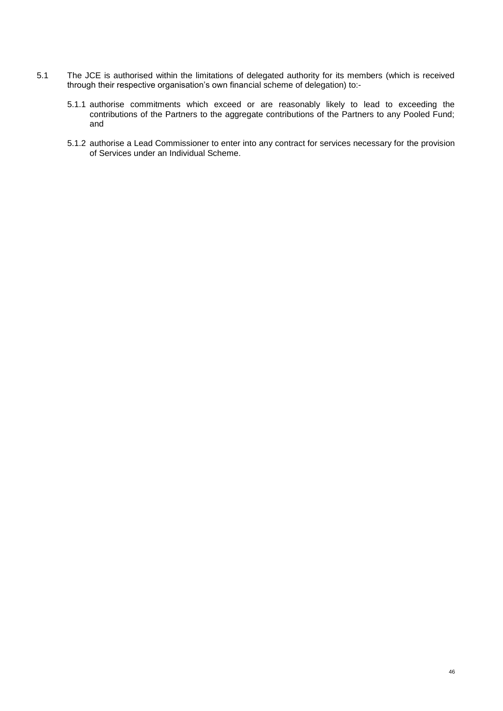- 5.1 The JCE is authorised within the limitations of delegated authority for its members (which is received through their respective organisation's own financial scheme of delegation) to:-
	- 5.1.1 authorise commitments which exceed or are reasonably likely to lead to exceeding the contributions of the Partners to the aggregate contributions of the Partners to any Pooled Fund; and
	- 5.1.2 authorise a Lead Commissioner to enter into any contract for services necessary for the provision of Services under an Individual Scheme.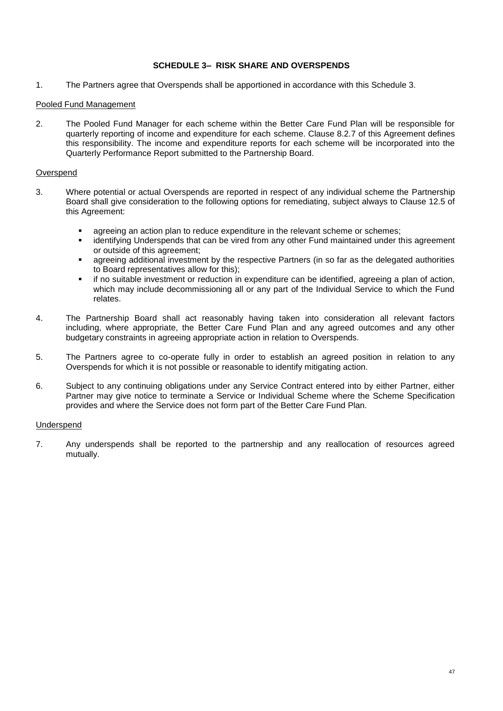## **SCHEDULE 3– RISK SHARE AND OVERSPENDS**

1. The Partners agree that Overspends shall be apportioned in accordance with this Schedule 3.

#### Pooled Fund Management

2. The Pooled Fund Manager for each scheme within the Better Care Fund Plan will be responsible for quarterly reporting of income and expenditure for each scheme. Clause 8.2.7 of this Agreement defines this responsibility. The income and expenditure reports for each scheme will be incorporated into the Quarterly Performance Report submitted to the Partnership Board.

#### Overspend

- 3. Where potential or actual Overspends are reported in respect of any individual scheme the Partnership Board shall give consideration to the following options for remediating, subject always to Clause 12.5 of this Agreement:
	- agreeing an action plan to reduce expenditure in the relevant scheme or schemes;
	- identifying Underspends that can be vired from any other Fund maintained under this agreement or outside of this agreement;
	- agreeing additional investment by the respective Partners (in so far as the delegated authorities to Board representatives allow for this);
	- if no suitable investment or reduction in expenditure can be identified, agreeing a plan of action, which may include decommissioning all or any part of the Individual Service to which the Fund relates.
- 4. The Partnership Board shall act reasonably having taken into consideration all relevant factors including, where appropriate, the Better Care Fund Plan and any agreed outcomes and any other budgetary constraints in agreeing appropriate action in relation to Overspends.
- 5. The Partners agree to co-operate fully in order to establish an agreed position in relation to any Overspends for which it is not possible or reasonable to identify mitigating action.
- 6. Subject to any continuing obligations under any Service Contract entered into by either Partner, either Partner may give notice to terminate a Service or Individual Scheme where the Scheme Specification provides and where the Service does not form part of the Better Care Fund Plan.

#### Underspend

7. Any underspends shall be reported to the partnership and any reallocation of resources agreed mutually.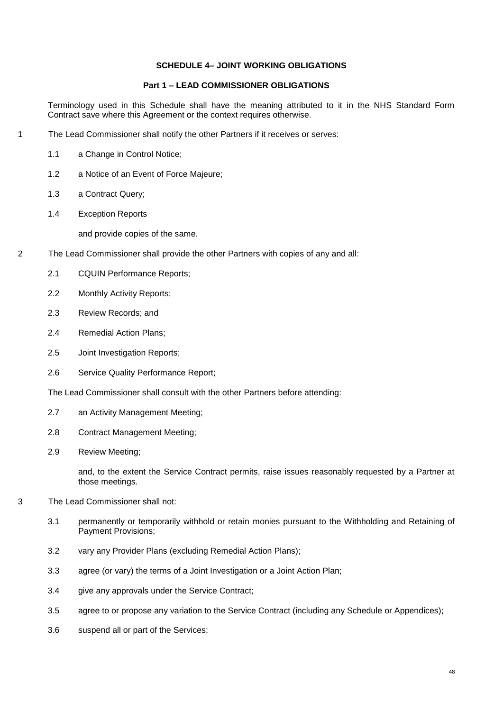# **SCHEDULE 4– JOINT WORKING OBLIGATIONS**

### **Part 1 – LEAD COMMISSIONER OBLIGATIONS**

Terminology used in this Schedule shall have the meaning attributed to it in the NHS Standard Form Contract save where this Agreement or the context requires otherwise.

- 1 The Lead Commissioner shall notify the other Partners if it receives or serves:
	- 1.1 a Change in Control Notice;
	- 1.2 a Notice of an Event of Force Majeure;
	- 1.3 a Contract Query;
	- 1.4 Exception Reports

and provide copies of the same.

- 2 The Lead Commissioner shall provide the other Partners with copies of any and all:
	- 2.1 CQUIN Performance Reports;
	- 2.2 Monthly Activity Reports;
	- 2.3 Review Records; and
	- 2.4 Remedial Action Plans;
	- 2.5 Joint Investigation Reports;
	- 2.6 Service Quality Performance Report;

The Lead Commissioner shall consult with the other Partners before attending:

- 2.7 an Activity Management Meeting;
- 2.8 Contract Management Meeting;
- 2.9 Review Meeting;

and, to the extent the Service Contract permits, raise issues reasonably requested by a Partner at those meetings.

- 3 The Lead Commissioner shall not:
	- 3.1 permanently or temporarily withhold or retain monies pursuant to the Withholding and Retaining of Payment Provisions;
	- 3.2 vary any Provider Plans (excluding Remedial Action Plans);
	- 3.3 agree (or vary) the terms of a Joint Investigation or a Joint Action Plan;
	- 3.4 give any approvals under the Service Contract:
	- 3.5 agree to or propose any variation to the Service Contract (including any Schedule or Appendices);
	- 3.6 suspend all or part of the Services;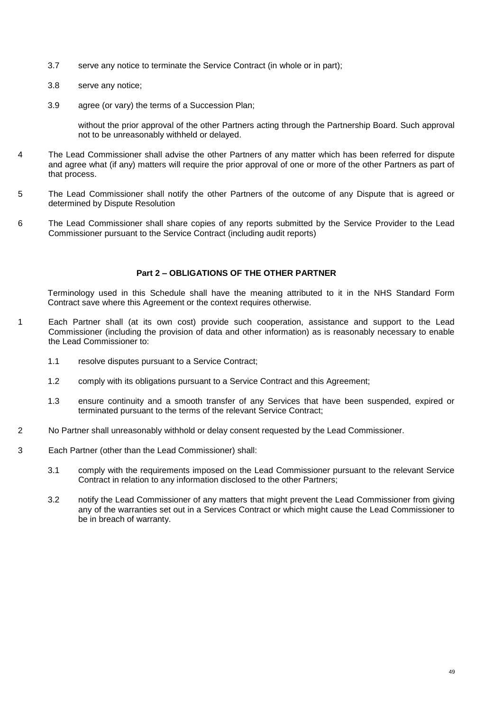- 3.7 serve any notice to terminate the Service Contract (in whole or in part);
- 3.8 serve any notice;
- 3.9 agree (or vary) the terms of a Succession Plan;

without the prior approval of the other Partners acting through the Partnership Board. Such approval not to be unreasonably withheld or delayed.

- 4 The Lead Commissioner shall advise the other Partners of any matter which has been referred for dispute and agree what (if any) matters will require the prior approval of one or more of the other Partners as part of that process.
- 5 The Lead Commissioner shall notify the other Partners of the outcome of any Dispute that is agreed or determined by Dispute Resolution
- 6 The Lead Commissioner shall share copies of any reports submitted by the Service Provider to the Lead Commissioner pursuant to the Service Contract (including audit reports)

#### **Part 2 – OBLIGATIONS OF THE OTHER PARTNER**

Terminology used in this Schedule shall have the meaning attributed to it in the NHS Standard Form Contract save where this Agreement or the context requires otherwise.

- 1 Each Partner shall (at its own cost) provide such cooperation, assistance and support to the Lead Commissioner (including the provision of data and other information) as is reasonably necessary to enable the Lead Commissioner to:
	- 1.1 resolve disputes pursuant to a Service Contract;
	- 1.2 comply with its obligations pursuant to a Service Contract and this Agreement;
	- 1.3 ensure continuity and a smooth transfer of any Services that have been suspended, expired or terminated pursuant to the terms of the relevant Service Contract;
- 2 No Partner shall unreasonably withhold or delay consent requested by the Lead Commissioner.
- 3 Each Partner (other than the Lead Commissioner) shall:
	- 3.1 comply with the requirements imposed on the Lead Commissioner pursuant to the relevant Service Contract in relation to any information disclosed to the other Partners;
	- 3.2 notify the Lead Commissioner of any matters that might prevent the Lead Commissioner from giving any of the warranties set out in a Services Contract or which might cause the Lead Commissioner to be in breach of warranty.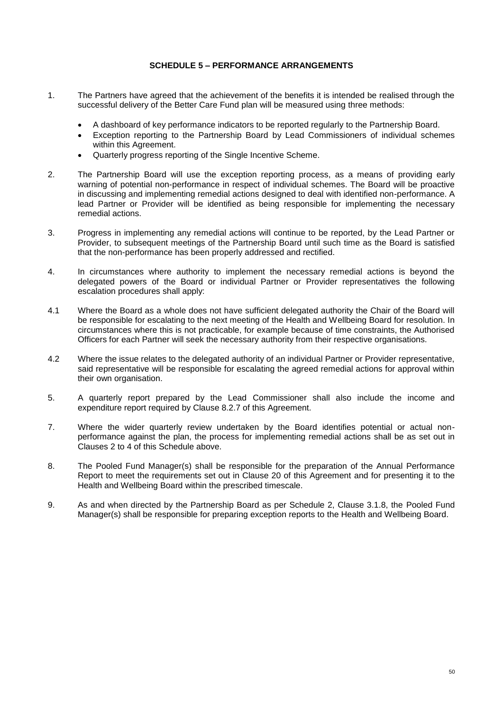### **SCHEDULE 5 – PERFORMANCE ARRANGEMENTS**

- 1. The Partners have agreed that the achievement of the benefits it is intended be realised through the successful delivery of the Better Care Fund plan will be measured using three methods:
	- A dashboard of key performance indicators to be reported regularly to the Partnership Board.
	- Exception reporting to the Partnership Board by Lead Commissioners of individual schemes within this Agreement.
	- Quarterly progress reporting of the Single Incentive Scheme.
- 2. The Partnership Board will use the exception reporting process, as a means of providing early warning of potential non-performance in respect of individual schemes. The Board will be proactive in discussing and implementing remedial actions designed to deal with identified non-performance. A lead Partner or Provider will be identified as being responsible for implementing the necessary remedial actions.
- 3. Progress in implementing any remedial actions will continue to be reported, by the Lead Partner or Provider, to subsequent meetings of the Partnership Board until such time as the Board is satisfied that the non-performance has been properly addressed and rectified.
- 4. In circumstances where authority to implement the necessary remedial actions is beyond the delegated powers of the Board or individual Partner or Provider representatives the following escalation procedures shall apply:
- 4.1 Where the Board as a whole does not have sufficient delegated authority the Chair of the Board will be responsible for escalating to the next meeting of the Health and Wellbeing Board for resolution. In circumstances where this is not practicable, for example because of time constraints, the Authorised Officers for each Partner will seek the necessary authority from their respective organisations.
- 4.2 Where the issue relates to the delegated authority of an individual Partner or Provider representative, said representative will be responsible for escalating the agreed remedial actions for approval within their own organisation.
- 5. A quarterly report prepared by the Lead Commissioner shall also include the income and expenditure report required by Clause 8.2.7 of this Agreement.
- 7. Where the wider quarterly review undertaken by the Board identifies potential or actual nonperformance against the plan, the process for implementing remedial actions shall be as set out in Clauses 2 to 4 of this Schedule above.
- 8. The Pooled Fund Manager(s) shall be responsible for the preparation of the Annual Performance Report to meet the requirements set out in Clause 20 of this Agreement and for presenting it to the Health and Wellbeing Board within the prescribed timescale.
- 9. As and when directed by the Partnership Board as per Schedule 2, Clause 3.1.8, the Pooled Fund Manager(s) shall be responsible for preparing exception reports to the Health and Wellbeing Board.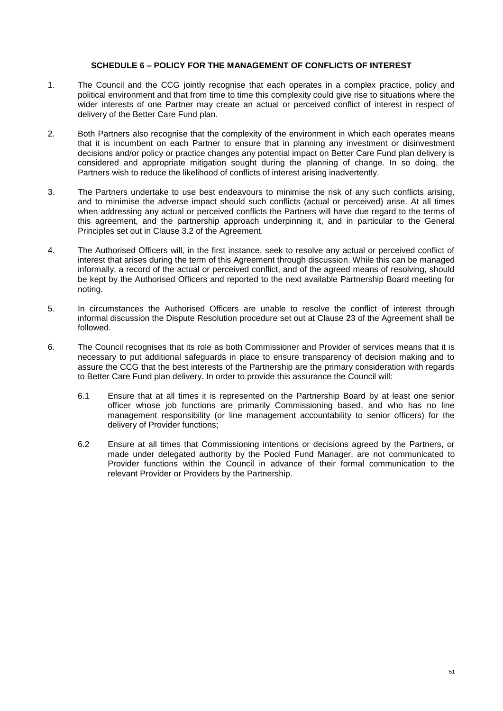#### **SCHEDULE 6 – POLICY FOR THE MANAGEMENT OF CONFLICTS OF INTEREST**

- 1. The Council and the CCG jointly recognise that each operates in a complex practice, policy and political environment and that from time to time this complexity could give rise to situations where the wider interests of one Partner may create an actual or perceived conflict of interest in respect of delivery of the Better Care Fund plan.
- 2. Both Partners also recognise that the complexity of the environment in which each operates means that it is incumbent on each Partner to ensure that in planning any investment or disinvestment decisions and/or policy or practice changes any potential impact on Better Care Fund plan delivery is considered and appropriate mitigation sought during the planning of change. In so doing, the Partners wish to reduce the likelihood of conflicts of interest arising inadvertently.
- 3. The Partners undertake to use best endeavours to minimise the risk of any such conflicts arising, and to minimise the adverse impact should such conflicts (actual or perceived) arise. At all times when addressing any actual or perceived conflicts the Partners will have due regard to the terms of this agreement, and the partnership approach underpinning it, and in particular to the General Principles set out in Clause 3.2 of the Agreement.
- 4. The Authorised Officers will, in the first instance, seek to resolve any actual or perceived conflict of interest that arises during the term of this Agreement through discussion. While this can be managed informally, a record of the actual or perceived conflict, and of the agreed means of resolving, should be kept by the Authorised Officers and reported to the next available Partnership Board meeting for noting.
- 5. In circumstances the Authorised Officers are unable to resolve the conflict of interest through informal discussion the Dispute Resolution procedure set out at Clause 23 of the Agreement shall be followed.
- 6. The Council recognises that its role as both Commissioner and Provider of services means that it is necessary to put additional safeguards in place to ensure transparency of decision making and to assure the CCG that the best interests of the Partnership are the primary consideration with regards to Better Care Fund plan delivery. In order to provide this assurance the Council will:
	- 6.1 Ensure that at all times it is represented on the Partnership Board by at least one senior officer whose job functions are primarily Commissioning based, and who has no line management responsibility (or line management accountability to senior officers) for the delivery of Provider functions;
	- 6.2 Ensure at all times that Commissioning intentions or decisions agreed by the Partners, or made under delegated authority by the Pooled Fund Manager, are not communicated to Provider functions within the Council in advance of their formal communication to the relevant Provider or Providers by the Partnership.